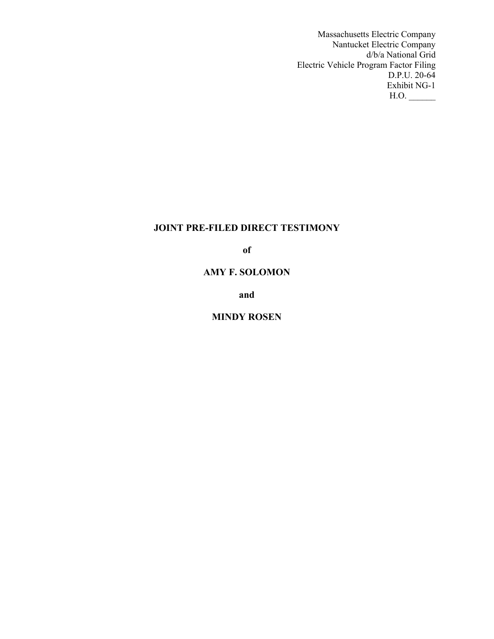Massachusetts Electric Company Nantucket Electric Company d/b/a National Grid Electric Vehicle Program Factor Filing D.P.U. 20-64 Exhibit NG-1  $H.O.$ 

# **JOINT PRE-FILED DIRECT TESTIMONY**

**of**

# **AMY F. SOLOMON**

**and**

# **MINDY ROSEN**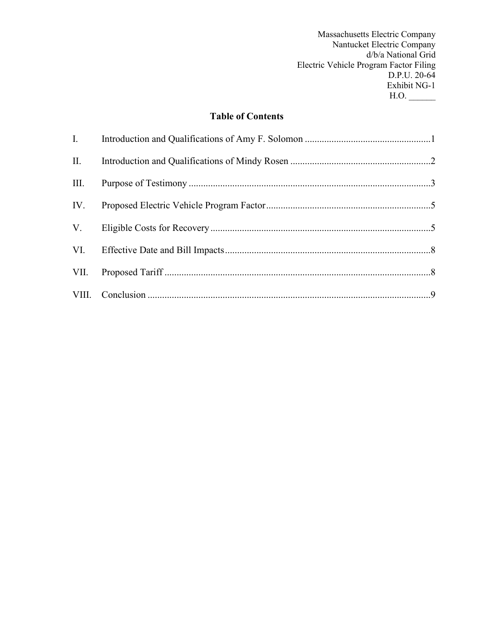Massachusetts Electric Company Nantucket Electric Company d/b/a National Grid Electric Vehicle Program Factor Filing D.P.U. 20-64 Exhibit NG-1  $H.O.$ 

# **Table of Contents**

| П.   |  |
|------|--|
| III. |  |
| IV.  |  |
|      |  |
|      |  |
|      |  |
|      |  |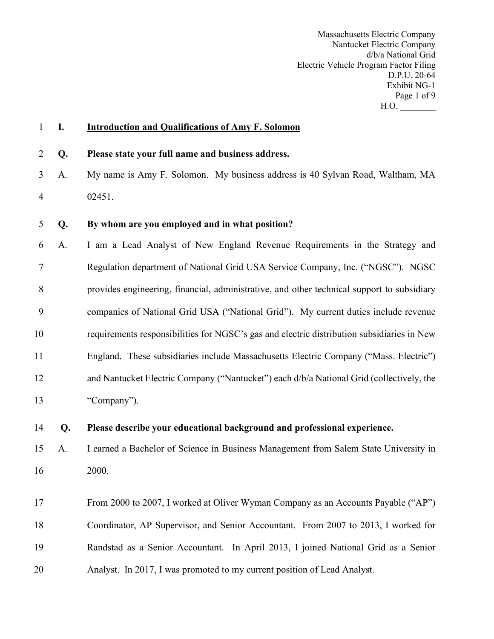Massachusetts Electric Company Nantucket Electric Company d/b/a National Grid Electric Vehicle Program Factor Filing D.P.U. 20-64 Exhibit NG-1 Page 1 of 9 H.O. \_\_\_\_\_\_\_\_

# **I. Introduction and Qualifications of Amy F. Solomon**

- **Q. Please state your full name and business address.**
- A. My name is Amy F. Solomon. My business address is 40 Sylvan Road, Waltham, MA 02451.

# **Q. By whom are you employed and in what position?**

 A. I am a Lead Analyst of New England Revenue Requirements in the Strategy and Regulation department of National Grid USA Service Company, Inc. ("NGSC"). NGSC provides engineering, financial, administrative, and other technical support to subsidiary companies of National Grid USA ("National Grid"). My current duties include revenue requirements responsibilities for NGSC's gas and electric distribution subsidiaries in New England. These subsidiaries include Massachusetts Electric Company ("Mass. Electric") and Nantucket Electric Company ("Nantucket") each d/b/a National Grid (collectively, the "Company").

# **Q. Please describe your educational background and professional experience.**

 A. I earned a Bachelor of Science in Business Management from Salem State University in 2000.

 From 2000 to 2007, I worked at Oliver Wyman Company as an Accounts Payable ("AP") Coordinator, AP Supervisor, and Senior Accountant. From 2007 to 2013, I worked for Randstad as a Senior Accountant. In April 2013, I joined National Grid as a Senior Analyst. In 2017, I was promoted to my current position of Lead Analyst.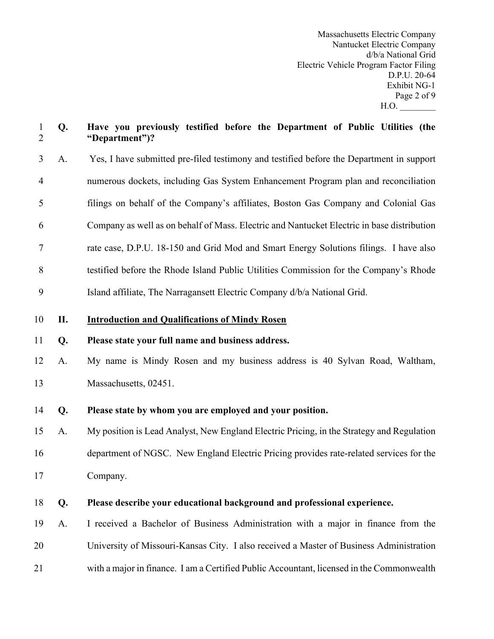Massachusetts Electric Company Nantucket Electric Company d/b/a National Grid Electric Vehicle Program Factor Filing D.P.U. 20-64 Exhibit NG-1 Page 2 of 9  $H.O.$ 

# **Q. Have you previously testified before the Department of Public Utilities (the "Department")?**

- A. Yes, I have submitted pre-filed testimony and testified before the Department in support numerous dockets, including Gas System Enhancement Program plan and reconciliation filings on behalf of the Company's affiliates, Boston Gas Company and Colonial Gas Company as well as on behalf of Mass. Electric and Nantucket Electric in base distribution rate case, D.P.U. 18-150 and Grid Mod and Smart Energy Solutions filings. I have also testified before the Rhode Island Public Utilities Commission for the Company's Rhode Island affiliate, The Narragansett Electric Company d/b/a National Grid.
- **II. Introduction and Qualifications of Mindy Rosen**

# **Q. Please state your full name and business address.**

- A. My name is Mindy Rosen and my business address is 40 Sylvan Road, Waltham, 13 Massachusetts, 02451.
- **Q. Please state by whom you are employed and your position.**
- A. My position is Lead Analyst, New England Electric Pricing, in the Strategy and Regulation department of NGSC. New England Electric Pricing provides rate-related services for the Company.
- **Q. Please describe your educational background and professional experience.**
- A. I received a Bachelor of Business Administration with a major in finance from the University of Missouri-Kansas City. I also received a Master of Business Administration with a major in finance. I am a Certified Public Accountant, licensed in the Commonwealth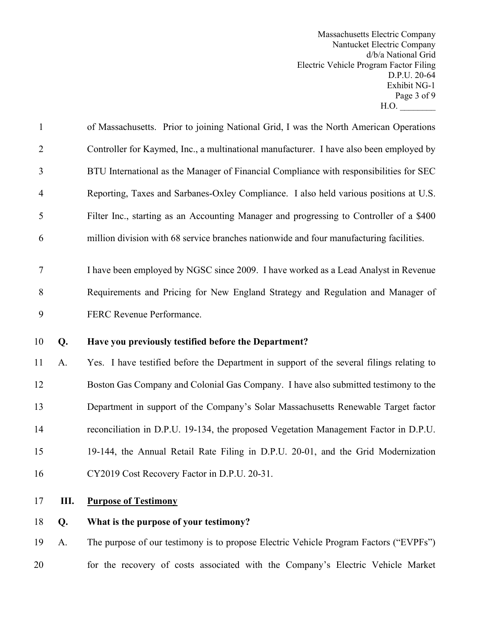Massachusetts Electric Company Nantucket Electric Company d/b/a National Grid Electric Vehicle Program Factor Filing D.P.U. 20-64 Exhibit NG-1 Page 3 of 9 H.O. \_\_\_\_\_\_\_\_

| $\mathbf{1}$   |    | of Massachusetts. Prior to joining National Grid, I was the North American Operations     |
|----------------|----|-------------------------------------------------------------------------------------------|
| $\overline{2}$ |    | Controller for Kaymed, Inc., a multinational manufacturer. I have also been employed by   |
| 3              |    | BTU International as the Manager of Financial Compliance with responsibilities for SEC    |
| $\overline{4}$ |    | Reporting, Taxes and Sarbanes-Oxley Compliance. I also held various positions at U.S.     |
| 5              |    | Filter Inc., starting as an Accounting Manager and progressing to Controller of a \$400   |
| 6              |    | million division with 68 service branches nationwide and four manufacturing facilities.   |
| $\tau$         |    | I have been employed by NGSC since 2009. I have worked as a Lead Analyst in Revenue       |
| 8              |    | Requirements and Pricing for New England Strategy and Regulation and Manager of           |
| 9              |    | FERC Revenue Performance.                                                                 |
| 10             | Q. | Have you previously testified before the Department?                                      |
| 11             | A. | Yes. I have testified before the Department in support of the several filings relating to |
| 12             |    | Boston Gas Company and Colonial Gas Company. I have also submitted testimony to the       |
| 13             |    | Department in support of the Company's Solar Massachusetts Renewable Target factor        |
| 14             |    | reconciliation in D.P.U. 19-134, the proposed Vegetation Management Factor in D.P.U.      |
| 15             |    | 19-144, the Annual Retail Rate Filing in D.P.U. 20-01, and the Grid Modernization         |
| 16             |    | CY2019 Cost Recovery Factor in D.P.U. 20-31.                                              |
| 17             | Ш. | <b>Purpose of Testimony</b>                                                               |

# **Q. What is the purpose of your testimony?**

 A. The purpose of our testimony is to propose Electric Vehicle Program Factors ("EVPFs") for the recovery of costs associated with the Company's Electric Vehicle Market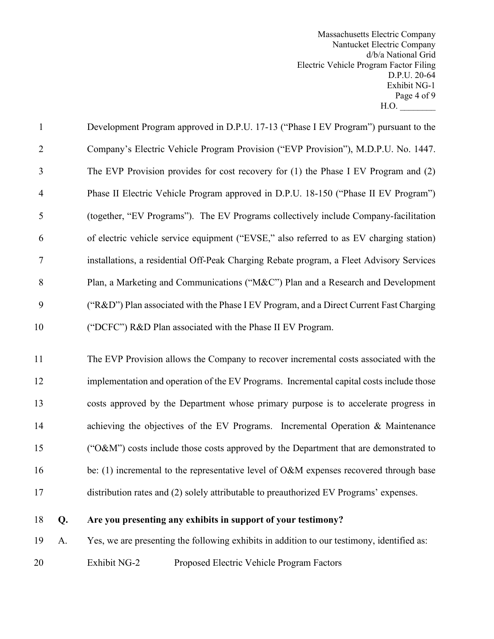Massachusetts Electric Company Nantucket Electric Company d/b/a National Grid Electric Vehicle Program Factor Filing D.P.U. 20-64 Exhibit NG-1 Page 4 of 9  $H.O.$ 

| $\mathbf{1}$   | Development Program approved in D.P.U. 17-13 ("Phase I EV Program") pursuant to the      |
|----------------|------------------------------------------------------------------------------------------|
| 2              | Company's Electric Vehicle Program Provision ("EVP Provision"), M.D.P.U. No. 1447.       |
| 3              | The EVP Provision provides for cost recovery for (1) the Phase I EV Program and (2)      |
| $\overline{4}$ | Phase II Electric Vehicle Program approved in D.P.U. 18-150 ("Phase II EV Program")      |
| 5              | (together, "EV Programs"). The EV Programs collectively include Company-facilitation     |
| 6              | of electric vehicle service equipment ("EVSE," also referred to as EV charging station)  |
|                | installations, a residential Off-Peak Charging Rebate program, a Fleet Advisory Services |
| 8              | Plan, a Marketing and Communications ("M&C") Plan and a Research and Development         |
| 9              | ("R&D") Plan associated with the Phase I EV Program, and a Direct Current Fast Charging  |
| 10             | ("DCFC") R&D Plan associated with the Phase II EV Program.                               |

 The EVP Provision allows the Company to recover incremental costs associated with the implementation and operation of the EV Programs. Incremental capital costs include those costs approved by the Department whose primary purpose is to accelerate progress in 14 achieving the objectives of the EV Programs. Incremental Operation & Maintenance ("O&M") costs include those costs approved by the Department that are demonstrated to 16 be: (1) incremental to the representative level of O&M expenses recovered through base distribution rates and (2) solely attributable to preauthorized EV Programs' expenses.

# **Q. Are you presenting any exhibits in support of your testimony?**

A. Yes, we are presenting the following exhibits in addition to our testimony, identified as:

Exhibit NG-2 Proposed Electric Vehicle Program Factors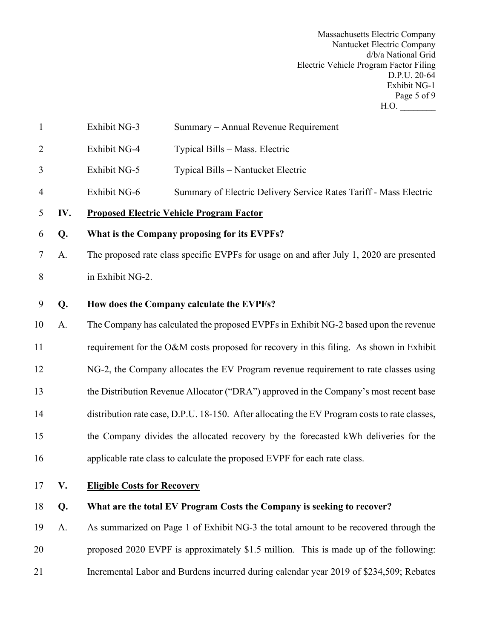Massachusetts Electric Company Nantucket Electric Company d/b/a National Grid Electric Vehicle Program Factor Filing D.P.U. 20-64 Exhibit NG-1 Page 5 of 9 H.O. \_\_\_\_\_\_\_\_

| $\mathbf{1}$   |     | Exhibit NG-3<br>Summary - Annual Revenue Requirement                                          |  |  |  |  |  |  |
|----------------|-----|-----------------------------------------------------------------------------------------------|--|--|--|--|--|--|
| $\overline{2}$ |     | Exhibit NG-4<br>Typical Bills - Mass. Electric                                                |  |  |  |  |  |  |
| 3              |     | Exhibit NG-5<br>Typical Bills - Nantucket Electric                                            |  |  |  |  |  |  |
| $\overline{4}$ |     | Exhibit NG-6<br>Summary of Electric Delivery Service Rates Tariff - Mass Electric             |  |  |  |  |  |  |
| 5              | IV. | <b>Proposed Electric Vehicle Program Factor</b>                                               |  |  |  |  |  |  |
| 6              | Q.  | What is the Company proposing for its EVPFs?                                                  |  |  |  |  |  |  |
| 7              | A.  | The proposed rate class specific EVPFs for usage on and after July 1, 2020 are presented      |  |  |  |  |  |  |
| 8              |     | in Exhibit NG-2.                                                                              |  |  |  |  |  |  |
| 9              | Q.  | How does the Company calculate the EVPFs?                                                     |  |  |  |  |  |  |
| 10             | A.  | The Company has calculated the proposed EVPFs in Exhibit NG-2 based upon the revenue          |  |  |  |  |  |  |
| 11             |     | requirement for the O&M costs proposed for recovery in this filing. As shown in Exhibit       |  |  |  |  |  |  |
| 12             |     | NG-2, the Company allocates the EV Program revenue requirement to rate classes using          |  |  |  |  |  |  |
| 13             |     | the Distribution Revenue Allocator ("DRA") approved in the Company's most recent base         |  |  |  |  |  |  |
| 14             |     | distribution rate case, D.P.U. 18-150. After allocating the EV Program costs to rate classes, |  |  |  |  |  |  |
| 15             |     | the Company divides the allocated recovery by the forecasted kWh deliveries for the           |  |  |  |  |  |  |
| 16             |     | applicable rate class to calculate the proposed EVPF for each rate class.                     |  |  |  |  |  |  |
| 17             | V.  | <b>Eligible Costs for Recovery</b>                                                            |  |  |  |  |  |  |
| 18             | Q.  | What are the total EV Program Costs the Company is seeking to recover?                        |  |  |  |  |  |  |
| 19             | A.  | As summarized on Page 1 of Exhibit NG-3 the total amount to be recovered through the          |  |  |  |  |  |  |
| 20             |     | proposed 2020 EVPF is approximately \$1.5 million. This is made up of the following:          |  |  |  |  |  |  |
| 21             |     | Incremental Labor and Burdens incurred during calendar year 2019 of \$234,509; Rebates        |  |  |  |  |  |  |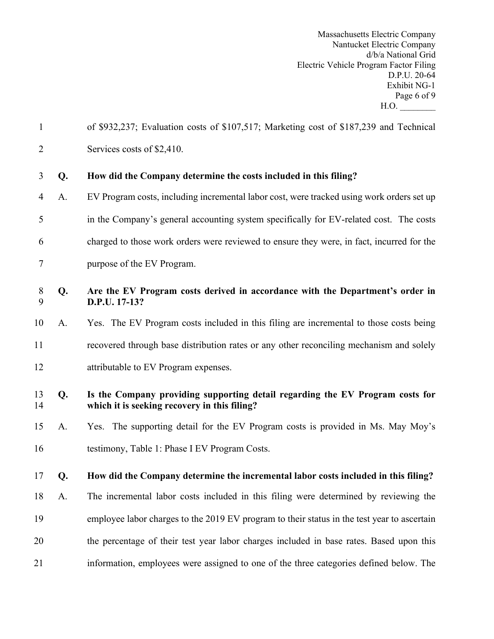Massachusetts Electric Company Nantucket Electric Company d/b/a National Grid Electric Vehicle Program Factor Filing D.P.U. 20-64 Exhibit NG-1 Page 6 of 9 H.O. \_\_\_\_\_\_\_\_

| $\mathbf{1}$   |    | of \$932,237; Evaluation costs of \$107,517; Marketing cost of \$187,239 and Technical                                        |
|----------------|----|-------------------------------------------------------------------------------------------------------------------------------|
| $\overline{2}$ |    | Services costs of \$2,410.                                                                                                    |
| 3              | Q. | How did the Company determine the costs included in this filing?                                                              |
| 4              | A. | EV Program costs, including incremental labor cost, were tracked using work orders set up                                     |
| 5              |    | in the Company's general accounting system specifically for EV-related cost. The costs                                        |
| 6              |    | charged to those work orders were reviewed to ensure they were, in fact, incurred for the                                     |
| 7              |    | purpose of the EV Program.                                                                                                    |
| 8<br>9         | Q. | Are the EV Program costs derived in accordance with the Department's order in<br>D.P.U. 17-13?                                |
| 10             | A. | Yes. The EV Program costs included in this filing are incremental to those costs being                                        |
| 11             |    | recovered through base distribution rates or any other reconciling mechanism and solely                                       |
| 12             |    | attributable to EV Program expenses.                                                                                          |
| 13<br>14       | Q. | Is the Company providing supporting detail regarding the EV Program costs for<br>which it is seeking recovery in this filing? |
| 15             | A. | Yes. The supporting detail for the EV Program costs is provided in Ms. May Moy's                                              |
| 16             |    | testimony, Table 1: Phase I EV Program Costs.                                                                                 |
| 17             | Q. | How did the Company determine the incremental labor costs included in this filing?                                            |
| 18             | A. | The incremental labor costs included in this filing were determined by reviewing the                                          |
| 19             |    | employee labor charges to the 2019 EV program to their status in the test year to ascertain                                   |
| 20             |    | the percentage of their test year labor charges included in base rates. Based upon this                                       |
| 21             |    | information, employees were assigned to one of the three categories defined below. The                                        |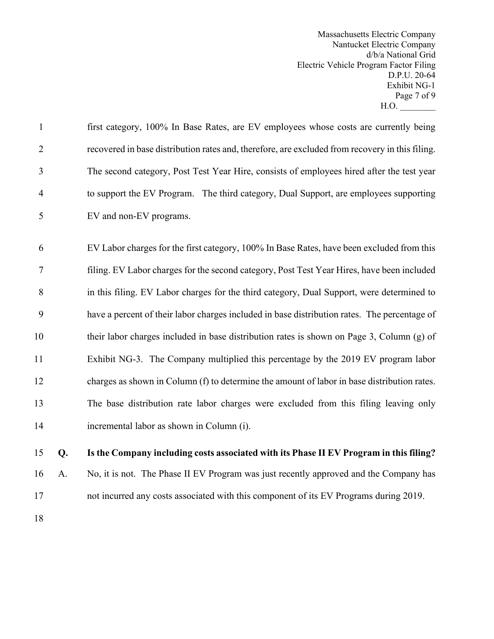Massachusetts Electric Company Nantucket Electric Company d/b/a National Grid Electric Vehicle Program Factor Filing D.P.U. 20-64 Exhibit NG-1 Page 7 of 9 H.O. \_\_\_\_\_\_\_\_

| 15             | Q. | Is the Company including costs associated with its Phase II EV Program in this filing?          |
|----------------|----|-------------------------------------------------------------------------------------------------|
| 14             |    | incremental labor as shown in Column (i).                                                       |
| 13             |    | The base distribution rate labor charges were excluded from this filing leaving only            |
| 12             |    | charges as shown in Column (f) to determine the amount of labor in base distribution rates.     |
| 11             |    | Exhibit NG-3. The Company multiplied this percentage by the 2019 EV program labor               |
| 10             |    | their labor charges included in base distribution rates is shown on Page 3, Column (g) of       |
| 9              |    | have a percent of their labor charges included in base distribution rates. The percentage of    |
| 8              |    | in this filing. EV Labor charges for the third category, Dual Support, were determined to       |
| 7              |    | filing. EV Labor charges for the second category, Post Test Year Hires, have been included      |
| 6              |    | EV Labor charges for the first category, 100% In Base Rates, have been excluded from this       |
| 5              |    | EV and non-EV programs.                                                                         |
| $\overline{4}$ |    | to support the EV Program. The third category, Dual Support, are employees supporting           |
| $\mathfrak{Z}$ |    | The second category, Post Test Year Hire, consists of employees hired after the test year       |
| $\overline{2}$ |    | recovered in base distribution rates and, therefore, are excluded from recovery in this filing. |
| $\mathbf{1}$   |    | first category, 100% In Base Rates, are EV employees whose costs are currently being            |

A. No, it is not. The Phase II EV Program was just recently approved and the Company has

not incurred any costs associated with this component of its EV Programs during 2019.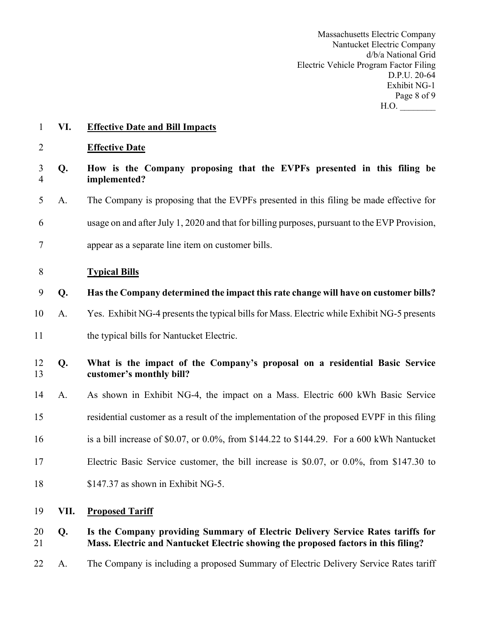Massachusetts Electric Company Nantucket Electric Company d/b/a National Grid Electric Vehicle Program Factor Filing D.P.U. 20-64 Exhibit NG-1 Page 8 of 9  $H.O.$ 

- **VI. Effective Date and Bill Impacts**
- **Effective Date**

| 3 Q. | How is the Company proposing that the EVPFs presented in this filing be |  |
|------|-------------------------------------------------------------------------|--|
|      | implemented?                                                            |  |
|      |                                                                         |  |

A. The Company is proposing that the EVPFs presented in this filing be made effective for

- usage on and after July 1, 2020 and that for billing purposes, pursuant to the EVP Provision,
- appear as a separate line item on customer bills.
- **Typical Bills**
- **Q. Has the Company determined the impact this rate change will have on customer bills?**
- A. Yes. Exhibit NG-4 presents the typical bills for Mass. Electric while Exhibit NG-5 presents
- 11 the typical bills for Nantucket Electric.

# **Q. What is the impact of the Company's proposal on a residential Basic Service customer's monthly bill?**

- A. As shown in Exhibit NG-4, the impact on a Mass. Electric 600 kWh Basic Service
- residential customer as a result of the implementation of the proposed EVPF in this filing
- is a bill increase of \$0.07, or 0.0%, from \$144.22 to \$144.29. For a 600 kWh Nantucket
- Electric Basic Service customer, the bill increase is \$0.07, or 0.0%, from \$147.30 to
- \$147.37 as shown in Exhibit NG-5.
- **VII. Proposed Tariff**

# **Q. Is the Company providing Summary of Electric Delivery Service Rates tariffs for Mass. Electric and Nantucket Electric showing the proposed factors in this filing?**

A. The Company is including a proposed Summary of Electric Delivery Service Rates tariff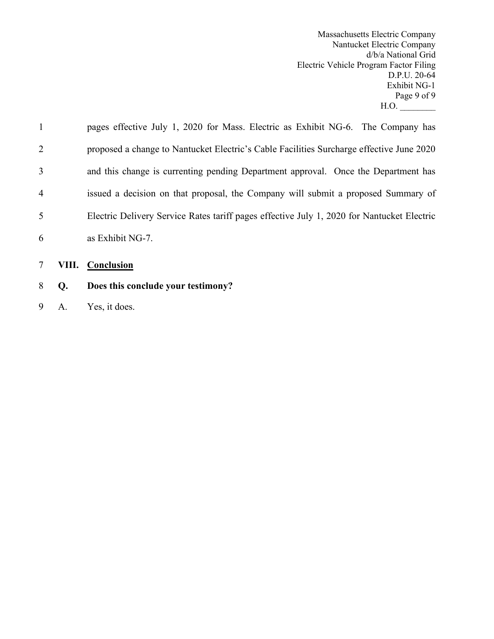Massachusetts Electric Company Nantucket Electric Company d/b/a National Grid Electric Vehicle Program Factor Filing D.P.U. 20-64 Exhibit NG-1 Page 9 of 9  $H.O.$ 

| $\mathbf{1}$   | pages effective July 1, 2020 for Mass. Electric as Exhibit NG-6. The Company has           |
|----------------|--------------------------------------------------------------------------------------------|
| 2              | proposed a change to Nantucket Electric's Cable Facilities Surcharge effective June 2020   |
| 3              | and this change is currenting pending Department approval. Once the Department has         |
| $\overline{4}$ | issued a decision on that proposal, the Company will submit a proposed Summary of          |
| 5              | Electric Delivery Service Rates tariff pages effective July 1, 2020 for Nantucket Electric |
| 6              | as Exhibit NG-7.                                                                           |
|                |                                                                                            |

- 7 **VIII. Conclusion**
- 8 **Q. Does this conclude your testimony?**
- 9 A. Yes, it does.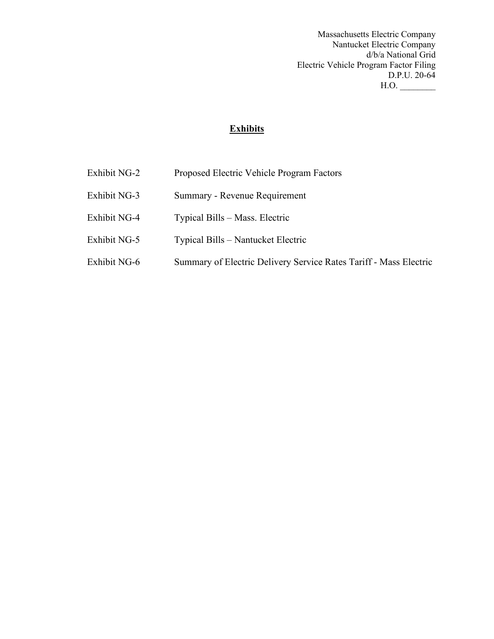Massachusetts Electric Company Nantucket Electric Company d/b/a National Grid Electric Vehicle Program Factor Filing D.P.U. 20-64  $H.O.$ 

# **Exhibits**

- Exhibit NG-2 Proposed Electric Vehicle Program Factors
- Exhibit NG-3 Summary Revenue Requirement
- Exhibit NG-4 Typical Bills Mass. Electric
- Exhibit NG-5 Typical Bills Nantucket Electric
- Exhibit NG-6 Summary of Electric Delivery Service Rates Tariff Mass Electric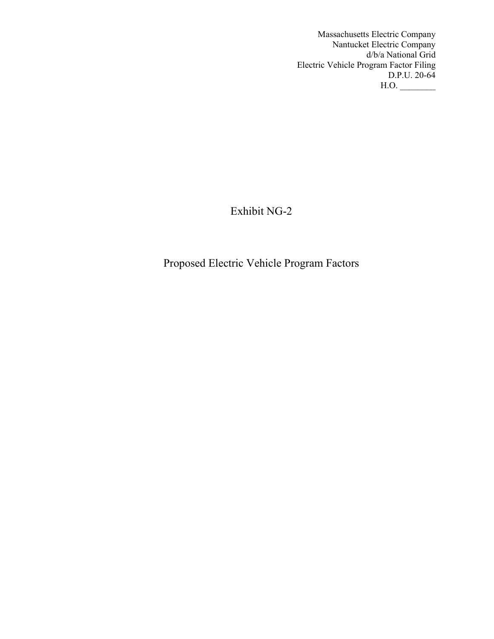Massachusetts Electric Company Nantucket Electric Company d/b/a National Grid Electric Vehicle Program Factor Filing D.P.U. 20-64  $H.O.$ 

Exhibit NG-2

Proposed Electric Vehicle Program Factors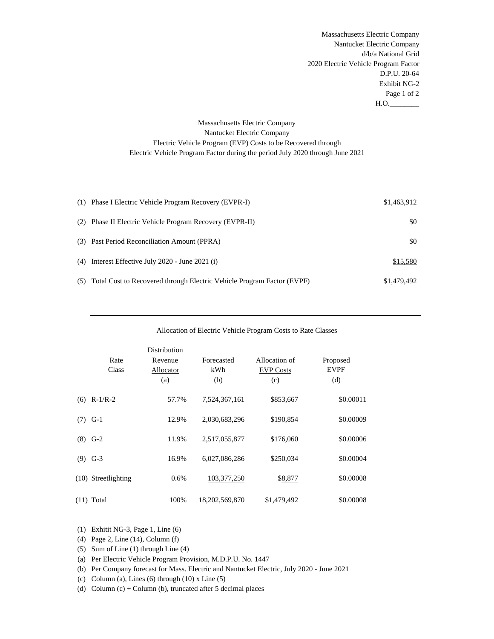Massachusetts Electric Company Nantucket Electric Company d/b/a National Grid 2020 Electric Vehicle Program Factor D.P.U. 20-64 Exhibit NG-2 Page 1 of 2  $H.O.$ 

# Massachusetts Electric Company Nantucket Electric Company Electric Vehicle Program (EVP) Costs to be Recovered through Electric Vehicle Program Factor during the period July 2020 through June 2021

| (1) Phase I Electric Vehicle Program Recovery (EVPR-I)                     | \$1,463,912 |
|----------------------------------------------------------------------------|-------------|
| (2) Phase II Electric Vehicle Program Recovery (EVPR-II)                   | \$0         |
| (3) Past Period Reconciliation Amount (PPRA)                               | \$0         |
| $(4)$ Interest Effective July 2020 - June 2021 (i)                         | \$15,580    |
| (5) Total Cost to Recovered through Electric Vehicle Program Factor (EVPF) | \$1,479,492 |

| Allocation of Electric Vehicle Program Costs to Rate Classes |  |
|--------------------------------------------------------------|--|
|--------------------------------------------------------------|--|

|     |                       | Distribution         |                   |                                   |                         |
|-----|-----------------------|----------------------|-------------------|-----------------------------------|-------------------------|
|     | Rate<br>Class         | Revenue<br>Allocator | Forecasted<br>kWh | Allocation of<br><b>EVP Costs</b> | Proposed<br><b>EVPF</b> |
|     |                       | (a)                  | (b)               | (c)                               | (d)                     |
| (6) | $R-1/R-2$             | 57.7%                | 7,524,367,161     | \$853,667                         | \$0.00011               |
| (7) | $G-1$                 | 12.9%                | 2.030.683.296     | \$190,854                         | \$0.00009               |
| (8) | $G-2$                 | 11.9%                | 2,517,055,877     | \$176,060                         | \$0.00006               |
| (9) | $G-3$                 | 16.9%                | 6,027,086,286     | \$250,034                         | \$0.00004               |
|     | $(10)$ Streetlighting | $0.6\%$              | 103, 377, 250     | \$8,877                           | \$0.00008               |
|     | $(11)$ Total          | 100%                 | 18,202,569,870    | \$1,479,492                       | \$0.00008               |

(1) Exhitit NG-3, Page 1, Line (6)

(4) Page 2, Line (14), Column (f)

(5) Sum of Line (1) through Line (4)

(a) Per Electric Vehicle Program Provision, M.D.P.U. No. 1447

(b) Per Company forecast for Mass. Electric and Nantucket Electric, July 2020 - June 2021

(c) Column (a), Lines (6) through  $(10)$  x Line  $(5)$ 

(d) Column (c)  $\div$  Column (b), truncated after 5 decimal places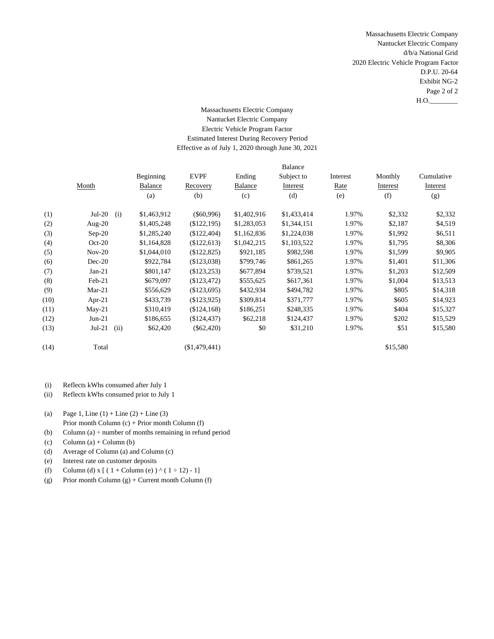Massachusetts Electric Company Nantucket Electric Company d/b/a National Grid 2020 Electric Vehicle Program Factor D.P.U. 20-64 Exhibit NG-2 Page 2 of 2  $H.O.$ 

# Massachusetts Electric Company Nantucket Electric Company Electric Vehicle Program Factor Estimated Interest During Recovery Period Effective as of July 1, 2020 through June 30, 2021

|      |                  |                |               |             | <b>Balance</b> |          |          |            |
|------|------------------|----------------|---------------|-------------|----------------|----------|----------|------------|
|      |                  | Beginning      | <b>EVPF</b>   | Ending      | Subject to     | Interest | Monthly  | Cumulative |
|      | Month            | <b>Balance</b> | Recovery      | Balance     | Interest       | Rate     | Interest | Interest   |
|      |                  | (a)            | (b)           | (c)         | (d)            | (e)      | (f)      | (g)        |
| (1)  | $Jul-20$<br>(i)  | \$1,463,912    | $(\$60,996)$  | \$1,402,916 | \$1,433,414    | 1.97%    | \$2,332  | \$2,332    |
| (2)  | Aug- $20$        | \$1,405,248    | (\$122,195)   | \$1,283,053 | \$1,344,151    | 1.97%    | \$2,187  | \$4,519    |
| (3)  | $Sep-20$         | \$1,285,240    | $(\$122,404)$ | \$1,162,836 | \$1,224,038    | 1.97%    | \$1,992  | \$6,511    |
| (4)  | $Oct-20$         | \$1,164,828    | \$122,613     | \$1,042,215 | \$1,103,522    | 1.97%    | \$1,795  | \$8,306    |
| (5)  | $Nov-20$         | \$1,044,010    | (\$122,825)   | \$921,185   | \$982,598      | 1.97%    | \$1,599  | \$9,905    |
| (6)  | $Dec-20$         | \$922,784      | (\$123,038)   | \$799,746   | \$861,265      | 1.97%    | \$1,401  | \$11,306   |
| (7)  | $Jan-21$         | \$801,147      | $(\$123,253)$ | \$677,894   | \$739,521      | 1.97%    | \$1,203  | \$12,509   |
| (8)  | Feb-21           | \$679,097      | (\$123,472)   | \$555,625   | \$617,361      | 1.97%    | \$1,004  | \$13,513   |
| (9)  | $Mar-21$         | \$556,629      | (\$123,695)   | \$432,934   | \$494,782      | 1.97%    | \$805    | \$14,318   |
| (10) | Apr-21           | \$433,739      | (\$123,925)   | \$309,814   | \$371,777      | 1.97%    | \$605    | \$14,923   |
| (11) | $May-21$         | \$310,419      | (\$124,168)   | \$186,251   | \$248,335      | 1.97%    | \$404    | \$15,327   |
| (12) | $Jun-21$         | \$186,655      | (\$124,437)   | \$62,218    | \$124,437      | 1.97%    | \$202    | \$15,529   |
| (13) | $Jul-21$<br>(ii) | \$62,420       | $(\$62,420)$  | \$0         | \$31,210       | 1.97%    | \$51     | \$15,580   |
| (14) | Total            |                | (\$1,479,441) |             |                |          | \$15,580 |            |
|      |                  |                |               |             |                |          |          |            |

- (i) Reflects kWhs consumed after July 1
- (ii) Reflects kWhs consumed prior to July 1
- (a) Page 1, Line  $(1) +$  Line  $(2) +$  Line  $(3)$
- Prior month Column (c) + Prior month Column (f)
- (b) Column  $(a) \div$  number of months remaining in refund period
- (c)  $Column(a) + Column(b)$
- (d) Average of Column (a) and Column (c)
- (e) Interest rate on customer deposits
- (f) Column (d) x [ (  $1 +$  Column (e)  $) \wedge (1 \div 12) 1$ ]
- (g) Prior month Column  $(g)$  + Current month Column  $(f)$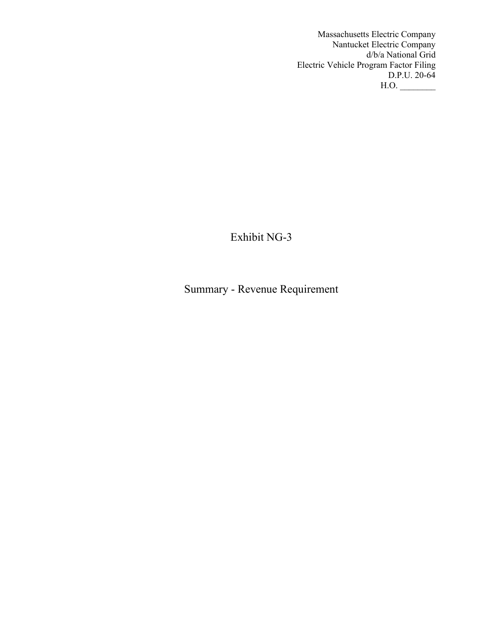Massachusetts Electric Company Nantucket Electric Company d/b/a National Grid Electric Vehicle Program Factor Filing D.P.U. 20-64  $H.O.$ 

Exhibit NG-3

Summary - Revenue Requirement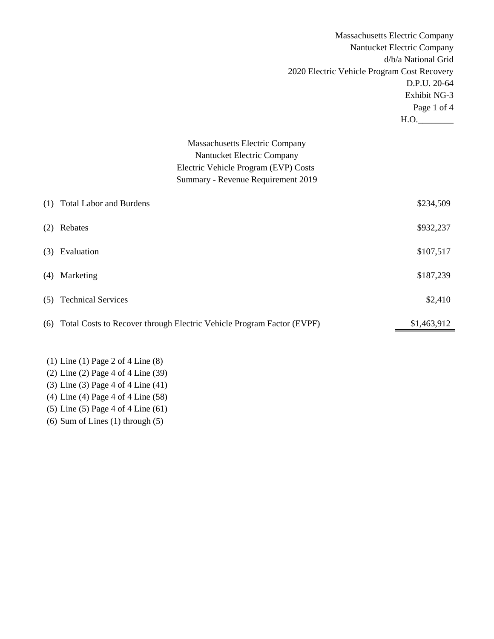|     |                                                                           | <b>Massachusetts Electric Company</b> |
|-----|---------------------------------------------------------------------------|---------------------------------------|
|     |                                                                           | Nantucket Electric Company            |
|     |                                                                           | d/b/a National Grid                   |
|     | 2020 Electric Vehicle Program Cost Recovery                               |                                       |
|     |                                                                           | D.P.U. 20-64                          |
|     |                                                                           | Exhibit NG-3                          |
|     |                                                                           | Page 1 of 4                           |
|     |                                                                           |                                       |
|     |                                                                           | H.O.                                  |
|     | <b>Massachusetts Electric Company</b>                                     |                                       |
|     | Nantucket Electric Company                                                |                                       |
|     | Electric Vehicle Program (EVP) Costs                                      |                                       |
|     | Summary - Revenue Requirement 2019                                        |                                       |
|     |                                                                           |                                       |
| (1) | <b>Total Labor and Burdens</b>                                            | \$234,509                             |
| (2) | Rebates                                                                   | \$932,237                             |
|     | (3) Evaluation                                                            | \$107,517                             |
| (4) | Marketing                                                                 | \$187,239                             |
| (5) | <b>Technical Services</b>                                                 | \$2,410                               |
|     | (6) Total Costs to Recover through Electric Vehicle Program Factor (EVPF) | \$1,463,912                           |

- (1) Line (1) Page 2 of 4 Line (8) (2) Line (2) Page 4 of 4 Line (39)
- (3) Line (3) Page 4 of 4 Line (41)
- (4) Line (4) Page 4 of 4 Line (58)
- (5) Line (5) Page 4 of 4 Line (61)
- (6) Sum of Lines (1) through (5)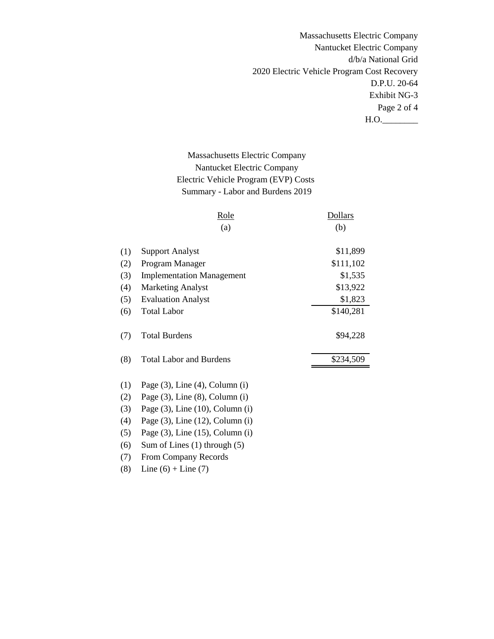Massachusetts Electric Company Nantucket Electric Company d/b/a National Grid 2020 Electric Vehicle Program Cost Recovery D.P.U. 20-64 Exhibit NG-3 Page 2 of 4  $H.O.$ 

# Massachusetts Electric Company Nantucket Electric Company Electric Vehicle Program (EVP) Costs Summary - Labor and Burdens 2019

|     | <u>Role</u>                             | <b>Dollars</b> |
|-----|-----------------------------------------|----------------|
|     | (a)                                     | (b)            |
| (1) | <b>Support Analyst</b>                  | \$11,899       |
| (2) | Program Manager                         | \$111,102      |
| (3) | <b>Implementation Management</b>        | \$1,535        |
| (4) | <b>Marketing Analyst</b>                | \$13,922       |
| (5) | <b>Evaluation Analyst</b>               | \$1,823        |
| (6) | <b>Total Labor</b>                      | \$140,281      |
| (7) | <b>Total Burdens</b>                    | \$94,228       |
| (8) | <b>Total Labor and Burdens</b>          | \$234,509      |
| (1) | Page $(3)$ , Line $(4)$ , Column $(i)$  |                |
| (2) | Page $(3)$ , Line $(8)$ , Column $(i)$  |                |
| (3) | Page $(3)$ , Line $(10)$ , Column $(i)$ |                |
| (4) | Page $(3)$ , Line $(12)$ , Column $(i)$ |                |
| (5) | Page $(3)$ , Line $(15)$ , Column $(i)$ |                |
| (6) | Sum of Lines $(1)$ through $(5)$        |                |
| (7) | From Company Records                    |                |

(8) Line  $(6) +$  Line  $(7)$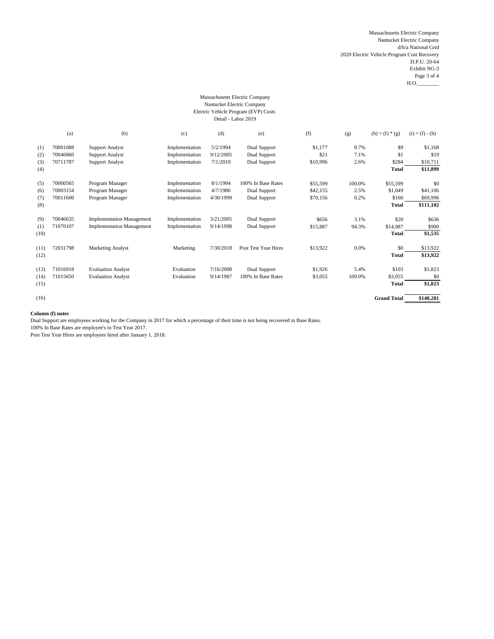Massachusetts Electric Company Nantucket Electric Company d/b/a National Grid 2020 Electric Vehicle Program Cost Recovery D.P.U. 20-64 Exhibit NG-3 Page 3 of 4  $H.O.$ 

#### Massachusetts Electric Company Nantucket Electric Company Electric Vehicle Program (EVP) Costs Detail - Labor 2019

|      | (a)      | (b)                              | (c)            | (d)       | (e)                  | (f)      | (g)    | $(h) = (f) * (g)$  | $(i) = (f) - (h)$ |
|------|----------|----------------------------------|----------------|-----------|----------------------|----------|--------|--------------------|-------------------|
| (1)  | 70001088 | <b>Support Analyst</b>           | Implementation | 5/2/1994  | Dual Support         | \$1,177  | 0.7%   | \$9                | \$1,168           |
| (2)  | 70046860 | <b>Support Analyst</b>           | Implementation | 9/12/2005 | Dual Support         | \$21     | 7.1%   | \$1                | \$19              |
| (3)  | 70711787 | <b>Support Analyst</b>           | Implementation | 7/1/2010  | Dual Support         | \$10,996 | 2.6%   | \$284              | \$10,711          |
| (4)  |          |                                  |                |           |                      |          |        | Total              | \$11,899          |
| (5)  | 70000565 | Program Manager                  | Implementation | 8/1/1994  | 100% In Base Rates   | \$55,599 | 100.0% | \$55,599           | \$0               |
| (6)  | 70003154 | Program Manager                  | Implementation | 4/7/1986  | Dual Support         | \$42,155 | 2.5%   | \$1,049            | \$41,106          |
| (7)  | 70011600 | Program Manager                  | Implementation | 4/30/1999 | Dual Support         | \$70,156 | 0.2%   | \$160              | \$69,996          |
| (8)  |          |                                  |                |           |                      |          |        | Total              | \$111,102         |
| (9)  | 70046635 | <b>Implementation Management</b> | Implementation | 3/21/2005 | Dual Support         | \$656    | 3.1%   | \$20               | \$636             |
| (1)  | 71070107 | <b>Implementation Management</b> | Implementation | 9/14/1998 | Dual Support         | \$15,887 | 94.3%  | \$14,987           | \$900             |
| (10) |          |                                  |                |           |                      |          |        | Total              | \$1,535           |
| (11) | 72031798 | <b>Marketing Analyst</b>         | Marketing      | 7/30/2018 | Post Test Year Hires | \$13,922 | 0.0%   | \$0                | \$13,922          |
| (12) |          |                                  |                |           |                      |          |        | Total              | \$13,922          |
| (13) | 71016918 | <b>Evaluation Analyst</b>        | Evaluation     | 7/16/2008 | Dual Support         | \$1,926  | 5.4%   | \$103              | \$1,823           |
| (14) | 71015650 | <b>Evaluation Analyst</b>        | Evaluation     | 9/14/1987 | 100% In Base Rates   | \$3,055  | 100.0% | \$3,055            | \$0               |
| (15) |          |                                  |                |           |                      |          |        | <b>Total</b>       | \$1,823           |
| (16) |          |                                  |                |           |                      |          |        | <b>Grand Total</b> | \$140,281         |

#### **Column (f) notes**

Dual Support are employees working for the Company in 2017 for which a percentage of their time is not being recovered in Base Rates.

100% In Base Rates are employee's in Test Year 2017.

Post Test Year Hires are employees hired after January 1, 2018.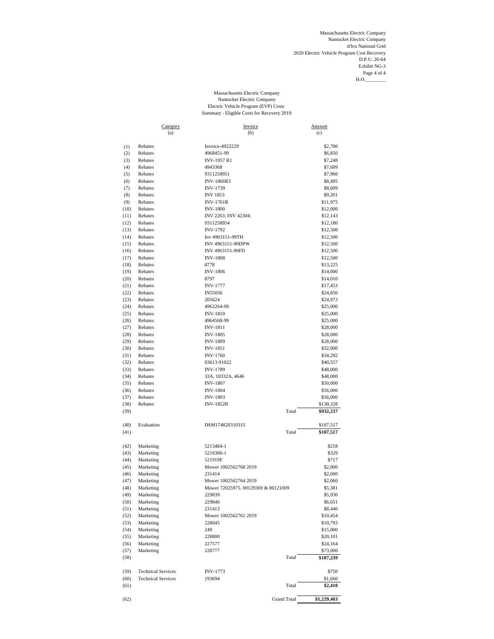Massachusetts Electric Company Nantucket Electric Company d/b/a National Grid 2020 Electric Vehicle Program Cost Recovery D.P.U. 20-64 Exhibit NG-3 Page 4 of 4  $H.O.$ 

#### Massachusetts Electric Company Nantucket Electric Company Electric Vehicle Program (EVP) Costs Summary - Eligible Costs for Recovery 2019

|              | <b>Category</b>           | Invoice                             | Amount                 |
|--------------|---------------------------|-------------------------------------|------------------------|
|              | (a)                       | (b)                                 | (c)                    |
| (1)          | Rebates                   | Invoice-4922229                     | \$2,700                |
| (2)          | Rebates                   | 4968451-99                          | \$6,850                |
| (3)          | Rebates                   | <b>INV-1957 R1</b>                  | \$7,248                |
| (4)          | Rebates                   | 4943368                             | \$7,689                |
| (5)          | Rebates                   | 9311258951                          | \$7,960                |
| (6)          | Rebates                   | <b>INV-1866R3</b>                   | \$8,495                |
| (7)          | Rebates                   | <b>INV-1739</b>                     | \$8,609                |
| (8)          | Rebates                   | <b>INV 1853</b>                     | \$9,201                |
| (9)          | Rebates                   | <b>INV-1761R</b>                    | \$11,975               |
| (10)         | Rebates                   | <b>INV-1800</b>                     | \$12,000               |
| (11)<br>(12) | Rebates<br>Rebates        | INV 2263; INV 42304;<br>9311258954  | \$12,143               |
| (13)         | Rebates                   | <b>INV-1792</b>                     | \$12,180<br>\$12,500   |
| (14)         | Rebates                   | Inv 4963151-99TH                    | \$12,500               |
| (15)         | Rebates                   | INV 4963151-99DPW                   | \$12,500               |
| (16)         | Rebates                   | INV 4963151-99FD                    | \$12,500               |
| (17)         | Rebates                   | <b>INV-1808</b>                     | \$12,500               |
| (18)         | Rebates                   | 8778                                | \$13,225               |
| (19)         | Rebates                   | <b>INV-1806</b>                     | \$14,000               |
| (20)         | Rebates                   | 8797                                | \$14,010               |
| (21)         | Rebates                   | <b>INV-1777</b>                     | \$17,453               |
| (22)         | Rebates                   | IN55056                             | \$24,850               |
| (23)         | Rebates                   | 205624                              | \$24,973               |
| (24)         | Rebates<br>Rebates        | 4962264-99                          | \$25,000<br>\$25,000   |
| (25)<br>(26) | Rebates                   | <b>INV-1810</b><br>4964568-99       | \$25,000               |
| (27)         | Rebates                   | <b>INV-1811</b>                     | \$28,000               |
| (28)         | Rebates                   | <b>INV-1805</b>                     | \$28,000               |
| (29)         | Rebates                   | <b>INV-1809</b>                     | \$28,000               |
| (30)         | Rebates                   | <b>INV-1851</b>                     | \$32,000               |
| (31)         | Rebates                   | <b>INV-1760</b>                     | \$34,292               |
| (32)         | Rebates                   | 03613-91022                         | \$40,557               |
| (33)         | Rebates                   | <b>INV-1789</b>                     | \$48,000               |
| (34)         | Rebates                   | 33A, 10332A, 4646                   | \$48,000               |
| (35)         | Rebates                   | <b>INV-1807</b>                     | \$50,000               |
| (36)         | Rebates                   | <b>INV-1804</b>                     | \$56,000               |
| (37)         | Rebates                   | <b>INV-1803</b>                     | \$56,000               |
| (38)<br>(39) | Rebates                   | <b>INV-1852R</b><br>Total           | \$130,328<br>\$932,237 |
|              |                           |                                     |                        |
| (40)         | Evaluation                | DSM174820310315                     | \$107,517              |
| (41)         |                           | Total                               | \$107,517              |
|              |                           |                                     |                        |
| (42)         | Marketing                 | 5213484-1                           | \$218                  |
| (43)         | Marketing                 | 5216380-1                           | \$329                  |
| (44)         | Marketing                 | 121919F                             | \$717                  |
| (45)         | Marketing                 | Mower 1002562768 2019               | \$2,000                |
| (46)         | Marketing                 | 231414                              | \$2,000                |
| (47)         | Marketing                 | Mower 1002562764 2019               | \$2,060                |
| (48)         | Marketing                 | Mower 72025975. 00129369 & 00121009 | \$5,381                |
| (49)<br>(50) | Marketing<br>Marketing    | 229839<br>229840                    | \$5,930<br>\$6,651     |
| (51)         | Marketing                 | 231413                              | \$8,440                |
| (52)         | Marketing                 | Mower 1002562761 2019               | \$10,454               |
| (53)         | Marketing                 | 228045                              | \$10,793               |
| (54)         | Marketing                 | 249                                 | \$15,000               |
| (55)         | Marketing                 | 228800                              | \$20,101               |
| (56)         | Marketing                 | 227577                              | \$24,164               |
| (57)         | Marketing                 | 228777                              | \$73,000               |
| (58)         |                           | Total                               | \$187,239              |
|              | <b>Technical Services</b> | <b>INV-1773</b>                     |                        |
| (59)<br>(60) | <b>Technical Services</b> | 193694                              | \$750<br>\$1,660       |
| (61)         |                           | Total                               | \$2,410                |
|              |                           |                                     |                        |
| (62)         |                           | <b>Grand Total</b>                  | \$1,229,403            |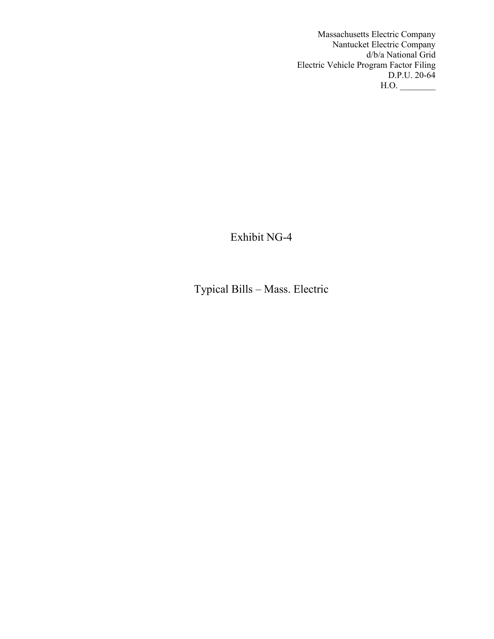Massachusetts Electric Company Nantucket Electric Company d/b/a National Grid Electric Vehicle Program Factor Filing D.P.U. 20-64  $H.O.$ 

Exhibit NG-4

Typical Bills – Mass. Electric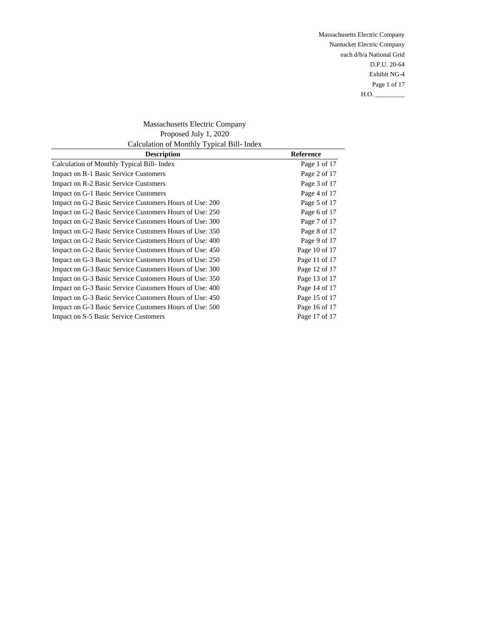Massachusetts Electric Company Nantucket Electric Company each d/b/a National Grid D.P.U. 20-64 Exhibit NG-4 Page 1 of 17 H.O. \_\_\_\_\_\_\_\_\_

Massachusetts Electric Company Proposed July 1, 2020 Calculation of Monthly Typical Bill- Index

| <b>Description</b>                                      | <b>Reference</b> |
|---------------------------------------------------------|------------------|
| Calculation of Monthly Typical Bill-Index               | Page 1 of 17     |
| Impact on R-1 Basic Service Customers                   | Page 2 of 17     |
| Impact on R-2 Basic Service Customers                   | Page 3 of 17     |
| Impact on G-1 Basic Service Customers                   | Page 4 of 17     |
| Impact on G-2 Basic Service Customers Hours of Use: 200 | Page 5 of 17     |
| Impact on G-2 Basic Service Customers Hours of Use: 250 | Page 6 of 17     |
| Impact on G-2 Basic Service Customers Hours of Use: 300 | Page 7 of 17     |
| Impact on G-2 Basic Service Customers Hours of Use: 350 | Page 8 of 17     |
| Impact on G-2 Basic Service Customers Hours of Use: 400 | Page 9 of 17     |
| Impact on G-2 Basic Service Customers Hours of Use: 450 | Page 10 of 17    |
| Impact on G-3 Basic Service Customers Hours of Use: 250 | Page 11 of 17    |
| Impact on G-3 Basic Service Customers Hours of Use: 300 | Page 12 of 17    |
| Impact on G-3 Basic Service Customers Hours of Use: 350 | Page 13 of 17    |
| Impact on G-3 Basic Service Customers Hours of Use: 400 | Page 14 of 17    |
| Impact on G-3 Basic Service Customers Hours of Use: 450 | Page 15 of 17    |
| Impact on G-3 Basic Service Customers Hours of Use: 500 | Page 16 of 17    |
| <b>Impact on S-5 Basic Service Customers</b>            | Page 17 of 17    |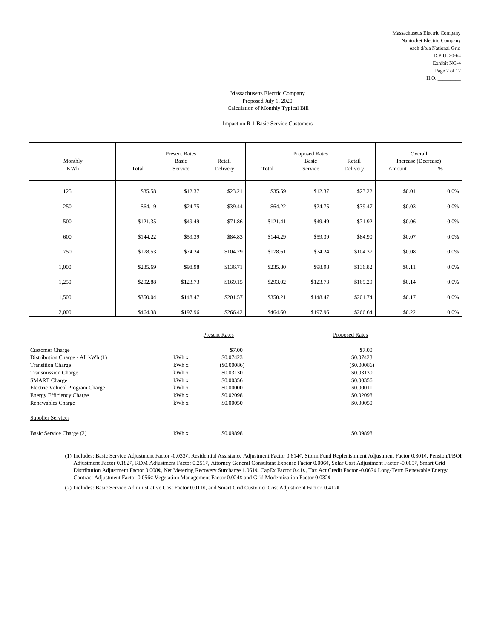### Impact on R-1 Basic Service Customers

| Monthly<br><b>KWh</b> | Total    | <b>Present Rates</b><br>Basic<br>Service | Retail<br>Delivery | Total    | <b>Proposed Rates</b><br>Basic<br>Service | Retail<br>Delivery | Overall<br>Increase (Decrease)<br>Amount | $\%$    |
|-----------------------|----------|------------------------------------------|--------------------|----------|-------------------------------------------|--------------------|------------------------------------------|---------|
| 125                   | \$35.58  | \$12.37                                  | \$23.21            | \$35.59  | \$12.37                                   | \$23.22            | \$0.01                                   | $0.0\%$ |
| 250                   | \$64.19  | \$24.75                                  | \$39.44            | \$64.22  | \$24.75                                   | \$39.47            | \$0.03                                   | 0.0%    |
| 500                   | \$121.35 | \$49.49                                  | \$71.86            | \$121.41 | \$49.49                                   | \$71.92            | \$0.06                                   | 0.0%    |
| 600                   | \$144.22 | \$59.39                                  | \$84.83            | \$144.29 | \$59.39                                   | \$84.90            | \$0.07                                   | 0.0%    |
| 750                   | \$178.53 | \$74.24                                  | \$104.29           | \$178.61 | \$74.24                                   | \$104.37           | \$0.08                                   | 0.0%    |
| 1,000                 | \$235.69 | \$98.98                                  | \$136.71           | \$235.80 | \$98.98                                   | \$136.82           | \$0.11                                   | 0.0%    |
| 1,250                 | \$292.88 | \$123.73                                 | \$169.15           | \$293.02 | \$123.73                                  | \$169.29           | \$0.14                                   | 0.0%    |
| 1,500                 | \$350.04 | \$148.47                                 | \$201.57           | \$350.21 | \$148.47                                  | \$201.74           | \$0.17                                   | 0.0%    |
| 2,000                 | \$464.38 | \$197.96                                 | \$266.42           | \$464.60 | \$197.96                                  | \$266.64           | \$0.22                                   | 0.0%    |

|                                   |       | <b>Present Rates</b> | <b>Proposed Rates</b> |  |
|-----------------------------------|-------|----------------------|-----------------------|--|
| <b>Customer Charge</b>            |       | \$7.00               | \$7.00                |  |
| Distribution Charge - All kWh (1) | kWhx  | \$0.07423            | \$0.07423             |  |
| <b>Transition Charge</b>          | kWh x | $($ \$0,00086)       | $($ \$0.00086)        |  |
| <b>Transmission Charge</b>        | kWh x | \$0.03130            | \$0.03130             |  |
| <b>SMART</b> Charge               | kWhx  | \$0,00356            | \$0.00356             |  |
| Electric Vehical Program Charge   | kWh x | \$0,00000            | \$0.00011             |  |
| <b>Energy Efficiency Charge</b>   | kWhx  | \$0.02098            | \$0.02098             |  |
| Renewables Charge                 | kWh x | \$0,00050            | \$0,00050             |  |
| <b>Supplier Services</b>          |       |                      |                       |  |
| Basic Service Charge (2)          | kWh x | \$0.09898            | \$0.09898             |  |

(1) Includes: Basic Service Adjustment Factor -0.033¢, Residential Assistance Adjustment Factor 0.614¢, Storm Fund Replenishment Adjustment Factor 0.301¢, Pension/PBOP Adjustment Factor 0.182¢, RDM Adjustment Factor 0.251¢, Attorney General Consultant Expense Factor 0.006¢, Solar Cost Adjustment Factor -0.005¢, Smart Grid Distribution Adjustment Factor 0.008¢, Net Metering Recovery Surcharge 1.061¢, CapEx Factor 0.41¢, Tax Act Credit Factor -0.067¢ Long-Term Renewable Energy Contract Adjustment Factor 0.056¢ Vegetation Management Factor 0.024¢ and Grid Modernization Factor 0.032¢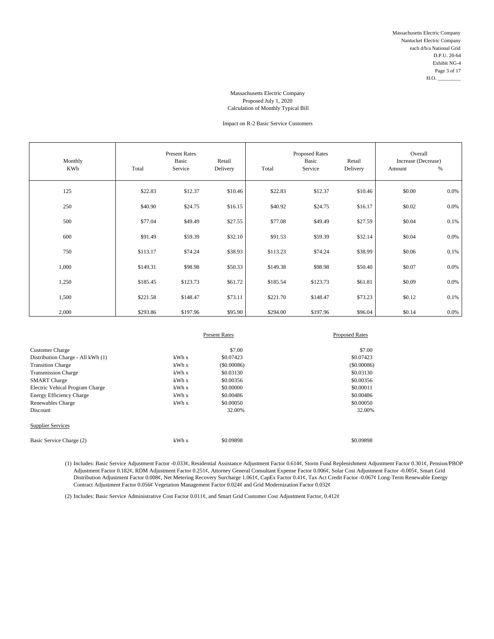### Impact on R-2 Basic Service Customers

| Monthly<br><b>KWh</b> | Total    | <b>Present Rates</b><br>Basic<br>Service | Retail<br>Delivery | Total    | <b>Proposed Rates</b><br>Basic<br>Service | Retail<br>Delivery | Overall<br>Increase (Decrease)<br>Amount | $\%$    |
|-----------------------|----------|------------------------------------------|--------------------|----------|-------------------------------------------|--------------------|------------------------------------------|---------|
| 125                   | \$22.83  | \$12.37                                  | \$10.46            | \$22.83  | \$12.37                                   | \$10.46            | \$0.00                                   | $0.0\%$ |
| 250                   | \$40.90  | \$24.75                                  | \$16.15            | \$40.92  | \$24.75                                   | \$16.17            | \$0.02                                   | $0.0\%$ |
| 500                   | \$77.04  | \$49.49                                  | \$27.55            | \$77.08  | \$49.49                                   | \$27.59            | \$0.04                                   | 0.1%    |
| 600                   | \$91.49  | \$59.39                                  | \$32.10            | \$91.53  | \$59.39                                   | \$32.14            | \$0.04                                   | $0.0\%$ |
| 750                   | \$113.17 | \$74.24                                  | \$38.93            | \$113.23 | \$74.24                                   | \$38.99            | \$0.06                                   | 0.1%    |
| 1,000                 | \$149.31 | \$98.98                                  | \$50.33            | \$149.38 | \$98.98                                   | \$50.40            | \$0.07                                   | $0.0\%$ |
| 1,250                 | \$185.45 | \$123.73                                 | \$61.72            | \$185.54 | \$123.73                                  | \$61.81            | \$0.09                                   | $0.0\%$ |
| 1,500                 | \$221.58 | \$148.47                                 | \$73.11            | \$221.70 | \$148.47                                  | \$73.23            | \$0.12                                   | 0.1%    |
| 2,000                 | \$293.86 | \$197.96                                 | \$95.90            | \$294.00 | \$197.96                                  | \$96.04            | \$0.14                                   | $0.0\%$ |

|                                   |       | <b>Present Rates</b> | <b>Proposed Rates</b> |
|-----------------------------------|-------|----------------------|-----------------------|
| <b>Customer Charge</b>            |       | \$7.00               | \$7.00                |
| Distribution Charge - All kWh (1) | kWhx  | \$0.07423            | \$0.07423             |
| <b>Transition Charge</b>          | kWhx  | $($ \$0,00086)       | $($ \$0.00086)        |
| <b>Transmission Charge</b>        | kWh x | \$0.03130            | \$0.03130             |
| <b>SMART</b> Charge               | kWhx  | \$0,00356            | \$0.00356             |
| Electric Vehical Program Charge   | kWhx  | \$0,00000            | \$0,00011             |
| <b>Energy Efficiency Charge</b>   | kWh x | \$0,00486            | \$0.00486             |
| Renewables Charge                 | kWh x | \$0,00050            | \$0,00050             |
| Discount                          |       | 32.00%               | 32.00%                |
| <b>Supplier Services</b>          |       |                      |                       |
| Basic Service Charge (2)          | kWh x | \$0.09898            | \$0.09898             |

(1) Includes: Basic Service Adjustment Factor -0.033¢, Residential Assistance Adjustment Factor 0.614¢, Storm Fund Replenishment Adjustment Factor 0.301¢, Pension/PBOP Adjustment Factor 0.182¢, RDM Adjustment Factor 0.251¢, Attorney General Consultant Expense Factor 0.006¢, Solar Cost Adjustment Factor -0.005¢, Smart Grid Distribution Adjustment Factor 0.008¢, Net Metering Recovery Surcharge 1.061¢, CapEx Factor 0.41¢, Tax Act Credit Factor -0.067¢ Long-Term Renewable Energy Contract Adjustment Factor 0.056¢ Vegetation Management Factor 0.024¢ and Grid Modernization Factor 0.032¢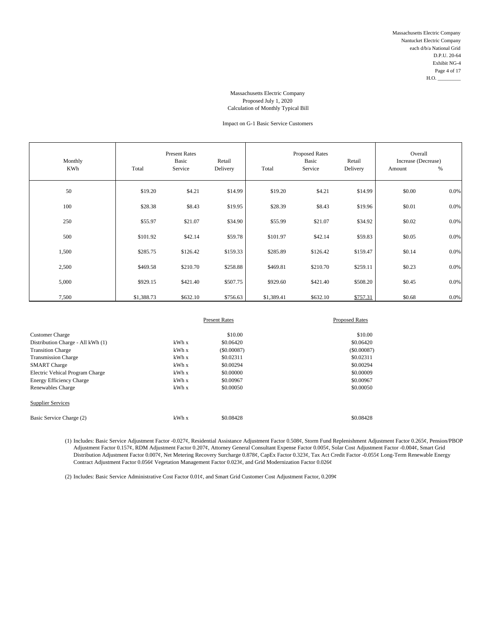### Impact on G-1 Basic Service Customers

| Monthly<br><b>KWh</b> | Total      | <b>Present Rates</b><br>Basic<br>Service | Retail<br>Delivery | Total      | <b>Proposed Rates</b><br>Basic<br>Service | Retail<br>Delivery | Overall<br>Increase (Decrease)<br>Amount | %    |
|-----------------------|------------|------------------------------------------|--------------------|------------|-------------------------------------------|--------------------|------------------------------------------|------|
| 50                    | \$19.20    | \$4.21                                   | \$14.99            | \$19.20    | \$4.21                                    | \$14.99            | \$0.00                                   | 0.0% |
| 100                   | \$28.38    | \$8.43                                   | \$19.95            | \$28.39    | \$8.43                                    | \$19.96            | \$0.01                                   | 0.0% |
| 250                   | \$55.97    | \$21.07                                  | \$34.90            | \$55.99    | \$21.07                                   | \$34.92            | \$0.02                                   | 0.0% |
| 500                   | \$101.92   | \$42.14                                  | \$59.78            | \$101.97   | \$42.14                                   | \$59.83            | \$0.05                                   | 0.0% |
| 1,500                 | \$285.75   | \$126.42                                 | \$159.33           | \$285.89   | \$126.42                                  | \$159.47           | \$0.14                                   | 0.0% |
| 2,500                 | \$469.58   | \$210.70                                 | \$258.88           | \$469.81   | \$210.70                                  | \$259.11           | \$0.23                                   | 0.0% |
| 5,000                 | \$929.15   | \$421.40                                 | \$507.75           | \$929.60   | \$421.40                                  | \$508.20           | \$0.45                                   | 0.0% |
| 7,500                 | \$1,388.73 | \$632.10                                 | \$756.63           | \$1,389.41 | \$632.10                                  | \$757.31           | \$0.68                                   | 0.0% |

|                                   |       | <b>Present Rates</b> | <b>Proposed Rates</b> |  |
|-----------------------------------|-------|----------------------|-----------------------|--|
|                                   |       |                      |                       |  |
| <b>Customer Charge</b>            |       | \$10.00              | \$10.00               |  |
| Distribution Charge - All kWh (1) | kWhx  | \$0.06420            | \$0.06420             |  |
| <b>Transition Charge</b>          | kWh x | (S0.00087)           | $($ \$0,00087)        |  |
| <b>Transmission Charge</b>        | kWh x | \$0.02311            | \$0.02311             |  |
| <b>SMART</b> Charge               | kWh x | \$0.00294            | \$0.00294             |  |
| Electric Vehical Program Charge   | kWhx  | \$0,00000            | \$0,00009             |  |
| <b>Energy Efficiency Charge</b>   | kWhx  | \$0,00967            | \$0.00967             |  |
| Renewables Charge                 | kWh x | \$0,00050            | \$0,00050             |  |
| <b>Supplier Services</b>          |       |                      |                       |  |
| Basic Service Charge (2)          | kWh x | \$0.08428            | \$0.08428             |  |

(1) Includes: Basic Service Adjustment Factor -0.027¢, Residential Assistance Adjustment Factor 0.508¢, Storm Fund Replenishment Adjustment Factor 0.265¢, Pension/PBOP Adjustment Factor 0.157¢, RDM Adjustment Factor 0.207¢, Attorney General Consultant Expense Factor 0.005¢, Solar Cost Adjustment Factor -0.004¢, Smart Grid Distribution Adjustment Factor 0.007¢, Net Metering Recovery Surcharge 0.878¢, CapEx Factor 0.323¢, Tax Act Credit Factor -0.055¢ Long-Term Renewable Energy Contract Adjustment Factor 0.056¢ Vegetation Management Factor 0.023¢, and Grid Modernization Factor 0.026¢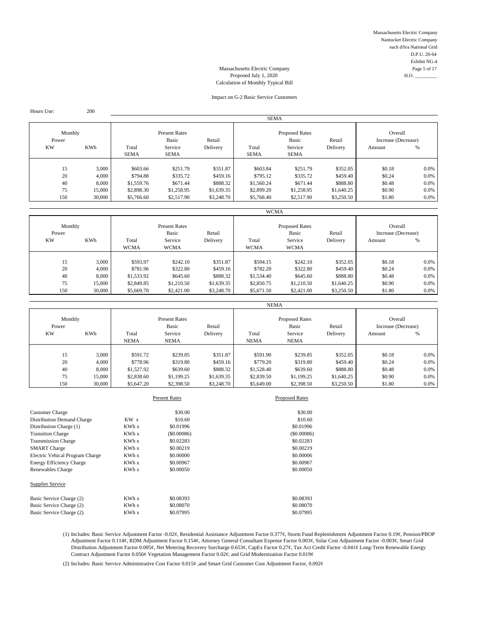Massachusetts Electric Company Nantucket Electric Company each d/b/a National Grid D.P.U. 20-64 Exhibit NG-4 Massachusetts Electric Company Page 5 of 17

# Proposed July 1, 2020 H.O. Calculation of Monthly Typical Bill

#### Impact on G-2 Basic Service Customers

SEMA Monthly **Present Rates** Present Rates **Present Rates** Proposed Rates Overall Power Masic Basic Retail Basic Retail Basic Retail Increase (Decrease)<br>
Retail Increase Checke<br>
Retail Service Delivery Potal Service Delivery Amount % KW KWh Total Service Delivery Total Service Delivery Amount % SEMA SEMA SEMA SEMA SEMA 15 3,000 \$603.66 \$251.79 \$351.87 \$603.84 \$251.79 \$352.05 \$0.18 0.0% 20 4,000 \$794.88 \$335.72 \$459.16 \$795.12 \$335.72 \$459.40 \$0.24 0.0% 40 8,000 \$1,559.76 \$671.44 \$888.32 \$1,560.24 \$671.44 \$888.80 \$0.48 0.0% 75 15,000 \$2,898.30 \$1,258.95 \$1,639.35 \$2,899.20 \$1,258.95 \$1,640.25 \$0.90 0.0% 150 30,000 \$5,766.60 \$2,517.90 \$3,248.70 \$5,768.40 \$2,517.90 \$3,250.50 \$1.80 0.0%

|                  |        |                      |                               |            | <b>WCMA</b>          |                                |            |                                |      |
|------------------|--------|----------------------|-------------------------------|------------|----------------------|--------------------------------|------------|--------------------------------|------|
| Monthly<br>Power |        |                      | <b>Present Rates</b><br>Basic | Retail     |                      | <b>Proposed Rates</b><br>Basic | Retail     | Overall<br>Increase (Decrease) |      |
| <b>KW</b>        | KWh    | Total<br><b>WCMA</b> | Service<br><b>WCMA</b>        | Delivery   | Total<br><b>WCMA</b> | Service<br><b>WCMA</b>         | Delivery   | Amount                         | %    |
|                  |        |                      |                               |            |                      |                                |            |                                |      |
| 15               | 3,000  | \$593.97             | \$242.10                      | \$351.87   | \$594.15             | \$242.10                       | \$352.05   | \$0.18                         | 0.0% |
| 20               | 4,000  | \$781.96             | \$322.80                      | \$459.16   | \$782.20             | \$322.80                       | \$459.40   | \$0.24                         | 0.0% |
| 40               | 8,000  | \$1,533.92           | \$645.60                      | \$888.32   | \$1,534.40           | \$645.60                       | \$888.80   | \$0.48                         | 0.0% |
| 75               | 15,000 | \$2,849.85           | \$1,210.50                    | \$1,639.35 | \$2,850.75           | \$1,210.50                     | \$1,640.25 | \$0.90                         | 0.0% |
| 150              | 30,000 | \$5,669.70           | \$2,421.00                    | \$3,248.70 | \$5,671.50           | \$2,421.00                     | \$3,250.50 | \$1.80                         | 0.0% |

| Monthly<br>Power<br><b>KW</b> | <b>KWh</b> | Total<br><b>NEMA</b> | <b>Present Rates</b><br>Basic<br>Service<br><b>NEMA</b> | Retail<br>Delivery | Total<br><b>NEMA</b> | <b>Proposed Rates</b><br>Basic<br>Service<br><b>NEMA</b> | Retail<br>Delivery | Overall<br>Increase (Decrease)<br>Amount | %    |
|-------------------------------|------------|----------------------|---------------------------------------------------------|--------------------|----------------------|----------------------------------------------------------|--------------------|------------------------------------------|------|
| 15                            | 3.000      | \$591.72             | \$239.85                                                | \$351.87           | \$591.90             | \$239.85                                                 | \$352.05           | \$0.18                                   | 0.0% |
| 20                            | 4,000      | \$778.96             | \$319.80                                                | \$459.16           | \$779.20             | \$319.80                                                 | \$459.40           | \$0.24                                   | 0.0% |
| 40                            | 8,000      | \$1,527.92           | \$639.60                                                | \$888.32           | \$1,528.40           | \$639.60                                                 | \$888.80           | \$0.48                                   | 0.0% |
| 75                            | 15,000     | \$2,838.60           | \$1,199.25                                              | \$1,639.35         | \$2,839.50           | \$1,199.25                                               | \$1,640.25         | \$0.90                                   | 0.0% |
| 150                           | 30,000     | \$5,647.20           | \$2,398.50                                              | \$3,248.70         | \$5,649.00           | \$2,398.50                                               | \$3,250.50         | \$1.80                                   | 0.0% |

|                                   |                 | <b>Present Rates</b> | <b>Proposed Rates</b> |
|-----------------------------------|-----------------|----------------------|-----------------------|
| <b>Customer Charge</b>            |                 | \$30.00              | \$30.00               |
| <b>Distribution Demand Charge</b> | KW <sub>x</sub> | \$10.60              | \$10.60               |
| Distribution Charge (1)           | KWh x           | \$0.01996            | \$0.01996             |
| <b>Transition Charge</b>          | KWh x           | (\$0.00086)          | (S0.00086)            |
| <b>Transmission Charge</b>        | KWh x           | \$0.02283            | \$0.02283             |
| <b>SMART</b> Charge               | KWh x           | \$0.00219            | \$0.00219             |
| Electric Vehical Program Charge   | KWh x           | \$0,00000            | \$0,00006             |
| <b>Energy Efficiency Charge</b>   | KWh x           | \$0.00967            | \$0,00967             |
| Renewables Charge                 | KWh x           | \$0,00050            | \$0,00050             |
| Supplier Service                  |                 |                      |                       |
| Basic Service Charge (2)          | KWh x           | \$0.08393            | \$0.08393             |
| Basic Service Charge (2)          | KWh x           | \$0.08070            | \$0.08070             |
| Basic Service Charge (2)          | KWh x           | \$0.07995            | \$0.07995             |

(1) Includes: Basic Service Adjustment Factor -0.02¢, Residential Assistance Adjustment Factor 0.377¢, Storm Fund Replenishment Adjustment Factor 0.19¢, Pension/PBOP Adjustment Factor 0.114¢, RDM Adjustment Factor 0.154¢, Attorney General Consultant Expense Factor 0.003¢, Solar Cost Adjustment Factor -0.003¢, Smart Grid Distribution Adjustment Factor 0.005¢, Net Metering Recovery Surcharge 0.653¢, CapEx Factor 0.27¢, Tax Act Credit Factor -0.041¢ Long-Term Renewable Energy Contract Adjustment Factor 0.056¢ Vegetation Management Factor 0.02¢, and Grid Modernization Factor 0.019¢

(2) Includes: Basic Service Administrative Cost Factor 0.015¢ ,and Smart Grid Customer Cost Adjustment Factor, 0.092¢

Hours Use: 200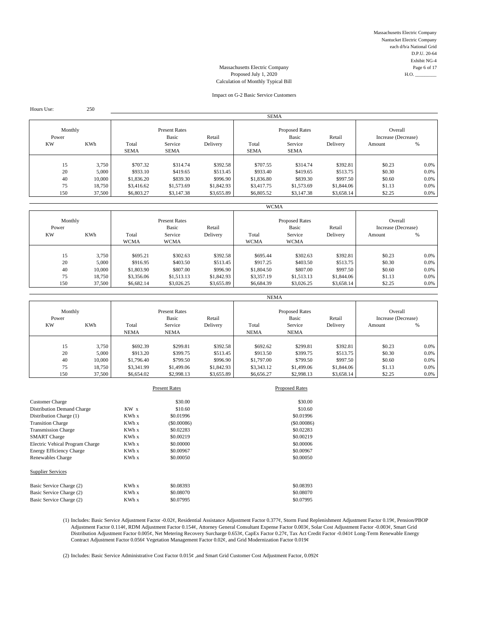Massachusetts Electric Company Nantucket Electric Company each d/b/a National Grid D.P.U. 20-64 Exhibit NG-4 Massachusetts Electric Company Page 6 of 17

# Proposed July 1, 2020 Calculation of Monthly Typical Bill

#### Impact on G-2 Basic Service Customers

| Hours Use:       | 250        |                                         |             |            |                                          |             |                                |        |         |  |  |  |
|------------------|------------|-----------------------------------------|-------------|------------|------------------------------------------|-------------|--------------------------------|--------|---------|--|--|--|
|                  |            |                                         |             |            | <b>SEMA</b>                              |             |                                |        |         |  |  |  |
| Monthly<br>Power |            | <b>Present Rates</b><br>Basic<br>Retail |             |            | <b>Proposed Rates</b><br>Basic<br>Retail |             | Overall<br>Increase (Decrease) |        |         |  |  |  |
| <b>KW</b>        | <b>KWh</b> | Total                                   | Service     | Delivery   | Total                                    | Service     | Delivery                       | Amount | %       |  |  |  |
|                  |            | <b>SEMA</b>                             | <b>SEMA</b> |            | <b>SEMA</b>                              | <b>SEMA</b> |                                |        |         |  |  |  |
|                  |            |                                         |             |            |                                          |             |                                |        |         |  |  |  |
| 15               | 3,750      | \$707.32                                | \$314.74    | \$392.58   | \$707.55                                 | \$314.74    | \$392.81                       | \$0.23 | $0.0\%$ |  |  |  |
| 20               | 5,000      | \$933.10                                | \$419.65    | \$513.45   | \$933.40                                 | \$419.65    | \$513.75                       | \$0.30 | 0.0%    |  |  |  |
| 40               | 10,000     | \$1,836.20                              | \$839.30    | \$996.90   | \$1,836.80                               | \$839.30    | \$997.50                       | \$0.60 | 0.0%    |  |  |  |
| 75               | 18,750     | \$3,416.62                              | \$1,573.69  | \$1,842.93 | \$3,417.75                               | \$1,573.69  | \$1,844.06                     | \$1.13 | 0.0%    |  |  |  |
| 150              | 37,500     | \$6,803.27                              | \$3,147.38  | \$3,655.89 | \$6,805.52                               | \$3,147.38  | \$3,658.14                     | \$2.25 | 0.0%    |  |  |  |
|                  |            |                                         |             |            |                                          |             |                                |        |         |  |  |  |

| Monthly<br>Power<br><b>KW</b> | KWh    | Total<br><b>WCMA</b> | <b>Present Rates</b><br>Basic<br>Service<br><b>WCMA</b> | Retail<br>Delivery | Total<br><b>WCMA</b> | <b>Proposed Rates</b><br>Basic<br>Service<br><b>WCMA</b> | Retail<br>Delivery | Overall<br>Increase (Decrease)<br>Amount | %       |
|-------------------------------|--------|----------------------|---------------------------------------------------------|--------------------|----------------------|----------------------------------------------------------|--------------------|------------------------------------------|---------|
| 15                            | 3,750  | \$695.21             | \$302.63                                                | \$392.58           | \$695.44             | \$302.63                                                 | \$392.81           | \$0.23                                   | 0.0%    |
| 20                            | 5,000  | \$916.95             | \$403.50                                                | \$513.45           | \$917.25             | \$403.50                                                 | \$513.75           | \$0.30                                   | 0.0%    |
| 40                            | 10,000 | \$1,803.90           | \$807.00                                                | \$996.90           | \$1,804.50           | \$807.00                                                 | \$997.50           | \$0.60                                   | 0.0%    |
| 75                            | 18,750 | \$3,356.06           | \$1,513.13                                              | \$1,842.93         | \$3,357.19           | \$1,513.13                                               | \$1,844.06         | \$1.13                                   | 0.0%    |
| 150                           | 37,500 | \$6,682.14           | \$3,026.25                                              | \$3,655.89         | \$6,684.39           | \$3,026.25                                               | \$3,658.14         | \$2.25                                   | $0.0\%$ |

| Monthly<br>Power<br><b>KW</b> | <b>KWh</b>                 | Total<br><b>NEMA</b>                   | <b>Present Rates</b><br>Basic<br>Service<br><b>NEMA</b> | Retail<br>Delivery                   | Total<br><b>NEMA</b>                   | <b>Proposed Rates</b><br>Basic<br>Service<br><b>NEMA</b> | Retail<br>Delivery               | Overall<br>Increase (Decrease)<br>Amount | %                             |
|-------------------------------|----------------------------|----------------------------------------|---------------------------------------------------------|--------------------------------------|----------------------------------------|----------------------------------------------------------|----------------------------------|------------------------------------------|-------------------------------|
| 15<br>20<br>40                | 3,750<br>5,000             | \$692.39<br>\$913.20                   | \$299.81<br>\$399.75<br>\$799.50                        | \$392.58<br>\$513.45                 | \$692.62<br>\$913.50                   | \$299.81<br>\$399.75<br>\$799.50                         | \$392.81<br>\$513.75<br>\$997.50 | \$0.23<br>\$0.30<br>\$0.60               | $0.0\%$<br>$0.0\%$            |
| 75<br>150                     | 10,000<br>18,750<br>37,500 | \$1,796.40<br>\$3,341.99<br>\$6,654.02 | \$1,499.06<br>\$2,998.13                                | \$996.90<br>\$1,842.93<br>\$3,655.89 | \$1,797.00<br>\$3,343.12<br>\$6,656.27 | \$1,499.06<br>\$2,998.13                                 | \$1,844.06<br>\$3,658.14         | \$1.13<br>\$2.25                         | $0.0\%$<br>$0.0\%$<br>$0.0\%$ |

|                                 |       | <b>Present Rates</b> | <b>Proposed Rates</b> |
|---------------------------------|-------|----------------------|-----------------------|
| <b>Customer Charge</b>          |       | \$30.00              | \$30.00               |
| Distribution Demand Charge      | KW x  | \$10.60              | \$10.60               |
| Distribution Charge (1)         | KWh x | \$0.01996            | \$0.01996             |
| <b>Transition Charge</b>        | KWh x | $($ \$0,00086)       | $($ \$0.00086)        |
| <b>Transmission Charge</b>      | KWh x | \$0.02283            | \$0.02283             |
| <b>SMART</b> Charge             | KWh x | \$0,00219            | \$0.00219             |
| Electric Vehical Program Charge | KWh x | \$0.00000            | \$0,00006             |
| <b>Energy Efficiency Charge</b> | KWh x | \$0,00967            | \$0.00967             |
| Renewables Charge               | KWh x | \$0,00050            | \$0,00050             |
| <b>Supplier Services</b>        |       |                      |                       |
| Basic Service Charge (2)        | KWh x | \$0.08393            | \$0.08393             |
| Basic Service Charge (2)        | KWh x | \$0.08070            | \$0.08070             |
| Basic Service Charge (2)        | KWh x | \$0.07995            | \$0.07995             |

(1) Includes: Basic Service Adjustment Factor -0.02¢, Residential Assistance Adjustment Factor 0.377¢, Storm Fund Replenishment Adjustment Factor 0.19¢, Pension/PBOP Adjustment Factor 0.114¢, RDM Adjustment Factor 0.154¢, Attorney General Consultant Expense Factor 0.003¢, Solar Cost Adjustment Factor -0.003¢, Smart Grid Distribution Adjustment Factor 0.005¢, Net Metering Recovery Surcharge 0.653¢, CapEx Factor 0.27¢, Tax Act Credit Factor -0.041¢ Long-Term Renewable Energy Contract Adjustment Factor 0.056¢ Vegetation Management Factor 0.02¢, and Grid Modernization Factor 0.019¢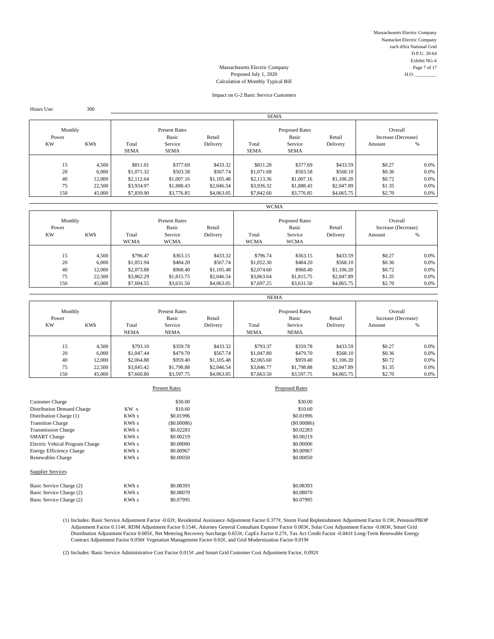Massachusetts Electric Company Nantucket Electric Company each d/b/a National Grid D.P.U. 20-64 Exhibit NG-4 Massachusetts Electric Company Page 7 of 17<br>Proposed July 1, 2020 H.O.

# Proposed July 1, 2020 Calculation of Monthly Typical Bill

#### Impact on G-2 Basic Service Customers

| Hours Use:       | 300        |                                         |             |            |                                          |             |                                |        |         |
|------------------|------------|-----------------------------------------|-------------|------------|------------------------------------------|-------------|--------------------------------|--------|---------|
|                  |            |                                         |             |            | <b>SEMA</b>                              |             |                                |        |         |
| Monthly<br>Power |            | <b>Present Rates</b><br>Basic<br>Retail |             |            | <b>Proposed Rates</b><br>Basic<br>Retail |             | Overall<br>Increase (Decrease) |        |         |
| <b>KW</b>        | <b>KWh</b> | Total                                   | Service     | Delivery   | Total                                    | Service     | Delivery                       | Amount | %       |
|                  |            | <b>SEMA</b>                             | <b>SEMA</b> |            | <b>SEMA</b>                              | <b>SEMA</b> |                                |        |         |
|                  |            |                                         |             |            |                                          |             |                                |        |         |
| 15               | 4.500      | \$811.01                                | \$377.69    | \$433.32   | \$811.28                                 | \$377.69    | \$433.59                       | \$0.27 | $0.0\%$ |
| 20               | 6,000      | \$1,071.32                              | \$503.58    | \$567.74   | \$1,071.68                               | \$503.58    | \$568.10                       | \$0.36 | 0.0%    |
| 40               | 12,000     | \$2,112.64                              | \$1,007.16  | \$1,105.48 | \$2,113.36                               | \$1,007.16  | \$1,106.20                     | \$0.72 | 0.0%    |
| 75               | 22,500     | \$3,934.97                              | \$1,888.43  | \$2,046.54 | \$3,936.32                               | \$1,888.43  | \$2,047.89                     | \$1.35 | 0.0%    |
| 150              | 45,000     | \$7,839.90                              | \$3,776.85  | \$4,063.05 | \$7,842.60                               | \$3,776.85  | \$4,065.75                     | \$2.70 | 0.0%    |
|                  |            |                                         |             |            |                                          |             |                                |        |         |

| Monthly<br>Power<br><b>KW</b> | KWh              | Total<br><b>WCMA</b>     | <b>Present Rates</b><br>Basic<br>Service<br><b>WCMA</b> | Retail<br>Delivery       | Total<br><b>WCMA</b>     | <b>Proposed Rates</b><br>Basic<br>Service<br><b>WCMA</b> | Retail<br>Delivery       | Overall<br>Increase (Decrease)<br>Amount | %               |
|-------------------------------|------------------|--------------------------|---------------------------------------------------------|--------------------------|--------------------------|----------------------------------------------------------|--------------------------|------------------------------------------|-----------------|
| 15<br>20                      | 4,500<br>6,000   | \$796.47<br>\$1,051.94   | \$363.15<br>\$484.20                                    | \$433.32<br>\$567.74     | \$796.74<br>\$1,052.30   | \$363.15<br>\$484.20                                     | \$433.59<br>\$568.10     | \$0.27<br>\$0.36                         | 0.0%<br>$0.0\%$ |
| 40<br>75                      | 12,000<br>22,500 | \$2,073.88<br>\$3,862.29 | \$968.40<br>\$1,815.75                                  | \$1,105.48<br>\$2,046.54 | \$2,074.60<br>\$3,863.64 | \$968.40<br>\$1,815.75                                   | \$1,106.20<br>\$2,047.89 | \$0.72<br>\$1.35                         | 0.0%<br>0.0%    |
| 150                           | 45,000           | \$7,694.55               | \$3,631.50                                              | \$4,063.05               | \$7,697.25               | \$3,631.50                                               | \$4,065.75               | \$2.70                                   | $0.0\%$         |

| Monthly<br>Power<br><b>KW</b> | KWh              | Total<br><b>NEMA</b>     | <b>Present Rates</b><br>Basic<br>Service<br><b>NEMA</b> | Retail<br>Delivery       | Total<br><b>NEMA</b>     | <b>Proposed Rates</b><br>Basic<br>Service<br><b>NEMA</b> | Retail<br>Delivery       | Overall<br>Increase (Decrease)<br>Amount | %                  |
|-------------------------------|------------------|--------------------------|---------------------------------------------------------|--------------------------|--------------------------|----------------------------------------------------------|--------------------------|------------------------------------------|--------------------|
| 15                            | 4,500            | \$793.10                 | \$359.78                                                | \$433.32                 | \$793.37                 | \$359.78                                                 | \$433.59                 | \$0.27                                   | $0.0\%$            |
| 20<br>40                      | 6,000<br>12,000  | \$1,047.44<br>\$2,064.88 | \$479.70<br>\$959.40                                    | \$567.74<br>\$1,105.48   | \$1,047.80<br>\$2,065.60 | \$479.70<br>\$959.40                                     | \$568.10<br>\$1,106.20   | \$0.36<br>\$0.72                         | $0.0\%$<br>$0.0\%$ |
| 75<br>150                     | 22,500<br>45,000 | \$3,845.42<br>\$7,660.80 | \$1,798.88<br>\$3,597.75                                | \$2,046.54<br>\$4,063.05 | \$3,846.77<br>\$7,663.50 | \$1,798.88<br>\$3,597.75                                 | \$2,047.89<br>\$4,065.75 | \$1.35<br>\$2.70                         | $0.0\%$<br>$0.0\%$ |

|                                 |       | <b>Present Rates</b> | <b>Proposed Rates</b> |
|---------------------------------|-------|----------------------|-----------------------|
| <b>Customer Charge</b>          |       | \$30.00              | \$30.00               |
| Distribution Demand Charge      | KW x  | \$10.60              | \$10.60               |
| Distribution Charge (1)         | KWh x | \$0.01996            | \$0.01996             |
| <b>Transition Charge</b>        | KWh x | $($ \$0,00086)       | $($ \$0.00086)        |
| <b>Transmission Charge</b>      | KWh x | \$0.02283            | \$0.02283             |
| <b>SMART</b> Charge             | KWh x | \$0,00219            | \$0.00219             |
| Electric Vehical Program Charge | KWh x | \$0.00000            | \$0,00006             |
| <b>Energy Efficiency Charge</b> | KWh x | \$0,00967            | \$0.00967             |
| Renewables Charge               | KWh x | \$0,00050            | \$0,00050             |
| <b>Supplier Services</b>        |       |                      |                       |
| Basic Service Charge (2)        | KWh x | \$0.08393            | \$0.08393             |
| Basic Service Charge (2)        | KWh x | \$0.08070            | \$0.08070             |
| Basic Service Charge (2)        | KWh x | \$0.07995            | \$0.07995             |

(1) Includes: Basic Service Adjustment Factor -0.02¢, Residential Assistance Adjustment Factor 0.377¢, Storm Fund Replenishment Adjustment Factor 0.19¢, Pension/PBOP Adjustment Factor 0.114¢, RDM Adjustment Factor 0.154¢, Attorney General Consultant Expense Factor 0.003¢, Solar Cost Adjustment Factor -0.003¢, Smart Grid Distribution Adjustment Factor 0.005¢, Net Metering Recovery Surcharge 0.653¢, CapEx Factor 0.27¢, Tax Act Credit Factor -0.041¢ Long-Term Renewable Energy Contract Adjustment Factor 0.056¢ Vegetation Management Factor 0.02¢, and Grid Modernization Factor 0.019¢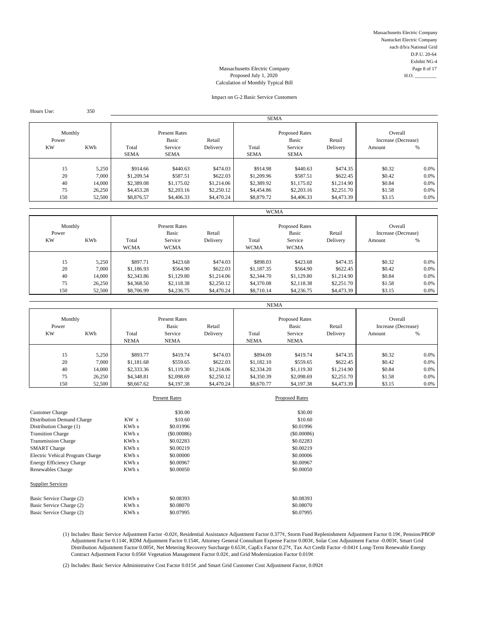Massachusetts Electric Company Nantucket Electric Company each d/b/a National Grid D.P.U. 20-64 Exhibit NG-4 Massachusetts Electric Company Page 8 of 17

# Proposed July 1, 2020  $\qquad$  H.O.  $\qquad$ Calculation of Monthly Typical Bill

#### Impact on G-2 Basic Service Customers

SEMA Monthly **Present Rates** Present Rates **Present Rates** Proposed Rates Overall Power Masic Basic Retail Basic Retail Basic Retail Increase (Decrease)<br>
Retail Increase Checke<br>
Retail Service Delivery Potal Service Delivery Amount % KW KWh Total Service Delivery Total Service Delivery Amount % SEMA SEMA SEMA SEMA SEMA 15 5,250 \$914.66 \$440.63 \$474.03 \$914.98 \$440.63 \$474.35 \$0.32 0.0% 20 7,000 \$1,209.54 \$587.51 \$622.03 \$1,209.96 \$587.51 \$622.45 \$0.42 0.0% 40 14,000 \$2,389.08 \$1,175.02 \$1,214.06 \$2,389.92 \$1,175.02 \$1,214.90 \$0.84 0.0% 75 26,250 \$4,453.28 \$2,203.16 \$2,250.12 \$4,454.86 \$2,203.16 \$2,251.70 \$1.58 0.0% 150 52,500 \$8,876.57 \$4,406.33 \$4,470.24 \$8,879.72 \$4,406.33 \$4,473.39 \$3.15 0.0%

Hours Use: 350

|                                             |        |                                                                         |             |                                                                          | <b>WCMA</b> |             |                                               |        |         |
|---------------------------------------------|--------|-------------------------------------------------------------------------|-------------|--------------------------------------------------------------------------|-------------|-------------|-----------------------------------------------|--------|---------|
| Monthly<br>Power<br><b>KW</b><br><b>KWh</b> |        | <b>Present Rates</b><br>Basic<br>Retail<br>Service<br>Total<br>Delivery |             | <b>Proposed Rates</b><br>Basic<br>Retail<br>Service<br>Total<br>Delivery |             |             | Overall<br>Increase (Decrease)<br>%<br>Amount |        |         |
|                                             |        | <b>WCMA</b>                                                             | <b>WCMA</b> |                                                                          | <b>WCMA</b> | <b>WCMA</b> |                                               |        |         |
|                                             |        |                                                                         |             |                                                                          |             |             |                                               |        |         |
| 15                                          | 5.250  | \$897.71                                                                | \$423.68    | \$474.03                                                                 | \$898.03    | \$423.68    | \$474.35                                      | \$0.32 | 0.0%    |
| 20                                          | 7.000  | \$1,186.93                                                              | \$564.90    | \$622.03                                                                 | \$1,187.35  | \$564.90    | \$622.45                                      | \$0.42 | $0.0\%$ |
| 40                                          | 14,000 | \$2,343.86                                                              | \$1,129.80  | \$1,214.06                                                               | \$2,344.70  | \$1,129.80  | \$1,214.90                                    | \$0.84 | 0.0%    |
| 75                                          | 26,250 | \$4,368.50                                                              | \$2,118.38  | \$2,250.12                                                               | \$4,370.08  | \$2,118.38  | \$2,251.70                                    | \$1.58 | 0.0%    |
| 150                                         | 52,500 | \$8,706.99                                                              | \$4,236.75  | \$4,470.24                                                               | \$8,710.14  | \$4,236.75  | \$4,473.39                                    | \$3.15 | 0.0%    |

|                               |            |                      |                                                         |                    | <b>NEMA</b>          |                                                          |                    |                                          |      |
|-------------------------------|------------|----------------------|---------------------------------------------------------|--------------------|----------------------|----------------------------------------------------------|--------------------|------------------------------------------|------|
| Monthly<br>Power<br><b>KW</b> | <b>KWh</b> | Total<br><b>NEMA</b> | <b>Present Rates</b><br>Basic<br>Service<br><b>NEMA</b> | Retail<br>Delivery | Total<br><b>NEMA</b> | <b>Proposed Rates</b><br>Basic<br>Service<br><b>NEMA</b> | Retail<br>Delivery | Overall<br>Increase (Decrease)<br>Amount | %    |
| 15                            | 5,250      | \$893.77             | \$419.74                                                | \$474.03           | \$894.09             | \$419.74                                                 | \$474.35           | \$0.32                                   | 0.0% |
| 20                            | 7.000      | \$1,181.68           | \$559.65                                                | \$622.03           | \$1,182.10           | \$559.65                                                 | \$622.45           | \$0.42                                   | 0.0% |
| 40                            | 14,000     | \$2,333.36           | \$1,119.30                                              | \$1,214.06         | \$2,334.20           | \$1,119.30                                               | \$1,214.90         | \$0.84                                   | 0.0% |
| 75                            | 26,250     | \$4,348.81           | \$2,098.69                                              | \$2,250.12         | \$4,350.39           | \$2,098.69                                               | \$2,251.70         | \$1.58                                   | 0.0% |
| 150                           | 52,500     | \$8,667.62           | \$4,197.38                                              | \$4,470.24         | \$8,670.77           | \$4,197.38                                               | \$4,473.39         | \$3.15                                   | 0.0% |

|                                   |                 | <b>Present Rates</b> | <b>Proposed Rates</b> |
|-----------------------------------|-----------------|----------------------|-----------------------|
| <b>Customer Charge</b>            |                 | \$30.00              | \$30.00               |
| <b>Distribution Demand Charge</b> | KW <sub>x</sub> | \$10.60              | \$10.60               |
| Distribution Charge (1)           | KWh x           | \$0.01996            | \$0.01996             |
| <b>Transition Charge</b>          | KWh x           | $($ \$0.00086)       | (S0.00086)            |
| <b>Transmission Charge</b>        | KWh x           | \$0.02283            | \$0.02283             |
| <b>SMART</b> Charge               | KWh x           | \$0.00219            | \$0.00219             |
| Electric Vehical Program Charge   | KWh x           | \$0,00000            | \$0,00006             |
| Energy Efficiency Charge          | KWh x           | \$0.00967            | \$0,00967             |
| Renewables Charge                 | KWh x           | \$0,00050            | \$0,00050             |
| <b>Supplier Services</b>          |                 |                      |                       |
| Basic Service Charge (2)          | KWh x           | \$0.08393            | \$0.08393             |
| Basic Service Charge (2)          | KWh x           | \$0.08070            | \$0.08070             |
| Basic Service Charge (2)          | KWh x           | \$0.07995            | \$0.07995             |

(1) Includes: Basic Service Adjustment Factor -0.02¢, Residential Assistance Adjustment Factor 0.377¢, Storm Fund Replenishment Adjustment Factor 0.19¢, Pension/PBOP Adjustment Factor 0.114¢, RDM Adjustment Factor 0.154¢, Attorney General Consultant Expense Factor 0.003¢, Solar Cost Adjustment Factor -0.003¢, Smart Grid Distribution Adjustment Factor 0.005¢, Net Metering Recovery Surcharge 0.653¢, CapEx Factor 0.27¢, Tax Act Credit Factor -0.041¢ Long-Term Renewable Energy Contract Adjustment Factor 0.056¢ Vegetation Management Factor 0.02¢, and Grid Modernization Factor 0.019¢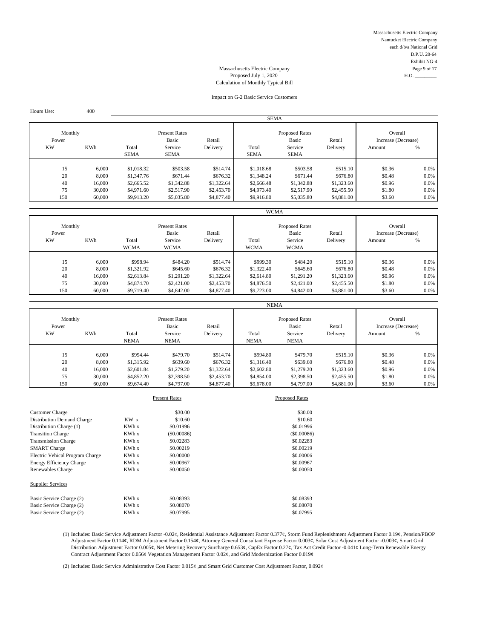Massachusetts Electric Company Nantucket Electric Company each d/b/a National Grid D.P.U. 20-64 Exhibit NG-4 Massachusetts Electric Company Page 9 of 17

# Proposed July 1, 2020  $\qquad$  H.O.  $\qquad$ Calculation of Monthly Typical Bill

#### Impact on G-2 Basic Service Customers

SEMA Monthly **Present Rates** Present Rates **Present Rates** Proposed Rates Overall Power Masic Basic Retail Basic Retail Basic Retail Increase (Decrease)<br>
Retail Increase Checke<br>
Retail Service Delivery Potal Service Delivery Amount % KW KWh Total Service Delivery Total Service Delivery Amount % SEMA SEMA SEMA SEMA SEMA 15 6,000 \$1,018.32 \$503.58 \$514.74 \$1,018.68 \$503.58 \$515.10 \$0.36 0.0% 20 8,000 \$1,347.76 \$671.44 \$676.32 \$1,348.24 \$671.44 \$676.80 \$0.48 0.0% 40 16,000 \$2,665.52 \$1,342.88 \$1,322.64 \$2,666.48 \$1,342.88 \$1,323.60 \$0.96 0.0% 75 30,000 \$4,971.60 \$2,517.90 \$2,453.70 \$4,973.40 \$2,517.90 \$2,455.50 \$1.80 0.0% 150 60,000 \$9,913.20 \$5,035.80 \$4,877.40 \$9,916.80 \$5,035.80 \$4,881.00 \$3.60 0.0%

|                  |            |             |                               |            | <b>WCMA</b> |                                |            |                                |      |
|------------------|------------|-------------|-------------------------------|------------|-------------|--------------------------------|------------|--------------------------------|------|
| Monthly<br>Power |            |             | <b>Present Rates</b><br>Basic | Retail     |             | <b>Proposed Rates</b><br>Basic | Retail     | Overall<br>Increase (Decrease) |      |
| <b>KW</b>        | <b>KWh</b> | Total       | Service                       | Delivery   | Total       | Service                        | Delivery   | Amount                         | %    |
|                  |            | <b>WCMA</b> | <b>WCMA</b>                   |            | <b>WCMA</b> | <b>WCMA</b>                    |            |                                |      |
|                  |            |             |                               |            |             |                                |            |                                |      |
| 15               | 6,000      | \$998.94    | \$484.20                      | \$514.74   | \$999.30    | \$484.20                       | \$515.10   | \$0.36                         | 0.0% |
| 20               | 8,000      | \$1,321.92  | \$645.60                      | \$676.32   | \$1,322.40  | \$645.60                       | \$676.80   | \$0.48                         | 0.0% |
| 40               | 16,000     | \$2,613.84  | \$1,291.20                    | \$1,322.64 | \$2,614.80  | \$1,291.20                     | \$1,323.60 | \$0.96                         | 0.0% |
| 75               | 30,000     | \$4,874.70  | \$2,421.00                    | \$2,453.70 | \$4,876.50  | \$2,421.00                     | \$2,455.50 | \$1.80                         | 0.0% |
| 150              | 60,000     | \$9,719.40  | \$4,842.00                    | \$4,877.40 | \$9,723.00  | \$4,842.00                     | \$4,881.00 | \$3.60                         | 0.0% |

|                                      |        |                      |                                                         |                    | <b>NEMA</b>          |                                                          |                    |                                          |      |
|--------------------------------------|--------|----------------------|---------------------------------------------------------|--------------------|----------------------|----------------------------------------------------------|--------------------|------------------------------------------|------|
| Monthly<br>Power<br>KWh<br><b>KW</b> |        | Total<br><b>NEMA</b> | <b>Present Rates</b><br>Basic<br>Service<br><b>NEMA</b> | Retail<br>Delivery | Total<br><b>NEMA</b> | <b>Proposed Rates</b><br>Basic<br>Service<br><b>NEMA</b> | Retail<br>Delivery | Overall<br>Increase (Decrease)<br>Amount | %    |
|                                      |        |                      |                                                         |                    |                      |                                                          |                    |                                          |      |
| 15                                   | 6.000  | \$994.44             | \$479.70                                                | \$514.74           | \$994.80             | \$479.70                                                 | \$515.10           | \$0.36                                   | 0.0% |
| 20                                   | 8,000  | \$1,315.92           | \$639.60                                                | \$676.32           | \$1,316.40           | \$639.60                                                 | \$676.80           | \$0.48                                   | 0.0% |
| 40                                   | 16,000 | \$2,601.84           | \$1,279.20                                              | \$1,322.64         | \$2,602.80           | \$1,279.20                                               | \$1,323.60         | \$0.96                                   | 0.0% |
| 75                                   | 30,000 | \$4,852.20           | \$2,398.50                                              | \$2,453.70         | \$4,854.00           | \$2,398.50                                               | \$2,455.50         | \$1.80                                   | 0.0% |
| 150                                  | 60,000 | \$9,674.40           | \$4,797.00                                              | \$4,877.40         | \$9,678.00           | \$4,797.00                                               | \$4,881.00         | \$3.60                                   | 0.0% |

|                                   |                 | <b>Present Rates</b> | <b>Proposed Rates</b> |
|-----------------------------------|-----------------|----------------------|-----------------------|
| <b>Customer Charge</b>            |                 | \$30.00              | \$30.00               |
| <b>Distribution Demand Charge</b> | KW <sub>x</sub> | \$10.60              | \$10.60               |
| Distribution Charge (1)           | KWh x           | \$0.01996            | \$0.01996             |
| <b>Transition Charge</b>          | KWh x           | $($ \$0.00086)       | (S0.00086)            |
| <b>Transmission Charge</b>        | KWh x           | \$0.02283            | \$0.02283             |
| <b>SMART</b> Charge               | KWh x           | \$0.00219            | \$0.00219             |
| Electric Vehical Program Charge   | KWh x           | \$0,00000            | \$0,00006             |
| Energy Efficiency Charge          | KWh x           | \$0.00967            | \$0,00967             |
| Renewables Charge                 | KWh x           | \$0,00050            | \$0,00050             |
| <b>Supplier Services</b>          |                 |                      |                       |
| Basic Service Charge (2)          | KWh x           | \$0.08393            | \$0.08393             |
| Basic Service Charge (2)          | KWh x           | \$0.08070            | \$0.08070             |
| Basic Service Charge (2)          | KWh x           | \$0.07995            | \$0.07995             |

Hours Use: 400

(1) Includes: Basic Service Adjustment Factor -0.02¢, Residential Assistance Adjustment Factor 0.377¢, Storm Fund Replenishment Adjustment Factor 0.19¢, Pension/PBOP Adjustment Factor 0.114¢, RDM Adjustment Factor 0.154¢, Attorney General Consultant Expense Factor 0.003¢, Solar Cost Adjustment Factor -0.003¢, Smart Grid Distribution Adjustment Factor 0.005¢, Net Metering Recovery Surcharge 0.653¢, CapEx Factor 0.27¢, Tax Act Credit Factor -0.041¢ Long-Term Renewable Energy Contract Adjustment Factor 0.056¢ Vegetation Management Factor 0.02¢, and Grid Modernization Factor 0.019¢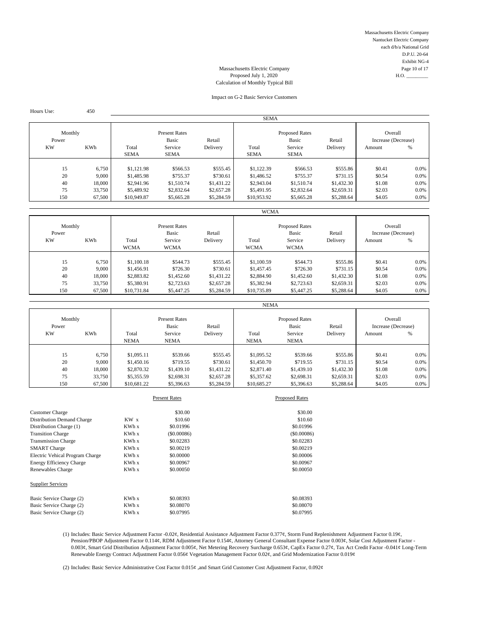Massachusetts Electric Company Nantucket Electric Company each d/b/a National Grid D.P.U. 20-64 Exhibit NG-4

### Massachusetts Electric Company Page 10 of 17 Proposed July 1, 2020 Calculation of Monthly Typical Bill

## Impact on G-2 Basic Service Customers

| Hours Use:       | 450              |                          |                                         |                          |                          |                                |                          |                                |              |
|------------------|------------------|--------------------------|-----------------------------------------|--------------------------|--------------------------|--------------------------------|--------------------------|--------------------------------|--------------|
|                  |                  |                          |                                         |                          | <b>SEMA</b>              |                                |                          |                                |              |
| Monthly<br>Power |                  |                          | <b>Present Rates</b><br>Basic<br>Retail |                          |                          | <b>Proposed Rates</b><br>Basic | Retail                   | Overall<br>Increase (Decrease) |              |
| <b>KW</b>        | <b>KWh</b>       | Total<br><b>SEMA</b>     | Service<br>SEMA                         | Delivery                 | Total<br><b>SEMA</b>     | Service<br><b>SEMA</b>         | Delivery                 | Amount                         | %            |
| 15               | 6,750            | \$1,121.98               | \$566.53                                | \$555.45                 | \$1,122.39               | \$566.53                       | \$555.86                 | \$0.41                         | $0.0\%$      |
| 20               | 9,000            | \$1,485.98               | \$755.37                                | \$730.61                 | \$1,486.52               | \$755.37                       | \$731.15                 | \$0.54                         | 0.0%         |
| 40<br>75         | 18,000<br>33,750 | \$2,941.96<br>\$5,489.92 | \$1,510.74<br>\$2,832.64                | \$1,431.22<br>\$2,657.28 | \$2,943.04<br>\$5,491.95 | \$1,510.74<br>\$2,832.64       | \$1,432.30<br>\$2,659.31 | \$1.08<br>\$2.03               | 0.0%<br>0.0% |
| 150              | 67,500           | \$10,949.87              | \$5,665.28                              | \$5,284.59               | \$10,953.92              | \$5,665.28                     | \$5,288.64               | \$4.05                         | $0.0\%$      |

|                  |            |                                         |             |                                          | <b>WCMA</b> |             |                                |        |      |
|------------------|------------|-----------------------------------------|-------------|------------------------------------------|-------------|-------------|--------------------------------|--------|------|
| Monthly<br>Power |            | <b>Present Rates</b><br>Basic<br>Retail |             | <b>Proposed Rates</b><br>Basic<br>Retail |             |             | Overall<br>Increase (Decrease) |        |      |
| <b>KW</b>        | <b>KWh</b> | Total                                   | Service     | Delivery                                 | Total       | Service     | Delivery                       | Amount | %    |
|                  |            | <b>WCMA</b>                             | <b>WCMA</b> |                                          | <b>WCMA</b> | <b>WCMA</b> |                                |        |      |
|                  |            |                                         |             |                                          |             |             |                                |        |      |
| 15               | 6.750      | \$1,100.18                              | \$544.73    | \$555.45                                 | \$1,100.59  | \$544.73    | \$555.86                       | \$0.41 | 0.0% |
| 20               | 9.000      | \$1,456.91                              | \$726.30    | \$730.61                                 | \$1,457.45  | \$726.30    | \$731.15                       | \$0.54 | 0.0% |
| 40               | 18,000     | \$2,883.82                              | \$1,452.60  | \$1,431.22                               | \$2,884.90  | \$1,452.60  | \$1,432.30                     | \$1.08 | 0.0% |
| 75               | 33,750     | \$5,380.91                              | \$2,723.63  | \$2,657.28                               | \$5,382.94  | \$2,723.63  | \$2,659.31                     | \$2.03 | 0.0% |
| 150              | 67,500     | \$10,731.84                             | \$5,447.25  | \$5,284.59                               | \$10,735.89 | \$5,447.25  | \$5,288.64                     | \$4.05 | 0.0% |

|                               |        |                      |                                                         |                    | <b>NEMA</b>          |                                                          |                    |                                          |         |
|-------------------------------|--------|----------------------|---------------------------------------------------------|--------------------|----------------------|----------------------------------------------------------|--------------------|------------------------------------------|---------|
| Monthly<br>Power<br><b>KW</b> | KWh    | Total<br><b>NEMA</b> | <b>Present Rates</b><br>Basic<br>Service<br><b>NEMA</b> | Retail<br>Delivery | Total<br><b>NEMA</b> | <b>Proposed Rates</b><br>Basic<br>Service<br><b>NEMA</b> | Retail<br>Delivery | Overall<br>Increase (Decrease)<br>Amount | %       |
| 15                            | 6.750  | \$1,095.11           | \$539.66                                                | \$555.45           | \$1,095.52           | \$539.66                                                 | \$555.86           | \$0.41                                   | $0.0\%$ |
| 20                            | 9,000  | \$1,450.16           | \$719.55                                                | \$730.61           | \$1,450.70           | \$719.55                                                 | \$731.15           | \$0.54                                   | $0.0\%$ |
| 40                            | 18,000 | \$2,870.32           | \$1,439.10                                              | \$1,431.22         | \$2,871.40           | \$1,439.10                                               | \$1,432.30         | \$1.08                                   | $0.0\%$ |
| 75                            | 33,750 | \$5,355.59           | \$2,698.31                                              | \$2,657.28         | \$5,357.62           | \$2,698.31                                               | \$2,659.31         | \$2.03                                   | $0.0\%$ |
| 150                           | 67.500 | \$10,681.22          | \$5,396.63                                              | \$5,284.59         | \$10,685.27          | \$5,396.63                                               | \$5,288.64         | \$4.05                                   | $0.0\%$ |

|                                   |                 | <b>Present Rates</b> | <b>Proposed Rates</b> |
|-----------------------------------|-----------------|----------------------|-----------------------|
| <b>Customer Charge</b>            |                 | \$30.00              | \$30.00               |
| <b>Distribution Demand Charge</b> | KW <sub>x</sub> | \$10.60              | \$10.60               |
| Distribution Charge (1)           | KWh x           | \$0.01996            | \$0.01996             |
| <b>Transition Charge</b>          | KWh x           | $($ \$0.00086)       | $($ \$0.00086 $)$     |
| <b>Transmission Charge</b>        | KWh x           | \$0.02283            | \$0.02283             |
| <b>SMART</b> Charge               | KWh x           | \$0.00219            | \$0.00219             |
| Electric Vehical Program Charge   | KWh x           | \$0,00000            | \$0,00006             |
| Energy Efficiency Charge          | KWh x           | \$0.00967            | \$0,00967             |
| Renewables Charge                 | KWh x           | \$0,00050            | \$0,00050             |
| <b>Supplier Services</b>          |                 |                      |                       |
| Basic Service Charge (2)          | KWh x           | \$0.08393            | \$0.08393             |
| Basic Service Charge (2)          | KWh x           | \$0,08070            | \$0.08070             |
| Basic Service Charge (2)          | KWh x           | \$0.07995            | \$0.07995             |

(1) Includes: Basic Service Adjustment Factor -0.02¢, Residential Assistance Adjustment Factor 0.377¢, Storm Fund Replenishment Adjustment Factor 0.19¢, Pension/PBOP Adjustment Factor 0.114¢, RDM Adjustment Factor 0.154¢, Attorney General Consultant Expense Factor 0.003¢, Solar Cost Adjustment Factor - 0.003¢, Smart Grid Distribution Adjustment Factor 0.005¢, Net Metering Recovery Surcharge 0.653¢, CapEx Factor 0.27¢, Tax Act Credit Factor -0.041¢ Long-Term Renewable Energy Contract Adjustment Factor 0.056¢ Vegetation Management Factor 0.02¢, and Grid Modernization Factor 0.019¢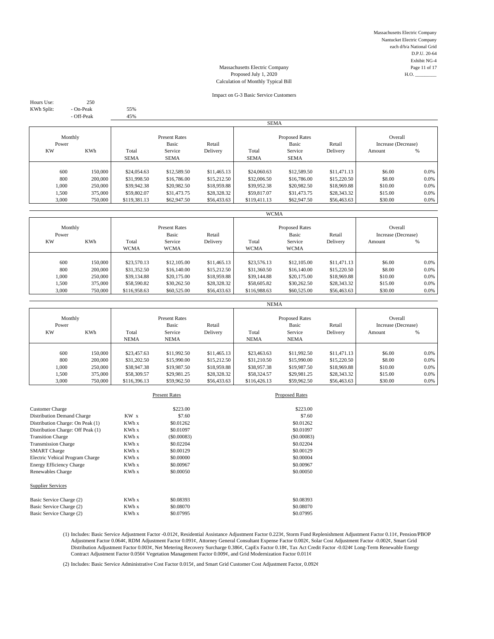Massachusetts Electric Company Nantucket Electric Company each d/b/a National Grid D.P.U. 20-64 Exhibit NG-4 Massachusetts Electric Company Page 11 of 17<br>Proposed July 1, 2020 H.O.

# Proposed July 1, 2020 Calculation of Monthly Typical Bill

#### Impact on G-3 Basic Service Customers

Hours Use: 250 KWh Split: - On-Peak 55%

- Off-Peak 45%

|                  |            |                                         |                        |                                          | <b>SEMA</b>          |                        |                                |         |         |
|------------------|------------|-----------------------------------------|------------------------|------------------------------------------|----------------------|------------------------|--------------------------------|---------|---------|
| Monthly<br>Power |            | <b>Present Rates</b><br>Basic<br>Retail |                        | <b>Proposed Rates</b><br>Basic<br>Retail |                      |                        | Overall<br>Increase (Decrease) |         |         |
| <b>KW</b>        | <b>KWh</b> | Total<br><b>SEMA</b>                    | Service<br><b>SEMA</b> | Delivery                                 | Total<br><b>SEMA</b> | Service<br><b>SEMA</b> | Delivery                       | Amount  | %       |
|                  |            |                                         |                        |                                          |                      |                        |                                |         |         |
| 600              | 150,000    | \$24,054.63                             | \$12,589.50            | \$11,465.13                              | \$24,060.63          | \$12,589.50            | \$11,471.13                    | \$6.00  | 0.0%    |
| 800              | 200,000    | \$31,998.50                             | \$16,786.00            | \$15,212.50                              | \$32,006.50          | \$16,786.00            | \$15,220.50                    | \$8.00  | 0.0%    |
| 1.000            | 250,000    | \$39,942.38                             | \$20,982.50            | \$18,959.88                              | \$39,952.38          | \$20,982.50            | \$18,969.88                    | \$10.00 | $0.0\%$ |
| 1,500            | 375,000    | \$59,802.07                             | \$31,473.75            | \$28,328.32                              | \$59,817.07          | \$31,473.75            | \$28,343.32                    | \$15.00 | $0.0\%$ |
| 3,000            | 750,000    | \$119,381.13                            | \$62,947.50            | \$56,433.63                              | \$119,411.13         | \$62,947.50            | \$56,463.63                    | \$30.00 | $0.0\%$ |
|                  |            |                                         |                        |                                          |                      |                        |                                |         |         |

|                  |                    |                             |                               |                            | <b>WCMA</b>                 |                                |                            |                                |                 |
|------------------|--------------------|-----------------------------|-------------------------------|----------------------------|-----------------------------|--------------------------------|----------------------------|--------------------------------|-----------------|
| Monthly<br>Power |                    |                             | <b>Present Rates</b><br>Basic | Retail                     |                             | <b>Proposed Rates</b><br>Basic | Retail                     | Overall<br>Increase (Decrease) |                 |
| <b>KW</b>        | <b>KWh</b>         | Total<br><b>WCMA</b>        | Service<br><b>WCMA</b>        | Delivery                   | Total<br><b>WCMA</b>        | Service<br><b>WCMA</b>         | Delivery                   | Amount                         | %               |
| 600              | 150,000            | \$23,570.13                 | \$12,105.00                   | \$11,465.13                | \$23,576.13                 | \$12,105.00                    | \$11,471.13                | \$6.00                         | 0.0%            |
| 800<br>1,000     | 200,000<br>250,000 | \$31,352.50<br>\$39,134.88  | \$16,140.00<br>\$20,175.00    | \$15,212.50<br>\$18,959.88 | \$31,360.50<br>\$39,144.88  | \$16,140.00<br>\$20,175.00     | \$15,220.50<br>\$18,969.88 | \$8.00<br>\$10.00              | $0.0\%$<br>0.0% |
| 1,500<br>3,000   | 375,000<br>750,000 | \$58,590.82<br>\$116,958.63 | \$30,262.50<br>\$60,525.00    | \$28,328.32<br>\$56,433.63 | \$58,605.82<br>\$116,988.63 | \$30,262.50<br>\$60,525.00     | \$28,343.32<br>\$56,463.63 | \$15.00<br>\$30.00             | $0.0\%$<br>0.0% |

|                               |         |                                                                                  |             |                                           | <b>NEMA</b>        |                                          |             |         |      |
|-------------------------------|---------|----------------------------------------------------------------------------------|-------------|-------------------------------------------|--------------------|------------------------------------------|-------------|---------|------|
| Monthly<br>Power<br><b>KW</b> | KWh     | <b>Present Rates</b><br>Basic<br>Retail<br>Service<br>Total<br>Total<br>Delivery |             | <b>Proposed Rates</b><br>Basic<br>Service | Retail<br>Delivery | Overall<br>Increase (Decrease)<br>Amount | %           |         |      |
|                               |         | <b>NEMA</b>                                                                      | <b>NEMA</b> |                                           | <b>NEMA</b>        | <b>NEMA</b>                              |             |         |      |
|                               |         |                                                                                  |             |                                           |                    |                                          |             |         |      |
| 600                           | 150,000 | \$23,457.63                                                                      | \$11,992.50 | \$11,465.13                               | \$23,463.63        | \$11,992.50                              | \$11,471.13 | \$6.00  | 0.0% |
| 800                           | 200,000 | \$31,202.50                                                                      | \$15,990.00 | \$15,212.50                               | \$31,210.50        | \$15,990.00                              | \$15,220.50 | \$8.00  | 0.0% |
| 1,000                         | 250,000 | \$38,947.38                                                                      | \$19,987.50 | \$18,959.88                               | \$38,957.38        | \$19,987.50                              | \$18,969.88 | \$10.00 | 0.0% |
| 1,500                         | 375,000 | \$58,309.57                                                                      | \$29,981.25 | \$28,328.32                               | \$58,324.57        | \$29,981.25                              | \$28,343.32 | \$15.00 | 0.0% |
| 3,000                         | 750,000 | \$116,396.13                                                                     | \$59,962.50 | \$56,433.63                               | \$116,426.13       | \$59,962.50                              | \$56,463.63 | \$30.00 | 0.0% |

| \$223.00<br><b>Customer Charge</b><br>KW <sub>x</sub><br>\$7.60<br>Distribution Demand Charge<br>KWh x<br>Distribution Charge: On Peak (1)<br>\$0.01262<br>Distribution Charge: Off Peak (1)<br>KWh x<br>\$0.01097<br>KWh x<br>(S0.00083)<br><b>Transition Charge</b><br>KWh x<br>\$0.02204<br><b>Transmission Charge</b><br>KWh x<br><b>SMART</b> Charge<br>\$0.00129 |            |
|------------------------------------------------------------------------------------------------------------------------------------------------------------------------------------------------------------------------------------------------------------------------------------------------------------------------------------------------------------------------|------------|
|                                                                                                                                                                                                                                                                                                                                                                        |            |
|                                                                                                                                                                                                                                                                                                                                                                        | \$223.00   |
|                                                                                                                                                                                                                                                                                                                                                                        | \$7.60     |
|                                                                                                                                                                                                                                                                                                                                                                        | \$0.01262  |
|                                                                                                                                                                                                                                                                                                                                                                        | \$0.01097  |
|                                                                                                                                                                                                                                                                                                                                                                        | (S0.00083) |
|                                                                                                                                                                                                                                                                                                                                                                        | \$0.02204  |
|                                                                                                                                                                                                                                                                                                                                                                        | \$0.00129  |
| \$0.00000<br>Electric Vehical Program Charge<br>KWh x                                                                                                                                                                                                                                                                                                                  | \$0,00004  |
| KWh x<br>\$0.00967<br><b>Energy Efficiency Charge</b>                                                                                                                                                                                                                                                                                                                  | \$0.00967  |
| \$0,00050<br>Renewables Charge<br>KWh x                                                                                                                                                                                                                                                                                                                                | \$0,00050  |
| <b>Supplier Services</b>                                                                                                                                                                                                                                                                                                                                               |            |
| KWh x<br>\$0.08393<br>Basic Service Charge (2)                                                                                                                                                                                                                                                                                                                         | \$0.08393  |
| KWh x<br>Basic Service Charge (2)<br>\$0.08070                                                                                                                                                                                                                                                                                                                         | \$0.08070  |
| KWh x<br>\$0.07995<br>Basic Service Charge (2)                                                                                                                                                                                                                                                                                                                         | \$0.07995  |

(1) Includes: Basic Service Adjustment Factor -0.012¢, Residential Assistance Adjustment Factor 0.223¢, Storm Fund Replenishment Adjustment Factor 0.11¢, Pension/PBOP Adjustment Factor 0.064¢, RDM Adjustment Factor 0.091¢, Attorney General Consultant Expense Factor 0.002¢, Solar Cost Adjustment Factor -0.002¢, Smart Grid Distribution Adjustment Factor 0.003¢, Net Metering Recovery Surcharge 0.386¢, CapEx Factor 0.18¢, Tax Act Credit Factor -0.024¢ Long-Term Renewable Energy Contract Adjustment Factor 0.056¢ Vegetation Management Factor 0.009¢, and Grid Modernization Factor 0.011¢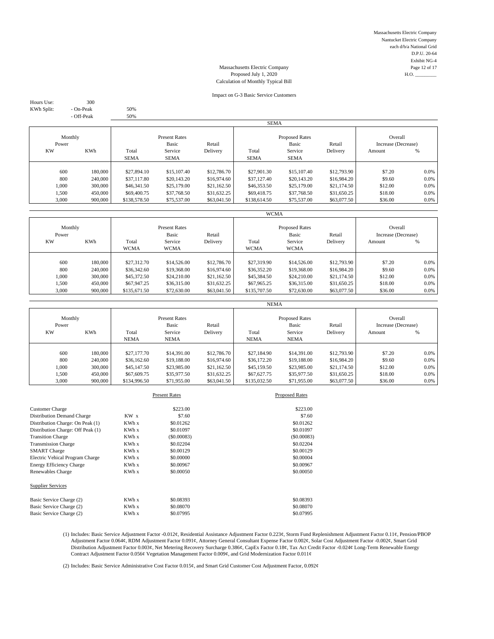Massachusetts Electric Company Nantucket Electric Company each d/b/a National Grid D.P.U. 20-64 Exhibit NG-4 Massachusetts Electric Company Page 12 of 17<br>Proposed July 1, 2020 H.O.

# Proposed July 1, 2020 Calculation of Monthly Typical Bill

#### Impact on G-3 Basic Service Customers

Hours Use: 300 KWh Split: - On-Peak 50%<br>- Off-Peak 50%

- Off-Peak

|                  |         |                                         |             |                                          | <b>SEMA</b>  |                                |             |         |      |
|------------------|---------|-----------------------------------------|-------------|------------------------------------------|--------------|--------------------------------|-------------|---------|------|
| Monthly<br>Power |         | <b>Present Rates</b><br>Basic<br>Retail |             | <b>Proposed Rates</b><br>Basic<br>Retail |              | Overall<br>Increase (Decrease) |             |         |      |
| <b>KW</b>        | KWh     | Total                                   | Service     | Delivery                                 | Total        | Service                        | Delivery    | Amount  | %    |
|                  |         | <b>SEMA</b>                             | <b>SEMA</b> |                                          | <b>SEMA</b>  | <b>SEMA</b>                    |             |         |      |
|                  |         |                                         |             |                                          |              |                                |             |         |      |
| 600              | 180,000 | \$27,894.10                             | \$15,107.40 | \$12,786.70                              | \$27,901.30  | \$15,107.40                    | \$12,793.90 | \$7.20  | 0.0% |
| 800              | 240,000 | \$37,117.80                             | \$20,143.20 | \$16,974.60                              | \$37,127.40  | \$20,143.20                    | \$16,984.20 | \$9.60  | 0.0% |
| 1,000            | 300,000 | \$46,341.50                             | \$25,179.00 | \$21,162.50                              | \$46,353.50  | \$25,179.00                    | \$21,174.50 | \$12.00 | 0.0% |
| 1,500            | 450,000 | \$69,400.75                             | \$37,768.50 | \$31,632.25                              | \$69,418.75  | \$37,768.50                    | \$31,650.25 | \$18.00 | 0.0% |
| 3,000            | 900,000 | \$138,578.50                            | \$75,537.00 | \$63,041.50                              | \$138,614.50 | \$75,537.00                    | \$63,077.50 | \$36.00 | 0.0% |
|                  |         |                                         |             |                                          |              |                                |             |         |      |

|                       |                               |                                           |                                           |                                           | <b>WCMA</b>                               |                                           |                                           |                                |                    |
|-----------------------|-------------------------------|-------------------------------------------|-------------------------------------------|-------------------------------------------|-------------------------------------------|-------------------------------------------|-------------------------------------------|--------------------------------|--------------------|
| Monthly<br>Power      |                               | <b>Present Rates</b><br>Basic<br>Retail   |                                           |                                           | <b>Proposed Rates</b><br>Basic<br>Retail  |                                           |                                           | Overall<br>Increase (Decrease) |                    |
| <b>KW</b>             | <b>KWh</b>                    | Total<br><b>WCMA</b>                      | Service<br><b>WCMA</b>                    | Delivery                                  | Total<br><b>WCMA</b>                      | Service<br><b>WCMA</b>                    | Delivery                                  | Amount                         | %                  |
| 600                   | 180,000                       | \$27,312.70                               | \$14,526.00                               | \$12,786.70                               | \$27,319.90                               | \$14,526.00                               | \$12,793.90                               | \$7.20                         | 0.0%               |
| 800<br>1,000<br>1,500 | 240,000<br>300,000<br>450,000 | \$36,342.60<br>\$45,372.50<br>\$67,947.25 | \$19,368.00<br>\$24,210,00<br>\$36,315.00 | \$16,974.60<br>\$21,162.50<br>\$31,632.25 | \$36,352.20<br>\$45,384.50<br>\$67,965.25 | \$19,368.00<br>\$24,210.00<br>\$36,315.00 | \$16,984.20<br>\$21,174.50<br>\$31,650.25 | \$9.60<br>\$12.00<br>\$18.00   | $0.0\%$<br>0.0%    |
| 3,000                 | 900,000                       | \$135,671.50                              | \$72,630.00                               | \$63,041.50                               | \$135,707.50                              | \$72,630.00                               | \$63,077.50                               | \$36.00                        | $0.0\%$<br>$0.0\%$ |

|                                             |                               |                                           |                                           |                                           | <b>NEMA</b>                               |                                           |                                           |                                          |                               |
|---------------------------------------------|-------------------------------|-------------------------------------------|-------------------------------------------|-------------------------------------------|-------------------------------------------|-------------------------------------------|-------------------------------------------|------------------------------------------|-------------------------------|
| Monthly<br>Power<br><b>KWh</b><br><b>KW</b> |                               | Total                                     | <b>Present Rates</b><br>Basic<br>Service  | Retail<br>Delivery                        | Total                                     | <b>Proposed Rates</b><br>Basic<br>Service | Retail<br>Delivery                        | Overall<br>Increase (Decrease)<br>Amount | %                             |
|                                             |                               | <b>NEMA</b>                               | <b>NEMA</b>                               |                                           | <b>NEMA</b>                               | <b>NEMA</b>                               |                                           |                                          |                               |
| 600<br>800<br>1,000                         | 180,000<br>240,000<br>300,000 | \$27,177,70<br>\$36,162.60<br>\$45,147.50 | \$14,391.00<br>\$19,188.00<br>\$23,985.00 | \$12,786.70<br>\$16,974.60<br>\$21,162.50 | \$27,184.90<br>\$36,172.20<br>\$45,159.50 | \$14,391.00<br>\$19,188.00<br>\$23,985.00 | \$12,793.90<br>\$16,984.20<br>\$21,174.50 | \$7.20<br>\$9.60<br>\$12.00              | $0.0\%$<br>$0.0\%$<br>$0.0\%$ |
| 1,500<br>3,000                              | 450,000<br>900,000            | \$67,609.75<br>\$134,996.50               | \$35,977.50<br>\$71,955.00                | \$31,632.25<br>\$63,041.50                | \$67,627.75<br>\$135,032.50               | \$35,977.50<br>\$71,955.00                | \$31,650.25<br>\$63,077.50                | \$18.00<br>\$36.00                       | $0.0\%$<br>$0.0\%$            |

|                                   |       | <b>Present Rates</b> | <b>Proposed Rates</b> |
|-----------------------------------|-------|----------------------|-----------------------|
|                                   |       |                      |                       |
| <b>Customer Charge</b>            |       | \$223.00             | \$223.00              |
| Distribution Demand Charge        | KW x  | \$7.60               | \$7.60                |
| Distribution Charge: On Peak (1)  | KWh x | \$0.01262            | \$0.01262             |
| Distribution Charge: Off Peak (1) | KWh x | \$0.01097            | \$0.01097             |
| <b>Transition Charge</b>          | KWh x | (S0.00083)           | (S0.00083)            |
| <b>Transmission Charge</b>        | KWh x | \$0.02204            | \$0.02204             |
| <b>SMART</b> Charge               | KWh x | \$0.00129            | \$0,00129             |
| Electric Vehical Program Charge   | KWh x | \$0.00000            | \$0,00004             |
| <b>Energy Efficiency Charge</b>   | KWh x | \$0.00967            | \$0,00967             |
| Renewables Charge                 | KWh x | \$0,00050            | \$0.00050             |
| <b>Supplier Services</b>          |       |                      |                       |
| Basic Service Charge (2)          | KWh x | \$0.08393            | \$0.08393             |
| Basic Service Charge (2)          | KWh x | \$0.08070            | \$0,08070             |
| Basic Service Charge (2)          | KWh x | \$0.07995            | \$0.07995             |
|                                   |       |                      |                       |

(1) Includes: Basic Service Adjustment Factor -0.012¢, Residential Assistance Adjustment Factor 0.223¢, Storm Fund Replenishment Adjustment Factor 0.11¢, Pension/PBOP Adjustment Factor 0.064¢, RDM Adjustment Factor 0.091¢, Attorney General Consultant Expense Factor 0.002¢, Solar Cost Adjustment Factor -0.002¢, Smart Grid Distribution Adjustment Factor 0.003¢, Net Metering Recovery Surcharge 0.386¢, CapEx Factor 0.18¢, Tax Act Credit Factor -0.024¢ Long-Term Renewable Energy Contract Adjustment Factor 0.056¢ Vegetation Management Factor 0.009¢, and Grid Modernization Factor 0.011¢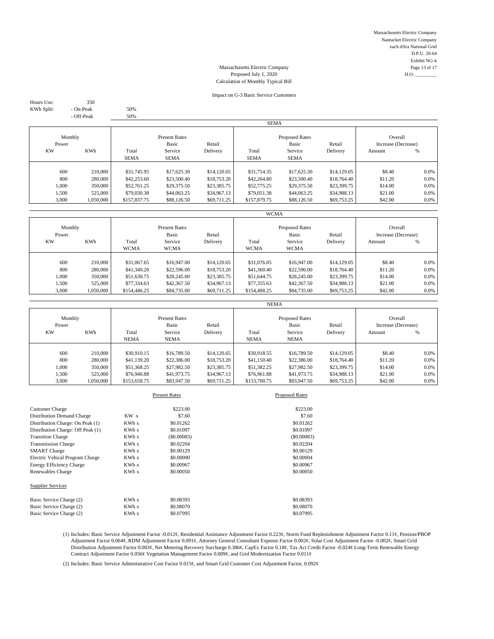Massachusetts Electric Company Nantucket Electric Company each d/b/a National Grid D.P.U. 20-64 Exhibit NG-4 Massachusetts Electric Company Page 13 of 17<br>Proposed July 1, 2020 H.O.

# Proposed July 1, 2020 Calculation of Monthly Typical Bill

#### Impact on G-3 Basic Service Customers

Hours Use: 350 KWh Split: - On-Peak 50%

- Off-Peak 50%

|                  |            |                                         |             |                                          | <b>SEMA</b>  |                                |             |         |         |
|------------------|------------|-----------------------------------------|-------------|------------------------------------------|--------------|--------------------------------|-------------|---------|---------|
| Monthly<br>Power |            | <b>Present Rates</b><br>Basic<br>Retail |             | <b>Proposed Rates</b><br>Basic<br>Retail |              | Overall<br>Increase (Decrease) |             |         |         |
| <b>KW</b>        | <b>KWh</b> | Total                                   | Service     | Delivery                                 | Total        | Service                        | Delivery    | Amount  | %       |
|                  |            | <b>SEMA</b>                             | <b>SEMA</b> |                                          | <b>SEMA</b>  | <b>SEMA</b>                    |             |         |         |
|                  |            |                                         |             |                                          |              |                                |             |         |         |
| 600              | 210,000    | \$31,745.95                             | \$17,625.30 | \$14,120.65                              | \$31,754.35  | \$17,625.30                    | \$14,129.05 | \$8.40  | 0.0%    |
| 800              | 280,000    | \$42,253.60                             | \$23,500.40 | \$18,753.20                              | \$42,264.80  | \$23,500.40                    | \$18,764.40 | \$11.20 | 0.0%    |
| 1.000            | 350,000    | \$52,761.25                             | \$29,375.50 | \$23,385.75                              | \$52,775.25  | \$29,375.50                    | \$23,399.75 | \$14.00 | $0.0\%$ |
| 1,500            | 525,000    | \$79,030.38                             | \$44,063.25 | \$34,967.13                              | \$79,051.38  | \$44,063.25                    | \$34,988.13 | \$21.00 | 0.0%    |
| 3,000            | 1,050,000  | \$157,837.75                            | \$88,126.50 | \$69,711.25                              | \$157,879.75 | \$88,126.50                    | \$69,753.25 | \$42.00 | $0.0\%$ |
|                  |            |                                         |             |                                          |              |                                |             |         |         |

|                  |                      |                                         |                            |                            | <b>WCMA</b>                              |                            |                            |                                |                 |
|------------------|----------------------|-----------------------------------------|----------------------------|----------------------------|------------------------------------------|----------------------------|----------------------------|--------------------------------|-----------------|
| Monthly<br>Power |                      | <b>Present Rates</b><br>Basic<br>Retail |                            |                            | <b>Proposed Rates</b><br>Basic<br>Retail |                            |                            | Overall<br>Increase (Decrease) |                 |
| <b>KW</b>        | <b>KWh</b>           | Total<br><b>WCMA</b>                    | Service<br><b>WCMA</b>     | Delivery                   | Total<br><b>WCMA</b>                     | Service<br><b>WCMA</b>     | Delivery                   | Amount                         | %               |
| 600              | 210,000              | \$31,067.65                             | \$16,947.00                | \$14,120.65                | \$31,076.05                              | \$16,947.00                | \$14,129.05                | \$8.40                         | 0.0%            |
| 800<br>1,000     | 280,000<br>350,000   | \$41,349.20<br>\$51,630.75              | \$22,596.00<br>\$28,245.00 | \$18,753.20<br>\$23,385.75 | \$41,360.40<br>\$51,644.75               | \$22,596.00<br>\$28,245.00 | \$18,764.40<br>\$23,399.75 | \$11.20<br>\$14.00             | $0.0\%$<br>0.0% |
| 1,500<br>3,000   | 525,000<br>1,050,000 | \$77,334.63<br>\$154,446.25             | \$42,367.50<br>\$84,735.00 | \$34,967.13<br>\$69,711.25 | \$77,355.63<br>\$154,488.25              | \$42,367.50<br>\$84,735.00 | \$34,988.13<br>\$69,753.25 | \$21.00<br>\$42.00             | $0.0\%$<br>0.0% |

|                                      |           |                                                                         |             |                                                                          | <b>NEMA</b>  |                                               |             |         |      |
|--------------------------------------|-----------|-------------------------------------------------------------------------|-------------|--------------------------------------------------------------------------|--------------|-----------------------------------------------|-------------|---------|------|
| Monthly<br>Power<br><b>KW</b><br>KWh |           | <b>Present Rates</b><br>Basic<br>Retail<br>Service<br>Total<br>Delivery |             | <b>Proposed Rates</b><br>Basic<br>Retail<br>Service<br>Total<br>Delivery |              | Overall<br>Increase (Decrease)<br>%<br>Amount |             |         |      |
|                                      |           | <b>NEMA</b>                                                             | <b>NEMA</b> |                                                                          | <b>NEMA</b>  | <b>NEMA</b>                                   |             |         |      |
|                                      |           |                                                                         |             |                                                                          |              |                                               |             |         |      |
| 600                                  | 210,000   | \$30,910.15                                                             | \$16,789.50 | \$14,120.65                                                              | \$30,918.55  | \$16,789.50                                   | \$14,129.05 | \$8.40  | 0.0% |
| 800                                  | 280,000   | \$41,139.20                                                             | \$22,386.00 | \$18,753.20                                                              | \$41,150.40  | \$22,386.00                                   | \$18,764.40 | \$11.20 | 0.0% |
| 1,000                                | 350,000   | \$51,368.25                                                             | \$27,982.50 | \$23,385.75                                                              | \$51,382.25  | \$27,982.50                                   | \$23,399.75 | \$14.00 | 0.0% |
| 1,500                                | 525,000   | \$76,940.88                                                             | \$41,973.75 | \$34,967.13                                                              | \$76,961.88  | \$41,973.75                                   | \$34,988.13 | \$21.00 | 0.0% |
| 3,000                                | 1.050.000 | \$153,658.75                                                            | \$83,947.50 | \$69,711.25                                                              | \$153,700.75 | \$83,947.50                                   | \$69,753.25 | \$42.00 | 0.0% |

|                 | <b>Present Rates</b> | <b>Proposed Rates</b> |
|-----------------|----------------------|-----------------------|
|                 |                      | \$223.00              |
| KW <sub>x</sub> | \$7.60               | \$7.60                |
| KWh x           | \$0.01262            | \$0.01262             |
| KWh x           | \$0.01097            | \$0.01097             |
| KWh x           | (S0,00083)           | (S0.00083)            |
| KWh x           | \$0.02204            | \$0.02204             |
| KWh x           | \$0.00129            | \$0.00129             |
| KWh x           | \$0,00000            | \$0,00004             |
| KWh x           | \$0,00967            | \$0.00967             |
| KWh x           | \$0,00050            | \$0,00050             |
|                 |                      |                       |
| KWh x           | \$0.08393            | \$0.08393             |
| KWh x           | \$0.08070            | \$0.08070             |
| KWh x           | \$0.07995            | \$0.07995             |
|                 |                      | \$223.00              |

(1) Includes: Basic Service Adjustment Factor -0.012¢, Residential Assistance Adjustment Factor 0.223¢, Storm Fund Replenishment Adjustment Factor 0.11¢, Pension/PBOP Adjustment Factor 0.064¢, RDM Adjustment Factor 0.091¢, Attorney General Consultant Expense Factor 0.002¢, Solar Cost Adjustment Factor -0.002¢, Smart Grid Distribution Adjustment Factor 0.003¢, Net Metering Recovery Surcharge 0.386¢, CapEx Factor 0.18¢, Tax Act Credit Factor -0.024¢ Long-Term Renewable Energy Contract Adjustment Factor 0.056¢ Vegetation Management Factor 0.009¢, and Grid Modernization Factor 0.011¢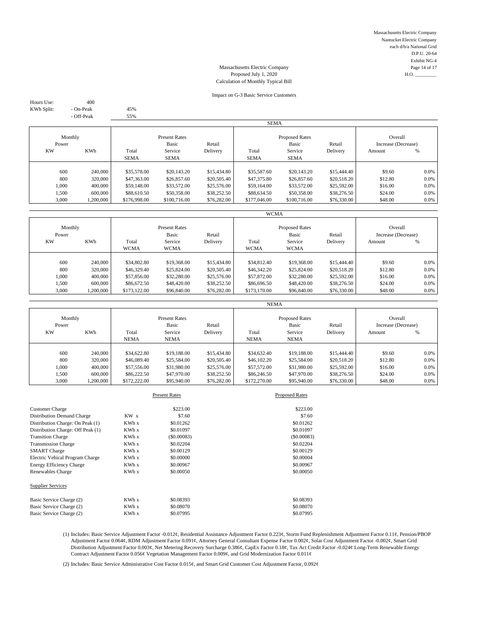Massachusetts Electric Company Nantucket Electric Company each d/b/a National Grid D.P.U. 20-64 Exhibit NG-4 Massachusetts Electric Company Page 14 of 17<br>Proposed July 1, 2020 H.O.

# Proposed July 1, 2020 Calculation of Monthly Typical Bill

#### Impact on G-3 Basic Service Customers

Hours Use: 400 KWh Split: - On-Peak 45%

- Off-Peak 55%

|                  |            |                                         |              |                                          | <b>SEMA</b>  |              |                                |         |         |
|------------------|------------|-----------------------------------------|--------------|------------------------------------------|--------------|--------------|--------------------------------|---------|---------|
| Monthly<br>Power |            | <b>Present Rates</b><br>Basic<br>Retail |              | <b>Proposed Rates</b><br>Basic<br>Retail |              |              | Overall<br>Increase (Decrease) |         |         |
| <b>KW</b>        | <b>KWh</b> | Total                                   | Service      | Delivery                                 | Total        | Service      | Delivery                       | Amount  | %       |
|                  |            | <b>SEMA</b>                             | <b>SEMA</b>  |                                          | <b>SEMA</b>  | <b>SEMA</b>  |                                |         |         |
|                  |            |                                         |              |                                          |              |              |                                |         |         |
| 600              | 240,000    | \$35,578.00                             | \$20,143.20  | \$15,434.80                              | \$35,587.60  | \$20,143.20  | \$15,444.40                    | \$9.60  | 0.0%    |
| 800              | 320,000    | \$47,363.00                             | \$26,857.60  | \$20,505.40                              | \$47,375.80  | \$26,857.60  | \$20,518.20                    | \$12.80 | 0.0%    |
| 1,000            | 400,000    | \$59,148.00                             | \$33,572.00  | \$25,576.00                              | \$59,164.00  | \$33,572.00  | \$25,592.00                    | \$16.00 | $0.0\%$ |
| 1,500            | 600,000    | \$88,610.50                             | \$50,358.00  | \$38,252.50                              | \$88,634.50  | \$50,358.00  | \$38,276.50                    | \$24.00 | 0.0%    |
| 3,000            | 1,200,000  | \$176,998.00                            | \$100,716.00 | \$76,282.00                              | \$177,046.00 | \$100,716.00 | \$76,330.00                    | \$48.00 | $0.0\%$ |
|                  |            |                                         |              |                                          |              |              |                                |         |         |

|           |            |                      |             |             | <b>WCMA</b>           |              |             |                     |      |
|-----------|------------|----------------------|-------------|-------------|-----------------------|--------------|-------------|---------------------|------|
| Monthly   |            | <b>Present Rates</b> |             |             | <b>Proposed Rates</b> |              |             | Overall             |      |
| Power     |            |                      | Basic       | Retail      |                       | <b>Basic</b> | Retail      | Increase (Decrease) |      |
| <b>KW</b> | <b>KWh</b> | Total                | Service     | Delivery    | Total                 | Service      | Delivery    | Amount              | %    |
|           |            | <b>WCMA</b>          | <b>WCMA</b> |             | <b>WCMA</b>           | <b>WCMA</b>  |             |                     |      |
|           |            |                      |             |             |                       |              |             |                     |      |
| 600       | 240,000    | \$34,802.80          | \$19,368,00 | \$15,434.80 | \$34,812.40           | \$19,368.00  | \$15,444.40 | \$9.60              | 0.0% |
| 800       | 320,000    | \$46,329.40          | \$25,824.00 | \$20,505.40 | \$46,342.20           | \$25,824.00  | \$20,518.20 | \$12.80             | 0.0% |
| 1.000     | 400,000    | \$57,856.00          | \$32,280.00 | \$25,576.00 | \$57,872.00           | \$32,280.00  | \$25,592.00 | \$16.00             | 0.0% |
| 1,500     | 600,000    | \$86,672.50          | \$48,420.00 | \$38,252.50 | \$86,696.50           | \$48,420.00  | \$38,276.50 | \$24.00             | 0.0% |
| 3,000     | 1,200,000  | \$173,122.00         | \$96,840.00 | \$76,282.00 | \$173,170.00          | \$96,840.00  | \$76,330.00 | \$48.00             | 0.0% |

|                  |            |                                         |             |             | <b>NEMA</b>                              |             |             |                                |         |
|------------------|------------|-----------------------------------------|-------------|-------------|------------------------------------------|-------------|-------------|--------------------------------|---------|
| Monthly<br>Power |            | <b>Present Rates</b><br>Basic<br>Retail |             |             | <b>Proposed Rates</b><br>Basic<br>Retail |             |             | Overall<br>Increase (Decrease) |         |
| <b>KW</b>        | <b>KWh</b> | Total                                   | Service     | Delivery    | Total                                    | Service     | Delivery    | Amount                         | %       |
|                  |            | <b>NEMA</b>                             | <b>NEMA</b> |             | <b>NEMA</b>                              | <b>NEMA</b> |             |                                |         |
|                  |            |                                         |             |             |                                          |             |             |                                |         |
| 600              | 240,000    | \$34,622.80                             | \$19,188,00 | \$15,434.80 | \$34,632.40                              | \$19,188.00 | \$15,444.40 | \$9.60                         | $0.0\%$ |
| 800              | 320,000    | \$46,089.40                             | \$25,584.00 | \$20,505.40 | \$46,102.20                              | \$25,584.00 | \$20,518.20 | \$12.80                        | $0.0\%$ |
| 1,000            | 400,000    | \$57,556.00                             | \$31,980.00 | \$25,576.00 | \$57,572.00                              | \$31,980.00 | \$25,592.00 | \$16.00                        | $0.0\%$ |
| 1,500            | 600,000    | \$86,222.50                             | \$47,970.00 | \$38,252.50 | \$86,246.50                              | \$47,970.00 | \$38,276.50 | \$24.00                        | $0.0\%$ |
| 3.000            | 1.200.000  | \$172,222,00                            | \$95,940.00 | \$76,282,00 | \$172,270,00                             | \$95,940.00 | \$76,330,00 | \$48.00                        | $0.0\%$ |

|                 | <b>Present Rates</b> | <b>Proposed Rates</b> |
|-----------------|----------------------|-----------------------|
|                 |                      | \$223.00              |
| KW <sub>x</sub> | \$7.60               | \$7.60                |
| KWh x           | \$0.01262            | \$0.01262             |
| KWh x           | \$0.01097            | \$0.01097             |
| KWh x           | (S0,00083)           | (S0.00083)            |
| KWh x           | \$0.02204            | \$0.02204             |
| KWh x           | \$0.00129            | \$0.00129             |
| KWh x           | \$0,00000            | \$0,00004             |
| KWh x           | \$0,00967            | \$0.00967             |
| KWh x           | \$0,00050            | \$0,00050             |
|                 |                      |                       |
| KWh x           | \$0.08393            | \$0.08393             |
| KWh x           | \$0.08070            | \$0.08070             |
| KWh x           | \$0.07995            | \$0.07995             |
|                 |                      | \$223.00              |

(1) Includes: Basic Service Adjustment Factor -0.012¢, Residential Assistance Adjustment Factor 0.223¢, Storm Fund Replenishment Adjustment Factor 0.11¢, Pension/PBOP Adjustment Factor 0.064¢, RDM Adjustment Factor 0.091¢, Attorney General Consultant Expense Factor 0.002¢, Solar Cost Adjustment Factor -0.002¢, Smart Grid Distribution Adjustment Factor 0.003¢, Net Metering Recovery Surcharge 0.386¢, CapEx Factor 0.18¢, Tax Act Credit Factor -0.024¢ Long-Term Renewable Energy Contract Adjustment Factor 0.056¢ Vegetation Management Factor 0.009¢, and Grid Modernization Factor 0.011¢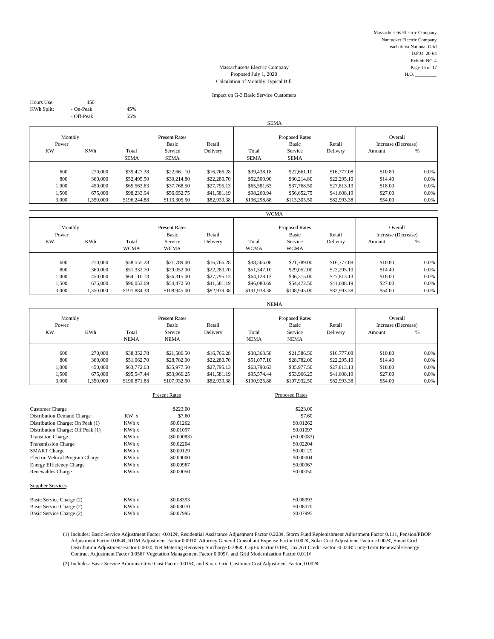Massachusetts Electric Company Nantucket Electric Company each d/b/a National Grid D.P.U. 20-64 Exhibit NG-4 Massachusetts Electric Company Page 15 of 17<br>Proposed July 1, 2020 H.O.

# Proposed July 1, 2020 Calculation of Monthly Typical Bill

#### Impact on G-3 Basic Service Customers

Hours Use: 450 KWh Split: - On-Peak 45%

- Off-Peak 55%

|                  |            |              |                               |             | <b>SEMA</b>  |                                |             |                                |         |
|------------------|------------|--------------|-------------------------------|-------------|--------------|--------------------------------|-------------|--------------------------------|---------|
| Monthly<br>Power |            |              | <b>Present Rates</b><br>Basic | Retail      |              | <b>Proposed Rates</b><br>Basic | Retail      | Overall<br>Increase (Decrease) |         |
| <b>KW</b>        | <b>KWh</b> | Total        | Service                       | Delivery    | Total        | Service                        | Delivery    | Amount                         | %       |
|                  |            | <b>SEMA</b>  | <b>SEMA</b>                   |             | <b>SEMA</b>  | <b>SEMA</b>                    |             |                                |         |
|                  |            |              |                               |             |              |                                |             |                                |         |
| 600              | 270,000    | \$39,427.38  | \$22,661.10                   | \$16,766.28 | \$39,438.18  | \$22,661.10                    | \$16,777.08 | \$10.80                        | 0.0%    |
| 800              | 360,000    | \$52,495.50  | \$30,214.80                   | \$22,280.70 | \$52,509.90  | \$30,214.80                    | \$22,295.10 | \$14.40                        | 0.0%    |
| 1.000            | 450,000    | \$65,563.63  | \$37,768.50                   | \$27,795.13 | \$65,581.63  | \$37,768.50                    | \$27,813.13 | \$18.00                        | $0.0\%$ |
| 1,500            | 675,000    | \$98,233.94  | \$56,652.75                   | \$41,581.19 | \$98,260.94  | \$56,652.75                    | \$41,608.19 | \$27.00                        | 0.0%    |
| 3,000            | 1,350,000  | \$196,244.88 | \$113,305.50                  | \$82,939.38 | \$196,298.88 | \$113,305.50                   | \$82,993.38 | \$54.00                        | $0.0\%$ |
|                  |            |              |                               |             |              |                                |             |                                |         |

|                  |                      |                             |                               |                            | <b>WCMA</b>                 |                                |                            |                                |                 |
|------------------|----------------------|-----------------------------|-------------------------------|----------------------------|-----------------------------|--------------------------------|----------------------------|--------------------------------|-----------------|
| Monthly<br>Power |                      |                             | <b>Present Rates</b><br>Basic | Retail                     |                             | <b>Proposed Rates</b><br>Basic | Retail                     | Overall<br>Increase (Decrease) |                 |
| <b>KW</b>        | <b>KWh</b>           | Total<br><b>WCMA</b>        | Service<br><b>WCMA</b>        | Delivery                   | Total<br><b>WCMA</b>        | Service<br><b>WCMA</b>         | Delivery                   | Amount                         | %               |
| 600              | 270,000              | \$38,555.28                 | \$21,789.00                   | \$16,766.28                | \$38,566.08                 | \$21,789.00                    | \$16,777.08                | \$10.80                        | 0.0%            |
| 800<br>1.000     | 360,000<br>450,000   | \$51,332.70<br>\$64,110.13  | \$29,052.00<br>\$36,315.00    | \$22,280.70<br>\$27,795.13 | \$51,347.10<br>\$64,128.13  | \$29,052.00<br>\$36,315.00     | \$22,295.10<br>\$27,813.13 | \$14.40<br>\$18.00             | $0.0\%$<br>0.0% |
| 1.500<br>3,000   | 675,000<br>1,350,000 | \$96,053.69<br>\$191,884.38 | \$54,472.50<br>\$108,945.00   | \$41,581.19<br>\$82,939.38 | \$96,080.69<br>\$191,938.38 | \$54,472.50<br>\$108,945.00    | \$41,608.19<br>\$82,993.38 | \$27.00<br>\$54.00             | 0.0%<br>0.0%    |

|                               |            |              |                                          |                    | <b>NEMA</b>  |                                           |                    |                                          |         |
|-------------------------------|------------|--------------|------------------------------------------|--------------------|--------------|-------------------------------------------|--------------------|------------------------------------------|---------|
| Monthly<br>Power<br><b>KW</b> | <b>KWh</b> | Total        | <b>Present Rates</b><br>Basic<br>Service | Retail<br>Delivery | Total        | <b>Proposed Rates</b><br>Basic<br>Service | Retail<br>Delivery | Overall<br>Increase (Decrease)<br>Amount | %       |
|                               |            | <b>NEMA</b>  | <b>NEMA</b>                              |                    | <b>NEMA</b>  | <b>NEMA</b>                               |                    |                                          |         |
| 600                           | 270,000    | \$38,352.78  | \$21,586.50                              | \$16,766.28        | \$38,363.58  | \$21,586.50                               | \$16,777.08        | \$10.80                                  | $0.0\%$ |
| 800                           | 360,000    | \$51,062.70  | \$28,782.00                              | \$22,280.70        | \$51,077.10  | \$28,782.00                               | \$22,295.10        | \$14.40                                  | $0.0\%$ |
| 1,000                         | 450,000    | \$63,772.63  | \$35,977.50                              | \$27,795.13        | \$63,790.63  | \$35,977.50                               | \$27,813.13        | \$18.00                                  | $0.0\%$ |
| 1,500                         | 675,000    | \$95,547.44  | \$53,966.25                              | \$41,581.19        | \$95,574.44  | \$53,966.25                               | \$41,608.19        | \$27.00                                  | $0.0\%$ |
| 3.000                         | 1.350.000  | \$190,871.88 | \$107,932.50                             | \$82,939.38        | \$190,925.88 | \$107,932.50                              | \$82,993.38        | \$54.00                                  | $0.0\%$ |

|                                   |                 | <b>Present Rates</b> | <b>Proposed Rates</b> |
|-----------------------------------|-----------------|----------------------|-----------------------|
| <b>Customer Charge</b>            |                 | \$223.00             | \$223.00              |
| Distribution Demand Charge        | KW <sub>x</sub> | \$7.60               | \$7.60                |
| Distribution Charge: On Peak (1)  | KWh x           | \$0.01262            | \$0.01262             |
| Distribution Charge: Off Peak (1) | KWh x           | \$0.01097            | \$0.01097             |
| <b>Transition Charge</b>          | KWh x           | (S0.00083)           | (\$0.00083)           |
| <b>Transmission Charge</b>        | KWh x           | \$0.02204            | \$0.02204             |
| <b>SMART</b> Charge               | KWh x           | \$0.00129            | \$0.00129             |
| Electric Vehical Program Charge   | KWh x           | \$0,00000            | \$0,00004             |
| <b>Energy Efficiency Charge</b>   | KWh x           | \$0,00967            | \$0.00967             |
| Renewables Charge                 | KWh x           | \$0,00050            | \$0.00050             |
| <b>Supplier Services</b>          |                 |                      |                       |
| Basic Service Charge (2)          | KWh x           | \$0.08393            | \$0.08393             |
| Basic Service Charge (2)          | KWh x           | \$0.08070            | \$0.08070             |
| Basic Service Charge (2)          | KWh x           | \$0.07995            | \$0.07995             |
|                                   |                 |                      |                       |

(1) Includes: Basic Service Adjustment Factor -0.012¢, Residential Assistance Adjustment Factor 0.223¢, Storm Fund Replenishment Adjustment Factor 0.11¢, Pension/PBOP Adjustment Factor 0.064¢, RDM Adjustment Factor 0.091¢, Attorney General Consultant Expense Factor 0.002¢, Solar Cost Adjustment Factor -0.002¢, Smart Grid Distribution Adjustment Factor 0.003¢, Net Metering Recovery Surcharge 0.386¢, CapEx Factor 0.18¢, Tax Act Credit Factor -0.024¢ Long-Term Renewable Energy Contract Adjustment Factor 0.056¢ Vegetation Management Factor 0.009¢, and Grid Modernization Factor 0.011¢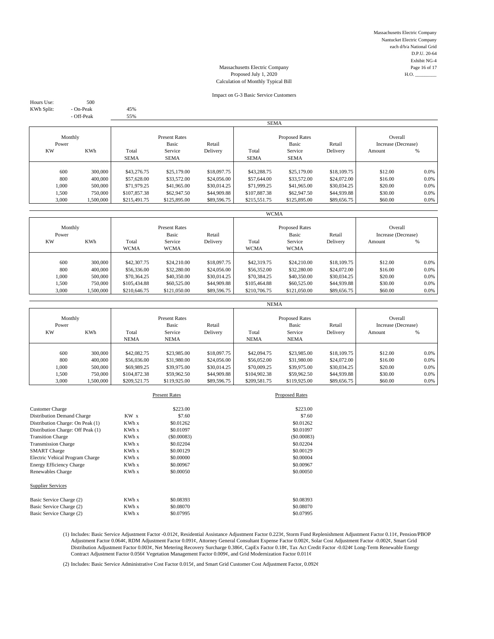Massachusetts Electric Company Nantucket Electric Company each d/b/a National Grid D.P.U. 20-64 Exhibit NG-4 Massachusetts Electric Company Page 16 of 17<br>Proposed July 1, 2020 H.O.

# Proposed July 1, 2020 Calculation of Monthly Typical Bill

#### Impact on G-3 Basic Service Customers

Hours Use: 500 KWh Split: - On-Peak 45%

- Off-Peak 55%

|                  |            |              |                               |             | <b>SEMA</b>  |                                |             |                                |         |
|------------------|------------|--------------|-------------------------------|-------------|--------------|--------------------------------|-------------|--------------------------------|---------|
| Monthly<br>Power |            |              | <b>Present Rates</b><br>Basic | Retail      |              | <b>Proposed Rates</b><br>Basic | Retail      | Overall<br>Increase (Decrease) |         |
| <b>KW</b>        | <b>KWh</b> | Total        | Service                       | Delivery    | Total        | Service                        | Delivery    | Amount                         | %       |
|                  |            | <b>SEMA</b>  | <b>SEMA</b>                   |             | <b>SEMA</b>  | <b>SEMA</b>                    |             |                                |         |
|                  |            |              |                               |             |              |                                |             |                                |         |
| 600              | 300,000    | \$43,276.75  | \$25,179.00                   | \$18,097.75 | \$43,288.75  | \$25,179.00                    | \$18,109.75 | \$12.00                        | 0.0%    |
| 800              | 400,000    | \$57,628.00  | \$33,572.00                   | \$24,056.00 | \$57,644.00  | \$33,572.00                    | \$24,072.00 | \$16.00                        | 0.0%    |
| 1,000            | 500,000    | \$71,979.25  | \$41,965.00                   | \$30,014.25 | \$71,999.25  | \$41,965.00                    | \$30,034.25 | \$20.00                        | $0.0\%$ |
| 1,500            | 750,000    | \$107,857.38 | \$62,947.50                   | \$44,909.88 | \$107,887.38 | \$62,947.50                    | \$44,939.88 | \$30.00                        | 0.0%    |
| 3,000            | 1,500,000  | \$215,491.75 | \$125,895.00                  | \$89,596.75 | \$215,551.75 | \$125,895.00                   | \$89,656.75 | \$60.00                        | $0.0\%$ |
|                  |            |              |                               |             |              |                                |             |                                |         |

|                  |                      |                              |                               |                            | <b>WCMA</b>                  |                                |                            |                                |                 |
|------------------|----------------------|------------------------------|-------------------------------|----------------------------|------------------------------|--------------------------------|----------------------------|--------------------------------|-----------------|
| Monthly<br>Power |                      |                              | <b>Present Rates</b><br>Basic | Retail                     |                              | <b>Proposed Rates</b><br>Basic | Retail                     | Overall<br>Increase (Decrease) |                 |
| <b>KW</b>        | <b>KWh</b>           | Total<br><b>WCMA</b>         | Service<br><b>WCMA</b>        | Delivery                   | Total<br><b>WCMA</b>         | Service<br><b>WCMA</b>         | Delivery                   | Amount                         | %               |
| 600              | 300,000              | \$42,307.75                  | \$24,210.00                   | \$18,097.75                | \$42,319.75                  | \$24,210.00                    | \$18,109.75                | \$12.00                        | $0.0\%$         |
| 800<br>1.000     | 400,000<br>500,000   | \$56,336.00<br>\$70,364.25   | \$32,280.00<br>\$40,350.00    | \$24,056.00<br>\$30,014.25 | \$56,352.00<br>\$70,384.25   | \$32,280.00<br>\$40,350.00     | \$24,072.00<br>\$30,034.25 | \$16.00<br>\$20.00             | $0.0\%$<br>0.0% |
| 1,500<br>3,000   | 750,000<br>1,500,000 | \$105,434.88<br>\$210,646.75 | \$60,525.00<br>\$121,050.00   | \$44,909.88<br>\$89,596.75 | \$105,464.88<br>\$210,706.75 | \$60,525.00<br>\$121,050.00    | \$44,939.88<br>\$89,656.75 | \$30.00<br>\$60.00             | $0.0\%$<br>0.0% |

|                  |           |              |                               |             | <b>NEMA</b>  |                                |             |                                |      |
|------------------|-----------|--------------|-------------------------------|-------------|--------------|--------------------------------|-------------|--------------------------------|------|
| Monthly<br>Power |           |              | <b>Present Rates</b><br>Basic | Retail      |              | <b>Proposed Rates</b><br>Basic | Retail      | Overall<br>Increase (Decrease) |      |
| <b>KW</b>        | KWh       | Total        | Service                       | Delivery    | Total        | Service                        | Delivery    | Amount                         | %    |
|                  |           | <b>NEMA</b>  | <b>NEMA</b>                   |             | <b>NEMA</b>  | <b>NEMA</b>                    |             |                                |      |
|                  |           |              |                               |             |              |                                |             |                                |      |
| 600              | 300,000   | \$42,082.75  | \$23,985.00                   | \$18,097.75 | \$42,094.75  | \$23,985.00                    | \$18,109.75 | \$12.00                        | 0.0% |
| 800              | 400,000   | \$56,036.00  | \$31,980.00                   | \$24,056.00 | \$56,052.00  | \$31,980.00                    | \$24,072,00 | \$16.00                        | 0.0% |
| 1,000            | 500,000   | \$69,989.25  | \$39,975.00                   | \$30,014.25 | \$70,009.25  | \$39,975.00                    | \$30,034.25 | \$20.00                        | 0.0% |
| 1,500            | 750,000   | \$104,872.38 | \$59,962.50                   | \$44,909.88 | \$104,902.38 | \$59,962.50                    | \$44,939.88 | \$30.00                        | 0.0% |
| 3,000            | 1,500,000 | \$209,521.75 | \$119,925.00                  | \$89,596.75 | \$209,581.75 | \$119,925.00                   | \$89,656.75 | \$60.00                        | 0.0% |

| \$223.00<br><b>Customer Charge</b><br>KW <sub>x</sub><br>\$7.60<br>Distribution Demand Charge<br>KWh x<br>Distribution Charge: On Peak (1)<br>\$0.01262<br>Distribution Charge: Off Peak (1)<br>KWh x<br>\$0.01097<br>KWh x<br>(S0.00083)<br><b>Transition Charge</b><br>KWh x<br>\$0.02204<br><b>Transmission Charge</b><br>KWh x<br><b>SMART</b> Charge<br>\$0.00129 |            |
|------------------------------------------------------------------------------------------------------------------------------------------------------------------------------------------------------------------------------------------------------------------------------------------------------------------------------------------------------------------------|------------|
|                                                                                                                                                                                                                                                                                                                                                                        |            |
|                                                                                                                                                                                                                                                                                                                                                                        | \$223.00   |
|                                                                                                                                                                                                                                                                                                                                                                        | \$7.60     |
|                                                                                                                                                                                                                                                                                                                                                                        | \$0.01262  |
|                                                                                                                                                                                                                                                                                                                                                                        | \$0.01097  |
|                                                                                                                                                                                                                                                                                                                                                                        | (S0.00083) |
|                                                                                                                                                                                                                                                                                                                                                                        | \$0.02204  |
|                                                                                                                                                                                                                                                                                                                                                                        | \$0.00129  |
| \$0.00000<br>Electric Vehical Program Charge<br>KWh x                                                                                                                                                                                                                                                                                                                  | \$0,00004  |
| KWh x<br>\$0.00967<br><b>Energy Efficiency Charge</b>                                                                                                                                                                                                                                                                                                                  | \$0.00967  |
| \$0,00050<br>Renewables Charge<br>KWh x                                                                                                                                                                                                                                                                                                                                | \$0,00050  |
| <b>Supplier Services</b>                                                                                                                                                                                                                                                                                                                                               |            |
| KWh x<br>\$0.08393<br>Basic Service Charge (2)                                                                                                                                                                                                                                                                                                                         | \$0.08393  |
| KWh x<br>Basic Service Charge (2)<br>\$0.08070                                                                                                                                                                                                                                                                                                                         | \$0.08070  |
| KWh x<br>\$0.07995<br>Basic Service Charge (2)                                                                                                                                                                                                                                                                                                                         | \$0.07995  |

(1) Includes: Basic Service Adjustment Factor -0.012¢, Residential Assistance Adjustment Factor 0.223¢, Storm Fund Replenishment Adjustment Factor 0.11¢, Pension/PBOP Adjustment Factor 0.064¢, RDM Adjustment Factor 0.091¢, Attorney General Consultant Expense Factor 0.002¢, Solar Cost Adjustment Factor -0.002¢, Smart Grid Distribution Adjustment Factor 0.003¢, Net Metering Recovery Surcharge 0.386¢, CapEx Factor 0.18¢, Tax Act Credit Factor -0.024¢ Long-Term Renewable Energy Contract Adjustment Factor 0.056¢ Vegetation Management Factor 0.009¢, and Grid Modernization Factor 0.011¢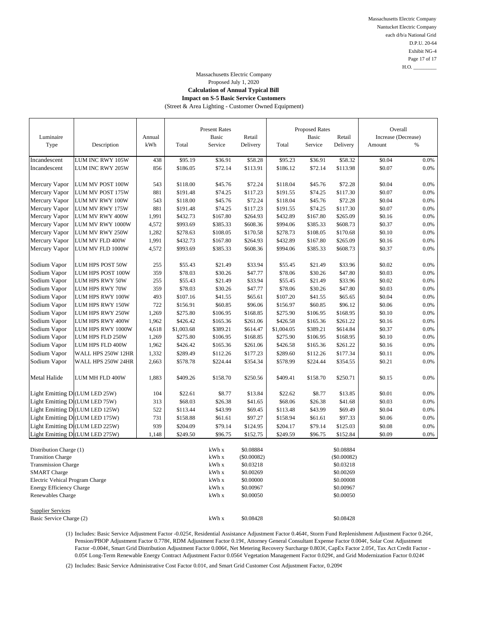Massachusetts Electric Company Nantucket Electric Company each d/b/a National Grid D.P.U. 20-64 Exhibit NG-4 Page 17 of 17  $H.O.$ 

# Massachusetts Electric Company Proposed July 1, 2020

## **Calculation of Annual Typical Bill Impact on S-5 Basic Service Customers**

(Street & Area Lighting - Customer Owned Equipment)

| Luminaire                                            |                                 | Annual |            | <b>Present Rates</b><br>Basic | Retail        |            | Proposed Rates<br>Basic | Retail      | Overall<br>Increase (Decrease) |         |
|------------------------------------------------------|---------------------------------|--------|------------|-------------------------------|---------------|------------|-------------------------|-------------|--------------------------------|---------|
| Type                                                 | Description                     | kWh    | Total      | Service                       | Delivery      | Total      | Service                 | Delivery    | Amount                         | $\%$    |
| Incandescent                                         | LUM INC RWY 105W                | 438    | \$95.19    | \$36.91                       | \$58.28       | \$95.23    | \$36.91                 | \$58.32     | \$0.04                         | 0.0%    |
| Incandescent                                         | LUM INC RWY 205W                | 856    | \$186.05   | \$72.14                       | \$113.91      | \$186.12   | \$72.14                 | \$113.98    | \$0.07                         | 0.0%    |
|                                                      |                                 |        |            |                               |               |            |                         |             |                                |         |
| Mercury Vapor                                        | LUM MV POST 100W                | 543    | \$118.00   | \$45.76                       | \$72.24       | \$118.04   | \$45.76                 | \$72.28     | \$0.04                         | 0.0%    |
| Mercury Vapor                                        | LUM MV POST 175W                | 881    | \$191.48   | \$74.25                       | \$117.23      | \$191.55   | \$74.25                 | \$117.30    | \$0.07                         | 0.0%    |
| Mercury Vapor                                        | LUM MV RWY 100W                 | 543    | \$118.00   | \$45.76                       | \$72.24       | \$118.04   | \$45.76                 | \$72.28     | \$0.04                         | 0.0%    |
| Mercury Vapor                                        | LUM MV RWY 175W                 | 881    | \$191.48   | \$74.25                       | \$117.23      | \$191.55   | \$74.25                 | \$117.30    | \$0.07                         | 0.0%    |
| Mercury Vapor                                        | LUM MV RWY 400W                 | 1,991  | \$432.73   | \$167.80                      | \$264.93      | \$432.89   | \$167.80                | \$265.09    | \$0.16                         | 0.0%    |
| Mercury Vapor                                        | LUM MV RWY 1000W                | 4,572  | \$993.69   | \$385.33                      | \$608.36      | \$994.06   | \$385.33                | \$608.73    | \$0.37                         | 0.0%    |
| Mercury Vapor                                        | LUM MV RWY 250W                 | 1,282  | \$278.63   | \$108.05                      | \$170.58      | \$278.73   | \$108.05                | \$170.68    | \$0.10                         | 0.0%    |
| Mercury Vapor                                        | LUM MV FLD 400W                 | 1,991  | \$432.73   | \$167.80                      | \$264.93      | \$432.89   | \$167.80                | \$265.09    | \$0.16                         | 0.0%    |
| Mercury Vapor                                        | LUM MV FLD 1000W                | 4,572  | \$993.69   | \$385.33                      | \$608.36      | \$994.06   | \$385.33                | \$608.73    | \$0.37                         | $0.0\%$ |
|                                                      |                                 |        |            |                               |               |            |                         |             |                                |         |
| Sodium Vapor                                         | LUM HPS POST 50W                | 255    | \$55.43    | \$21.49                       | \$33.94       | \$55.45    | \$21.49                 | \$33.96     | \$0.02                         | 0.0%    |
| Sodium Vapor                                         | LUM HPS POST 100W               | 359    | \$78.03    | \$30.26                       | \$47.77       | \$78.06    | \$30.26                 | \$47.80     | \$0.03                         | 0.0%    |
| Sodium Vapor                                         | LUM HPS RWY 50W                 | 255    | \$55.43    | \$21.49                       | \$33.94       | \$55.45    | \$21.49                 | \$33.96     | \$0.02                         | 0.0%    |
| Sodium Vapor                                         | LUM HPS RWY 70W                 | 359    | \$78.03    | \$30.26                       | \$47.77       | \$78.06    | \$30.26                 | \$47.80     | \$0.03                         | 0.0%    |
| Sodium Vapor                                         | LUM HPS RWY 100W                | 493    | \$107.16   | \$41.55                       | \$65.61       | \$107.20   | \$41.55                 | \$65.65     | \$0.04                         | 0.0%    |
| Sodium Vapor                                         | LUM HPS RWY 150W                | 722    | \$156.91   | \$60.85                       | \$96.06       | \$156.97   | \$60.85                 | \$96.12     | \$0.06                         | 0.0%    |
| Sodium Vapor                                         | LUM HPS RWY 250W                | 1,269  | \$275.80   | \$106.95                      | \$168.85      | \$275.90   | \$106.95                | \$168.95    | \$0.10                         | 0.0%    |
| Sodium Vapor                                         | LUM HPS RWY 400W                | 1,962  | \$426.42   | \$165.36                      | \$261.06      | \$426.58   | \$165.36                | \$261.22    | \$0.16                         | 0.0%    |
| Sodium Vapor                                         | LUM HPS RWY 1000W               | 4,618  | \$1,003.68 | \$389.21                      | \$614.47      | \$1,004.05 | \$389.21                | \$614.84    | \$0.37                         | 0.0%    |
| Sodium Vapor                                         | LUM HPS FLD 250W                | 1,269  | \$275.80   | \$106.95                      | \$168.85      | \$275.90   | \$106.95                | \$168.95    | \$0.10                         | 0.0%    |
| Sodium Vapor                                         | LUM HPS FLD 400W                | 1,962  | \$426.42   | \$165.36                      | \$261.06      | \$426.58   | \$165.36                | \$261.22    | \$0.16                         | 0.0%    |
| Sodium Vapor                                         | WALL HPS 250W 12HR              | 1,332  | \$289.49   | \$112.26                      | \$177.23      | \$289.60   | \$112.26                | \$177.34    | \$0.11                         | 0.0%    |
| Sodium Vapor                                         | WALL HPS 250W 24HR              | 2,663  | \$578.78   | \$224.44                      | \$354.34      | \$578.99   | \$224.44                | \$354.55    | \$0.21                         | 0.0%    |
| Metal Halide                                         | LUM MH FLD 400W                 | 1,883  | \$409.26   | \$158.70                      | \$250.56      | \$409.41   | \$158.70                | \$250.71    | \$0.15                         | 0.0%    |
| Light Emitting Di(LUM LED 25W)                       |                                 | 104    | \$22.61    | \$8.77                        | \$13.84       | \$22.62    | \$8.77                  | \$13.85     | \$0.01                         | 0.0%    |
| Light Emitting D (LUM LED 75W)                       |                                 | 313    | \$68.03    | \$26.38                       | \$41.65       | \$68.06    | \$26.38                 | \$41.68     | \$0.03                         | 0.0%    |
|                                                      | Light Emitting D (LUM LED 125W) | 522    | \$113.44   | \$43.99                       | \$69.45       | \$113.48   | \$43.99                 | \$69.49     | \$0.04                         | 0.0%    |
|                                                      | Light Emitting D (LUM LED 175W) | 731    | \$158.88   | \$61.61                       | \$97.27       | \$158.94   | \$61.61                 | \$97.33     | \$0.06                         | 0.0%    |
|                                                      | Light Emitting D (LUM LED 225W) | 939    | \$204.09   | \$79.14                       | \$124.95      | \$204.17   | \$79.14                 | \$125.03    | \$0.08                         | 0.0%    |
|                                                      | Light Emitting D (LUM LED 275W) | 1,148  | \$249.50   | \$96.75                       | \$152.75      | \$249.59   | \$96.75                 | \$152.84    | \$0.09                         | 0.0%    |
|                                                      |                                 |        |            |                               |               |            |                         |             |                                |         |
| Distribution Charge (1)                              |                                 |        |            | kWh x                         | \$0.08884     |            |                         | \$0.08884   |                                |         |
| <b>Transition Charge</b>                             |                                 |        |            | kWh x                         | $(\$0.00082)$ |            |                         | (\$0.00082) |                                |         |
| <b>Transmission Charge</b>                           |                                 |        |            | kWh x                         | \$0.03218     |            |                         | \$0.03218   |                                |         |
| <b>SMART</b> Charge                                  |                                 |        |            | kWh x                         | \$0.00269     |            |                         | \$0.00269   |                                |         |
| Electric Vehical Program Charge                      |                                 |        |            | kWh x                         | \$0.00000     |            |                         | \$0.00008   |                                |         |
| <b>Energy Efficiency Charge</b>                      |                                 |        | kWh x      | \$0.00967                     |               |            | \$0.00967               |             |                                |         |
| Renewables Charge                                    |                                 |        |            | kWh x                         | \$0.00050     |            |                         | \$0.00050   |                                |         |
|                                                      |                                 |        |            |                               |               |            |                         |             |                                |         |
| <b>Supplier Services</b><br>Basic Service Charge (2) |                                 |        |            | kWh x                         | \$0.08428     |            |                         | \$0.08428   |                                |         |
|                                                      |                                 |        |            |                               |               |            |                         |             |                                |         |

(1) Includes: Basic Service Adjustment Factor -0.025¢, Residential Assistance Adjustment Factor 0.464¢, Storm Fund Replenishment Adjustment Factor 0.26¢, Pension/PBOP Adjustment Factor 0.778¢, RDM Adjustment Factor 0.19¢, Attorney General Consultant Expense Factor 0.004¢, Solar Cost Adjustment Factor -0.004¢, Smart Grid Distribution Adjustment Factor 0.006¢, Net Metering Recovery Surcharge 0.803¢, CapEx Factor 2.05¢, Tax Act Credit Factor - 0.05¢ Long-Term Renewable Energy Contract Adjustment Factor 0.056¢ Vegetation Management Factor 0.029¢, and Grid Modernization Factor 0.024¢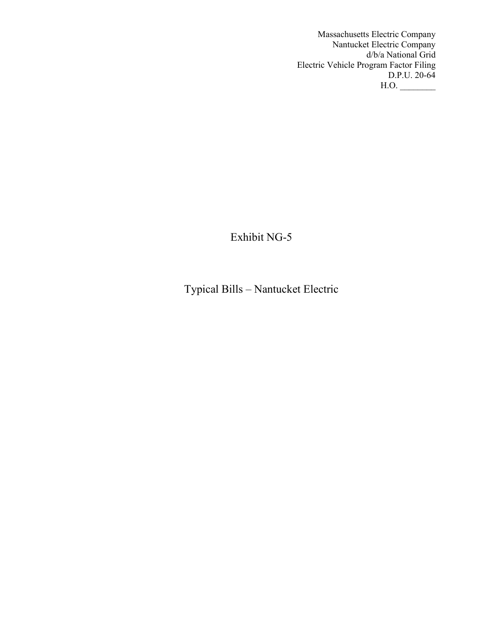Massachusetts Electric Company Nantucket Electric Company d/b/a National Grid Electric Vehicle Program Factor Filing D.P.U. 20-64  $H.O.$ 

Exhibit NG-5

Typical Bills – Nantucket Electric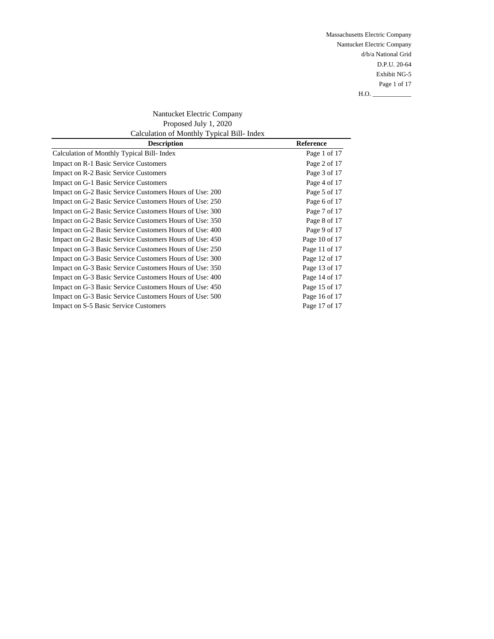Massachusetts Electric Company Nantucket Electric Company d/b/a National Grid D.P.U. 20-64 Exhibit NG-5 Page 1 of 17  $H.O.$ 

Nantucket Electric Company Proposed July 1, 2020 Calculation of Monthly Typical Bill- Index

| <b>Description</b>                                      | <b>Reference</b> |
|---------------------------------------------------------|------------------|
| Calculation of Monthly Typical Bill- Index              | Page 1 of 17     |
| Impact on R-1 Basic Service Customers                   | Page 2 of 17     |
| Impact on R-2 Basic Service Customers                   | Page 3 of 17     |
| Impact on G-1 Basic Service Customers                   | Page 4 of 17     |
| Impact on G-2 Basic Service Customers Hours of Use: 200 | Page 5 of 17     |
| Impact on G-2 Basic Service Customers Hours of Use: 250 | Page 6 of 17     |
| Impact on G-2 Basic Service Customers Hours of Use: 300 | Page 7 of 17     |
| Impact on G-2 Basic Service Customers Hours of Use: 350 | Page 8 of 17     |
| Impact on G-2 Basic Service Customers Hours of Use: 400 | Page 9 of 17     |
| Impact on G-2 Basic Service Customers Hours of Use: 450 | Page 10 of 17    |
| Impact on G-3 Basic Service Customers Hours of Use: 250 | Page 11 of 17    |
| Impact on G-3 Basic Service Customers Hours of Use: 300 | Page 12 of 17    |
| Impact on G-3 Basic Service Customers Hours of Use: 350 | Page 13 of 17    |
| Impact on G-3 Basic Service Customers Hours of Use: 400 | Page 14 of 17    |
| Impact on G-3 Basic Service Customers Hours of Use: 450 | Page 15 of 17    |
| Impact on G-3 Basic Service Customers Hours of Use: 500 | Page 16 of 17    |
| Impact on S-5 Basic Service Customers                   | Page 17 of 17    |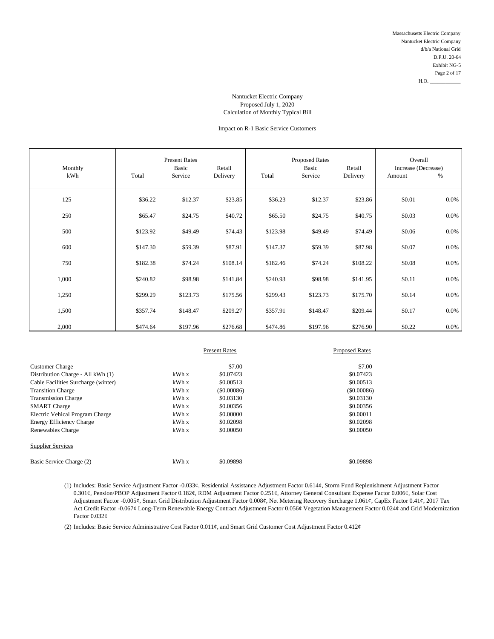# Impact on R-1 Basic Service Customers

| Monthly<br>kWh | Total    | <b>Present Rates</b><br>Basic<br>Service | Retail<br>Delivery | Total    | <b>Proposed Rates</b><br>Basic<br>Service | Retail<br>Delivery | Overall<br>Increase (Decrease)<br>Amount | %       |
|----------------|----------|------------------------------------------|--------------------|----------|-------------------------------------------|--------------------|------------------------------------------|---------|
| 125            | \$36.22  | \$12.37                                  | \$23.85            | \$36.23  | \$12.37                                   | \$23.86            | \$0.01                                   | 0.0%    |
| 250            | \$65.47  | \$24.75                                  | \$40.72            | \$65.50  | \$24.75                                   | \$40.75            | \$0.03                                   | 0.0%    |
| 500            | \$123.92 | \$49.49                                  | \$74.43            | \$123.98 | \$49.49                                   | \$74.49            | \$0.06                                   | 0.0%    |
| 600            | \$147.30 | \$59.39                                  | \$87.91            | \$147.37 | \$59.39                                   | \$87.98            | \$0.07                                   | 0.0%    |
| 750            | \$182.38 | \$74.24                                  | \$108.14           | \$182.46 | \$74.24                                   | \$108.22           | \$0.08                                   | 0.0%    |
| 1,000          | \$240.82 | \$98.98                                  | \$141.84           | \$240.93 | \$98.98                                   | \$141.95           | \$0.11                                   | 0.0%    |
| 1,250          | \$299.29 | \$123.73                                 | \$175.56           | \$299.43 | \$123.73                                  | \$175.70           | \$0.14                                   | 0.0%    |
| 1,500          | \$357.74 | \$148.47                                 | \$209.27           | \$357.91 | \$148.47                                  | \$209.44           | \$0.17                                   | $0.0\%$ |
| 2,000          | \$474.64 | \$197.96                                 | \$276.68           | \$474.86 | \$197.96                                  | \$276.90           | \$0.22                                   | 0.0%    |

|                                     |       | <b>Present Rates</b> | <b>Proposed Rates</b> |
|-------------------------------------|-------|----------------------|-----------------------|
| <b>Customer Charge</b>              |       | \$7.00               | \$7.00                |
| Distribution Charge - All kWh (1)   | kWh x | \$0.07423            | \$0.07423             |
| Cable Facilities Surcharge (winter) | kWh x | \$0.00513            | \$0.00513             |
| <b>Transition Charge</b>            | kWhx  | $($ \$0,00086)       | $($ \$0,00086)        |
| <b>Transmission Charge</b>          | kWh x | \$0.03130            | \$0.03130             |
| <b>SMART</b> Charge                 | kWh x | \$0.00356            | \$0.00356             |
| Electric Vehical Program Charge     | kWhx  | \$0,00000            | \$0.00011             |
| <b>Energy Efficiency Charge</b>     | kWh x | \$0.02098            | \$0.02098             |
| Renewables Charge                   | kWhx  | \$0,00050            | \$0,00050             |
| <b>Supplier Services</b>            |       |                      |                       |
| Basic Service Charge (2)            | kWhx  | \$0.09898            | \$0.09898             |

(1) Includes: Basic Service Adjustment Factor -0.033¢, Residential Assistance Adjustment Factor 0.614¢, Storm Fund Replenishment Adjustment Factor 0.301¢, Pension/PBOP Adjustment Factor 0.182¢, RDM Adjustment Factor 0.251¢, Attorney General Consultant Expense Factor 0.006¢, Solar Cost Adjustment Factor -0.005¢, Smart Grid Distribution Adjustment Factor 0.008¢, Net Metering Recovery Surcharge 1.061¢, CapEx Factor 0.41¢, 2017 Tax Act Credit Factor -0.067¢ Long-Term Renewable Energy Contract Adjustment Factor 0.056¢ Vegetation Management Factor 0.024¢ and Grid Modernization Factor  $0.032\varrho$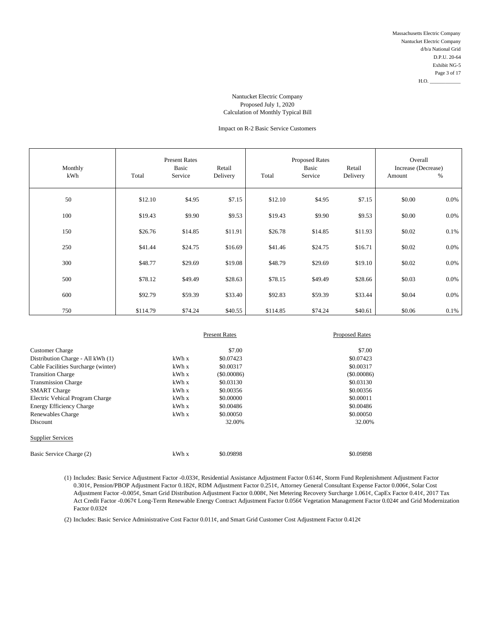# Impact on R-2 Basic Service Customers

| Monthly<br>kWh | Total    | <b>Present Rates</b><br>Basic<br>Service | Retail<br>Delivery | Total    | <b>Proposed Rates</b><br>Basic<br>Service | Retail<br>Delivery | Overall<br>Increase (Decrease)<br>Amount | %       |
|----------------|----------|------------------------------------------|--------------------|----------|-------------------------------------------|--------------------|------------------------------------------|---------|
| 50             | \$12.10  | \$4.95                                   | \$7.15             | \$12.10  | \$4.95                                    | \$7.15             | \$0.00                                   | $0.0\%$ |
| 100            | \$19.43  | \$9.90                                   | \$9.53             | \$19.43  | \$9.90                                    | \$9.53             | \$0.00                                   | 0.0%    |
| 150            | \$26.76  | \$14.85                                  | \$11.91            | \$26.78  | \$14.85                                   | \$11.93            | \$0.02                                   | 0.1%    |
| 250            | \$41.44  | \$24.75                                  | \$16.69            | \$41.46  | \$24.75                                   | \$16.71            | \$0.02                                   | 0.0%    |
| 300            | \$48.77  | \$29.69                                  | \$19.08            | \$48.79  | \$29.69                                   | \$19.10            | \$0.02                                   | 0.0%    |
| 500            | \$78.12  | \$49.49                                  | \$28.63            | \$78.15  | \$49.49                                   | \$28.66            | \$0.03                                   | 0.0%    |
| 600            | \$92.79  | \$59.39                                  | \$33.40            | \$92.83  | \$59.39                                   | \$33.44            | \$0.04                                   | 0.0%    |
| 750            | \$114.79 | \$74.24                                  | \$40.55            | \$114.85 | \$74.24                                   | \$40.61            | \$0.06                                   | 0.1%    |

|                                     |       | <b>Present Rates</b> | <b>Proposed Rates</b> |
|-------------------------------------|-------|----------------------|-----------------------|
| <b>Customer Charge</b>              |       | \$7.00               | \$7.00                |
| Distribution Charge - All kWh (1)   | kWh x | \$0.07423            | \$0.07423             |
| Cable Facilities Surcharge (winter) | kWh x | \$0.00317            | \$0.00317             |
| <b>Transition Charge</b>            | kWh x | $($ \$0,00086)       | $($ \$0.00086)        |
| <b>Transmission Charge</b>          | kWh x | \$0.03130            | \$0.03130             |
| <b>SMART</b> Charge                 | kWh x | \$0.00356            | \$0.00356             |
| Electric Vehical Program Charge     | kWh x | \$0,00000            | \$0.00011             |
| <b>Energy Efficiency Charge</b>     | kWh x | \$0.00486            | \$0.00486             |
| Renewables Charge                   | kWh x | \$0,00050            | \$0,00050             |
| <b>Discount</b>                     |       | 32.00%               | 32.00%                |
| <b>Supplier Services</b>            |       |                      |                       |
| Basic Service Charge (2)            | kWh x | \$0.09898            | \$0.09898             |

(1) Includes: Basic Service Adjustment Factor -0.033¢, Residential Assistance Adjustment Factor 0.614¢, Storm Fund Replenishment Adjustment Factor 0.301¢, Pension/PBOP Adjustment Factor 0.182¢, RDM Adjustment Factor 0.251¢, Attorney General Consultant Expense Factor 0.006¢, Solar Cost Adjustment Factor -0.005¢, Smart Grid Distribution Adjustment Factor 0.008¢, Net Metering Recovery Surcharge 1.061¢, CapEx Factor 0.41¢, 2017 Tax Act Credit Factor -0.067¢ Long-Term Renewable Energy Contract Adjustment Factor 0.056¢ Vegetation Management Factor 0.024¢ and Grid Modernization Factor 0.032¢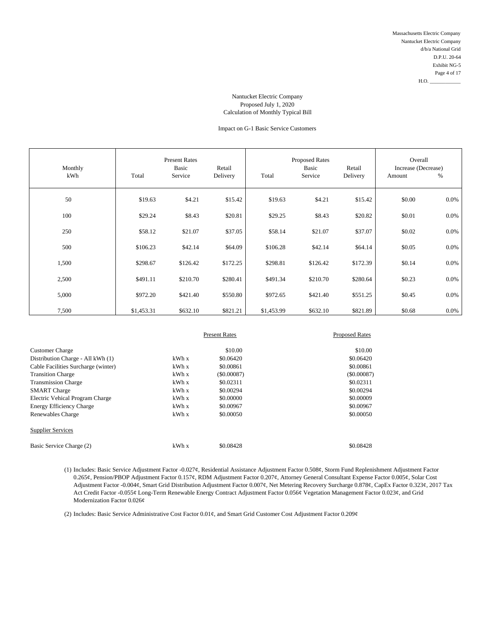# Impact on G-1 Basic Service Customers

| Monthly<br>kWh | Total      | <b>Present Rates</b><br>Basic<br>Service | Retail<br>Delivery | Total      | <b>Proposed Rates</b><br>Basic<br>Service | Retail<br>Delivery | Overall<br>Increase (Decrease)<br>Amount | %       |
|----------------|------------|------------------------------------------|--------------------|------------|-------------------------------------------|--------------------|------------------------------------------|---------|
| 50             | \$19.63    | \$4.21                                   | \$15.42            | \$19.63    | \$4.21                                    | \$15.42            | \$0.00                                   | 0.0%    |
| 100            | \$29.24    | \$8.43                                   | \$20.81            | \$29.25    | \$8.43                                    | \$20.82            | \$0.01                                   | 0.0%    |
| 250            | \$58.12    | \$21.07                                  | \$37.05            | \$58.14    | \$21.07                                   | \$37.07            | \$0.02                                   | 0.0%    |
| 500            | \$106.23   | \$42.14                                  | \$64.09            | \$106.28   | \$42.14                                   | \$64.14            | \$0.05                                   | 0.0%    |
| 1,500          | \$298.67   | \$126.42                                 | \$172.25           | \$298.81   | \$126.42                                  | \$172.39           | \$0.14                                   | 0.0%    |
| 2,500          | \$491.11   | \$210.70                                 | \$280.41           | \$491.34   | \$210.70                                  | \$280.64           | \$0.23                                   | $0.0\%$ |
| 5,000          | \$972.20   | \$421.40                                 | \$550.80           | \$972.65   | \$421.40                                  | \$551.25           | \$0.45                                   | 0.0%    |
| 7,500          | \$1,453.31 | \$632.10                                 | \$821.21           | \$1,453.99 | \$632.10                                  | \$821.89           | \$0.68                                   | $0.0\%$ |

|                                     |       | <b>Present Rates</b> | <b>Proposed Rates</b> |
|-------------------------------------|-------|----------------------|-----------------------|
| <b>Customer Charge</b>              |       | \$10.00              | \$10.00               |
| Distribution Charge - All kWh (1)   | kWh x | \$0.06420            | \$0.06420             |
| Cable Facilities Surcharge (winter) | kWh x | \$0.00861            | \$0,00861             |
| <b>Transition Charge</b>            | kWh x | (S0.00087)           | (\$0.00087)           |
| <b>Transmission Charge</b>          | kWh x | \$0.02311            | \$0.02311             |
| <b>SMART</b> Charge                 | kWh x | \$0.00294            | \$0.00294             |
| Electric Vehical Program Charge     | kWh x | \$0.00000            | \$0,00009             |
| Energy Efficiency Charge            | kWh x | \$0,00967            | \$0.00967             |
| Renewables Charge                   | kWh x | \$0.00050            | \$0,00050             |
| <b>Supplier Services</b>            |       |                      |                       |
| Basic Service Charge (2)            | kWh x | \$0.08428            | \$0.08428             |

(1) Includes: Basic Service Adjustment Factor -0.027¢, Residential Assistance Adjustment Factor 0.508¢, Storm Fund Replenishment Adjustment Factor 0.265¢, Pension/PBOP Adjustment Factor 0.157¢, RDM Adjustment Factor 0.207¢, Attorney General Consultant Expense Factor 0.005¢, Solar Cost Adjustment Factor -0.004¢, Smart Grid Distribution Adjustment Factor 0.007¢, Net Metering Recovery Surcharge 0.878¢, CapEx Factor 0.323¢, 2017 Tax Act Credit Factor -0.055¢ Long-Term Renewable Energy Contract Adjustment Factor 0.056¢ Vegetation Management Factor 0.023¢, and Grid Modernization Factor 0.026¢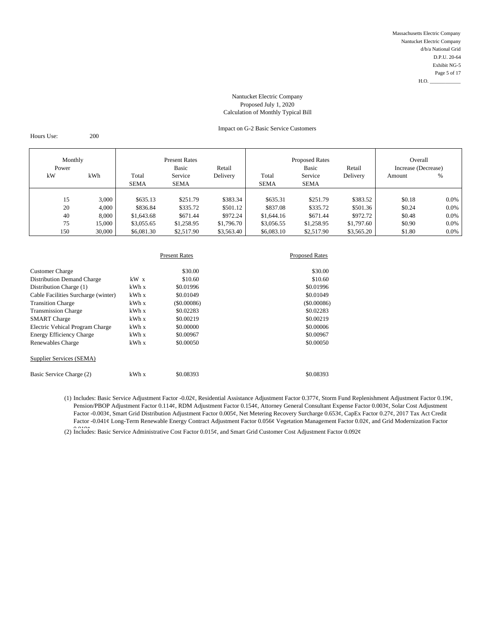# Impact on G-2 Basic Service Customers

Hours Use: 200

| Monthly<br>Power |     | <b>Present Rates</b><br>Basic<br>Retail |             |             | <b>Proposed Rates</b><br><b>Basic</b><br>Retail |             |             | Overall<br>Increase (Decrease) |        |         |
|------------------|-----|-----------------------------------------|-------------|-------------|-------------------------------------------------|-------------|-------------|--------------------------------|--------|---------|
|                  | kW  | kWh                                     | Total       | Service     | Delivery                                        | Total       | Service     | Delivery                       | Amount | %       |
|                  |     |                                         | <b>SEMA</b> | <b>SEMA</b> |                                                 | <b>SEMA</b> | <b>SEMA</b> |                                |        |         |
|                  |     |                                         |             |             |                                                 |             |             |                                |        |         |
|                  | 15  | 3,000                                   | \$635.13    | \$251.79    | \$383.34                                        | \$635.31    | \$251.79    | \$383.52                       | \$0.18 | $0.0\%$ |
|                  | 20  | 4,000                                   | \$836.84    | \$335.72    | \$501.12                                        | \$837.08    | \$335.72    | \$501.36                       | \$0.24 | $0.0\%$ |
|                  | 40  | 8.000                                   | \$1,643.68  | \$671.44    | \$972.24                                        | \$1,644.16  | \$671.44    | \$972.72                       | \$0.48 | $0.0\%$ |
|                  | 75  | 15,000                                  | \$3,055.65  | \$1,258.95  | \$1,796.70                                      | \$3,056.55  | \$1,258.95  | \$1,797.60                     | \$0.90 | $0.0\%$ |
|                  | 150 | 30,000                                  | \$6,081.30  | \$2,517.90  | \$3,563.40                                      | \$6,083.10  | \$2,517.90  | \$3,565.20                     | \$1.80 | $0.0\%$ |

|                                     |        | <b>Present Rates</b> | <b>Proposed Rates</b> |  |
|-------------------------------------|--------|----------------------|-----------------------|--|
| <b>Customer Charge</b>              |        | \$30.00              | \$30.00               |  |
| <b>Distribution Demand Charge</b>   | $kW$ x | \$10.60              | \$10.60               |  |
| Distribution Charge (1)             | kWhx   | \$0.01996            | \$0.01996             |  |
| Cable Facilities Surcharge (winter) | kWhx   | \$0.01049            | \$0.01049             |  |
| <b>Transition Charge</b>            | kWh x  | $($ \$0,00086)       | $($ \$0.00086 $)$     |  |
| <b>Transmission Charge</b>          | kWhx   | \$0.02283            | \$0.02283             |  |
| <b>SMART</b> Charge                 | kWhx   | \$0.00219            | \$0.00219             |  |
| Electric Vehical Program Charge     | kWh x  | \$0,00000            | \$0,00006             |  |
| Energy Efficiency Charge            | kWh x  | \$0.00967            | \$0.00967             |  |
| Renewables Charge                   | kWhx   | \$0.00050            | \$0,00050             |  |
| Supplier Services (SEMA)            |        |                      |                       |  |
| Basic Service Charge (2)            | kWh x  | \$0.08393            | \$0.08393             |  |

(1) Includes: Basic Service Adjustment Factor -0.02¢, Residential Assistance Adjustment Factor 0.377¢, Storm Fund Replenishment Adjustment Factor 0.19¢, Pension/PBOP Adjustment Factor 0.114¢, RDM Adjustment Factor 0.154¢, Attorney General Consultant Expense Factor 0.003¢, Solar Cost Adjustment Factor -0.003¢, Smart Grid Distribution Adjustment Factor 0.005¢, Net Metering Recovery Surcharge 0.653¢, CapEx Factor 0.27¢, 2017 Tax Act Credit Factor -0.041¢ Long-Term Renewable Energy Contract Adjustment Factor 0.056¢ Vegetation Management Factor 0.02¢, and Grid Modernization Factor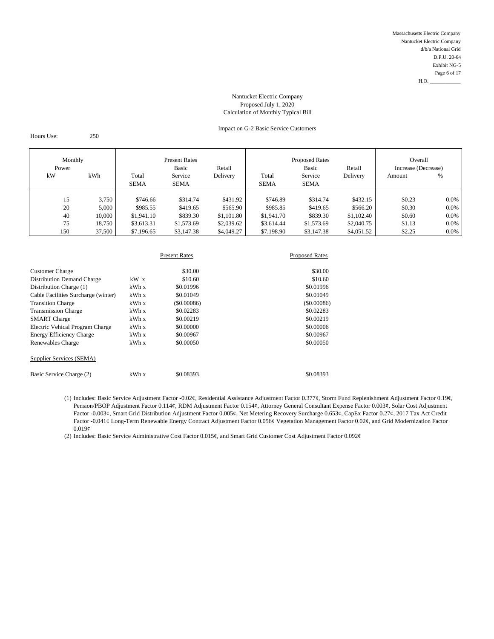# Impact on G-2 Basic Service Customers

Hours Use: 250

| Monthly<br>Power |        | <b>Present Rates</b><br>Basic<br>Retail |             |            | <b>Proposed Rates</b><br><b>Basic</b><br>Retail |             |            | Overall<br>Increase (Decrease) |         |
|------------------|--------|-----------------------------------------|-------------|------------|-------------------------------------------------|-------------|------------|--------------------------------|---------|
| kW               | kWh    | Total                                   | Service     | Delivery   | Total                                           | Service     | Delivery   | Amount                         | %       |
|                  |        | <b>SEMA</b>                             | <b>SEMA</b> |            | <b>SEMA</b>                                     | <b>SEMA</b> |            |                                |         |
|                  |        |                                         |             |            |                                                 |             |            |                                |         |
| 15               | 3,750  | \$746.66                                | \$314.74    | \$431.92   | \$746.89                                        | \$314.74    | \$432.15   | \$0.23                         | $0.0\%$ |
| 20               | 5,000  | \$985.55                                | \$419.65    | \$565.90   | \$985.85                                        | \$419.65    | \$566.20   | \$0.30                         | $0.0\%$ |
| 40               | 10,000 | \$1,941.10                              | \$839.30    | \$1,101.80 | \$1,941.70                                      | \$839.30    | \$1,102.40 | \$0.60                         | $0.0\%$ |
| 75               | 18,750 | \$3,613.31                              | \$1,573.69  | \$2,039.62 | \$3,614.44                                      | \$1,573.69  | \$2,040.75 | \$1.13                         | $0.0\%$ |
| 150              | 37,500 | \$7,196.65                              | \$3,147.38  | \$4,049.27 | \$7,198.90                                      | \$3,147.38  | \$4,051.52 | \$2.25                         | $0.0\%$ |

|                                     |        | <b>Present Rates</b> | <b>Proposed Rates</b> |  |
|-------------------------------------|--------|----------------------|-----------------------|--|
| <b>Customer Charge</b>              |        | \$30.00              | \$30.00               |  |
| <b>Distribution Demand Charge</b>   | $kW$ x | \$10.60              | \$10.60               |  |
| Distribution Charge (1)             | kWh x  | \$0.01996            | \$0.01996             |  |
| Cable Facilities Surcharge (winter) | kWh x  | \$0.01049            | \$0.01049             |  |
| <b>Transition Charge</b>            | kWh x  | (S0.00086)           | $($ \$0.00086)        |  |
| <b>Transmission Charge</b>          | kWh x  | \$0.02283            | \$0.02283             |  |
| <b>SMART</b> Charge                 | kWh x  | \$0.00219            | \$0.00219             |  |
| Electric Vehical Program Charge     | kWh x  | \$0.00000            | \$0,00006             |  |
| Energy Efficiency Charge            | kWh x  | \$0,00967            | \$0.00967             |  |
| Renewables Charge                   | kWh x  | \$0,00050            | \$0,00050             |  |
| Supplier Services (SEMA)            |        |                      |                       |  |
| Basic Service Charge (2)            | kWh x  | \$0.08393            | \$0.08393             |  |

(1) Includes: Basic Service Adjustment Factor -0.02¢, Residential Assistance Adjustment Factor 0.377¢, Storm Fund Replenishment Adjustment Factor 0.19¢, Pension/PBOP Adjustment Factor 0.114¢, RDM Adjustment Factor 0.154¢, Attorney General Consultant Expense Factor 0.003¢, Solar Cost Adjustment Factor -0.003¢, Smart Grid Distribution Adjustment Factor 0.005¢, Net Metering Recovery Surcharge 0.653¢, CapEx Factor 0.27¢, 2017 Tax Act Credit Factor -0.041¢ Long-Term Renewable Energy Contract Adjustment Factor 0.056¢ Vegetation Management Factor 0.02¢, and Grid Modernization Factor  $0.019<sub>c</sub>$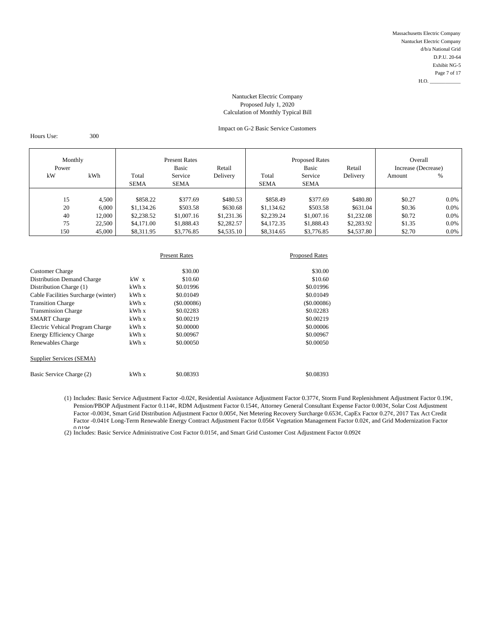# Impact on G-2 Basic Service Customers

Hours Use: 300

| Monthly<br><b>Present Rates</b><br>Basic<br>Retail<br>Power |        |             |             | <b>Proposed Rates</b><br><b>Basic</b> | Retail      | Overall<br>Increase (Decrease) |            |        |         |
|-------------------------------------------------------------|--------|-------------|-------------|---------------------------------------|-------------|--------------------------------|------------|--------|---------|
| kW                                                          | kWh    | Total       | Service     | Delivery                              | Total       | Service                        | Delivery   | Amount | %       |
|                                                             |        | <b>SEMA</b> | <b>SEMA</b> |                                       | <b>SEMA</b> | <b>SEMA</b>                    |            |        |         |
|                                                             |        |             |             |                                       |             |                                |            |        |         |
| 15                                                          | 4,500  | \$858.22    | \$377.69    | \$480.53                              | \$858.49    | \$377.69                       | \$480.80   | \$0.27 | $0.0\%$ |
| 20                                                          | 6.000  | \$1,134.26  | \$503.58    | \$630.68                              | \$1,134.62  | \$503.58                       | \$631.04   | \$0.36 | $0.0\%$ |
| 40                                                          | 12.000 | \$2,238.52  | \$1,007.16  | \$1,231.36                            | \$2,239.24  | \$1,007.16                     | \$1,232.08 | \$0.72 | 0.0%    |
| 75                                                          | 22,500 | \$4,171.00  | \$1,888.43  | \$2,282.57                            | \$4,172.35  | \$1,888.43                     | \$2,283.92 | \$1.35 | $0.0\%$ |
| 150                                                         | 45,000 | \$8,311.95  | \$3,776.85  | \$4,535.10                            | \$8,314.65  | \$3,776.85                     | \$4,537.80 | \$2.70 | $0.0\%$ |

|                                     |       | <b>Present Rates</b> | <b>Proposed Rates</b> |  |
|-------------------------------------|-------|----------------------|-----------------------|--|
| <b>Customer Charge</b>              |       | \$30.00              | \$30.00               |  |
| <b>Distribution Demand Charge</b>   | kW x  | \$10.60              | \$10.60               |  |
| Distribution Charge (1)             | kWhx  | \$0.01996            | \$0.01996             |  |
| Cable Facilities Surcharge (winter) | kWh x | \$0.01049            | \$0.01049             |  |
| <b>Transition Charge</b>            | kWh x | $($ \$0,00086)       | $($ \$0.00086)        |  |
| <b>Transmission Charge</b>          | kWh x | \$0.02283            | \$0.02283             |  |
| <b>SMART</b> Charge                 | kWh x | \$0.00219            | \$0.00219             |  |
| Electric Vehical Program Charge     | kWh x | \$0.00000            | \$0.00006             |  |
| Energy Efficiency Charge            | kWh x | \$0,00967            | \$0.00967             |  |
| Renewables Charge                   | kWhx  | \$0,00050            | \$0,00050             |  |
| Supplier Services (SEMA)            |       |                      |                       |  |
| Basic Service Charge (2)            | kWh x | \$0.08393            | \$0.08393             |  |

(1) Includes: Basic Service Adjustment Factor -0.02¢, Residential Assistance Adjustment Factor 0.377¢, Storm Fund Replenishment Adjustment Factor 0.19¢, Pension/PBOP Adjustment Factor 0.114¢, RDM Adjustment Factor 0.154¢, Attorney General Consultant Expense Factor 0.003¢, Solar Cost Adjustment Factor -0.003¢, Smart Grid Distribution Adjustment Factor 0.005¢, Net Metering Recovery Surcharge 0.653¢, CapEx Factor 0.27¢, 2017 Tax Act Credit Factor -0.041¢ Long-Term Renewable Energy Contract Adjustment Factor 0.056¢ Vegetation Management Factor 0.02¢, and Grid Modernization Factor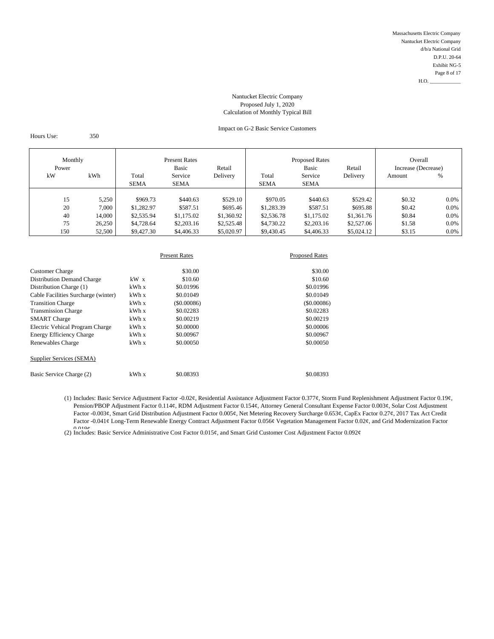# Impact on G-2 Basic Service Customers

Hours Use: 350

| Monthly<br><b>Present Rates</b><br>Basic<br>Power |     |        | Retail      |             | <b>Proposed Rates</b><br>Basic | Retail      | Overall<br>Increase (Decrease) |            |        |         |
|---------------------------------------------------|-----|--------|-------------|-------------|--------------------------------|-------------|--------------------------------|------------|--------|---------|
|                                                   | kW  | kWh    | Total       | Service     | Delivery                       | Total       | Service                        | Delivery   | Amount | %       |
|                                                   |     |        | <b>SEMA</b> | <b>SEMA</b> |                                | <b>SEMA</b> | <b>SEMA</b>                    |            |        |         |
|                                                   |     |        |             |             |                                |             |                                |            |        |         |
|                                                   | 15  | 5,250  | \$969.73    | \$440.63    | \$529.10                       | \$970.05    | \$440.63                       | \$529.42   | \$0.32 | $0.0\%$ |
|                                                   | 20  | 7,000  | \$1,282.97  | \$587.51    | \$695.46                       | \$1,283.39  | \$587.51                       | \$695.88   | \$0.42 | $0.0\%$ |
|                                                   | 40  | 14,000 | \$2,535.94  | \$1,175.02  | \$1,360.92                     | \$2,536.78  | \$1,175.02                     | \$1,361.76 | \$0.84 | $0.0\%$ |
|                                                   | 75  | 26,250 | \$4,728.64  | \$2,203.16  | \$2,525.48                     | \$4,730.22  | \$2,203.16                     | \$2,527.06 | \$1.58 | $0.0\%$ |
|                                                   | 150 | 52,500 | \$9,427.30  | \$4,406.33  | \$5,020.97                     | \$9,430.45  | \$4,406.33                     | \$5,024.12 | \$3.15 | $0.0\%$ |

|                                     |        | <b>Present Rates</b> | <b>Proposed Rates</b> |  |  |
|-------------------------------------|--------|----------------------|-----------------------|--|--|
| <b>Customer Charge</b>              |        | \$30.00              | \$30.00               |  |  |
| <b>Distribution Demand Charge</b>   | $kW$ x | \$10.60              | \$10.60               |  |  |
| Distribution Charge (1)             | kWh x  | \$0.01996            | \$0.01996             |  |  |
| Cable Facilities Surcharge (winter) | kWh x  | \$0.01049            | \$0.01049             |  |  |
| <b>Transition Charge</b>            | kWh x  | (S0.00086)           | $($ \$0,00086)        |  |  |
| <b>Transmission Charge</b>          | kWh x  | \$0.02283            | \$0.02283             |  |  |
| <b>SMART</b> Charge                 | kWh x  | \$0.00219            | \$0.00219             |  |  |
| Electric Vehical Program Charge     | kWhx   | \$0.00000            | \$0,00006             |  |  |
| Energy Efficiency Charge            | kWh x  | \$0,00967            | \$0.00967             |  |  |
| Renewables Charge                   | kWhx   | \$0.00050            | \$0,00050             |  |  |
| Supplier Services (SEMA)            |        |                      |                       |  |  |
| Basic Service Charge (2)            | kWh x  | \$0.08393            | \$0.08393             |  |  |

(1) Includes: Basic Service Adjustment Factor -0.02¢, Residential Assistance Adjustment Factor 0.377¢, Storm Fund Replenishment Adjustment Factor 0.19¢, Pension/PBOP Adjustment Factor 0.114¢, RDM Adjustment Factor 0.154¢, Attorney General Consultant Expense Factor 0.003¢, Solar Cost Adjustment Factor -0.003¢, Smart Grid Distribution Adjustment Factor 0.005¢, Net Metering Recovery Surcharge 0.653¢, CapEx Factor 0.27¢, 2017 Tax Act Credit Factor -0.041¢ Long-Term Renewable Energy Contract Adjustment Factor 0.056¢ Vegetation Management Factor 0.02¢, and Grid Modernization Factor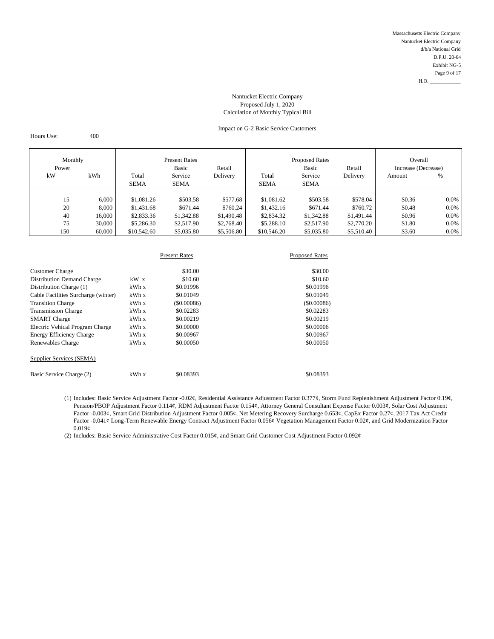# Impact on G-2 Basic Service Customers

Hours Use: 400

| Monthly<br>Power |     |        | <b>Present Rates</b><br>Basic | Retail      |            | <b>Proposed Rates</b><br>Basic | Retail      | Overall<br>Increase (Decrease) |        |         |
|------------------|-----|--------|-------------------------------|-------------|------------|--------------------------------|-------------|--------------------------------|--------|---------|
|                  | kW  | kWh    | Total                         | Service     | Delivery   | Total                          | Service     | Delivery                       | Amount | %       |
|                  |     |        | <b>SEMA</b>                   | <b>SEMA</b> |            | <b>SEMA</b>                    | <b>SEMA</b> |                                |        |         |
|                  |     |        |                               |             |            |                                |             |                                |        |         |
|                  | 15  | 6,000  | \$1,081.26                    | \$503.58    | \$577.68   | \$1,081.62                     | \$503.58    | \$578.04                       | \$0.36 | $0.0\%$ |
|                  | 20  | 8,000  | \$1,431.68                    | \$671.44    | \$760.24   | \$1,432.16                     | \$671.44    | \$760.72                       | \$0.48 | $0.0\%$ |
|                  | 40  | 16,000 | \$2,833.36                    | \$1,342.88  | \$1,490.48 | \$2,834.32                     | \$1,342.88  | \$1,491.44                     | \$0.96 | $0.0\%$ |
|                  | 75  | 30,000 | \$5,286.30                    | \$2,517.90  | \$2,768.40 | \$5,288.10                     | \$2,517.90  | \$2,770.20                     | \$1.80 | $0.0\%$ |
|                  | 150 | 60,000 | \$10,542.60                   | \$5,035.80  | \$5,506.80 | \$10,546.20                    | \$5,035.80  | \$5,510.40                     | \$3.60 | 0.0%    |

|                                     |        | <b>Present Rates</b> | <b>Proposed Rates</b> |
|-------------------------------------|--------|----------------------|-----------------------|
| <b>Customer Charge</b>              |        | \$30.00              | \$30.00               |
| <b>Distribution Demand Charge</b>   | $kW$ x | \$10.60              | \$10.60               |
| Distribution Charge (1)             | kWh x  | \$0.01996            | \$0.01996             |
| Cable Facilities Surcharge (winter) | kWh x  | \$0.01049            | \$0.01049             |
| <b>Transition Charge</b>            | kWh x  | (S0.00086)           | $($ \$0.00086)        |
| <b>Transmission Charge</b>          | kWh x  | \$0.02283            | \$0.02283             |
| <b>SMART</b> Charge                 | kWh x  | \$0.00219            | \$0.00219             |
| Electric Vehical Program Charge     | kWh x  | \$0,00000            | \$0.00006             |
| Energy Efficiency Charge            | kWh x  | \$0,00967            | \$0.00967             |
| Renewables Charge                   | kWhx   | \$0.00050            | \$0.00050             |
| Supplier Services (SEMA)            |        |                      |                       |
| Basic Service Charge (2)            | kWh x  | \$0.08393            | \$0.08393             |

(1) Includes: Basic Service Adjustment Factor -0.02¢, Residential Assistance Adjustment Factor 0.377¢, Storm Fund Replenishment Adjustment Factor 0.19¢, Pension/PBOP Adjustment Factor 0.114¢, RDM Adjustment Factor 0.154¢, Attorney General Consultant Expense Factor 0.003¢, Solar Cost Adjustment Factor -0.003¢, Smart Grid Distribution Adjustment Factor 0.005¢, Net Metering Recovery Surcharge 0.653¢, CapEx Factor 0.27¢, 2017 Tax Act Credit Factor -0.041¢ Long-Term Renewable Energy Contract Adjustment Factor 0.056¢ Vegetation Management Factor 0.02¢, and Grid Modernization Factor  $0.019<sub>\mathcal{C}</sub>$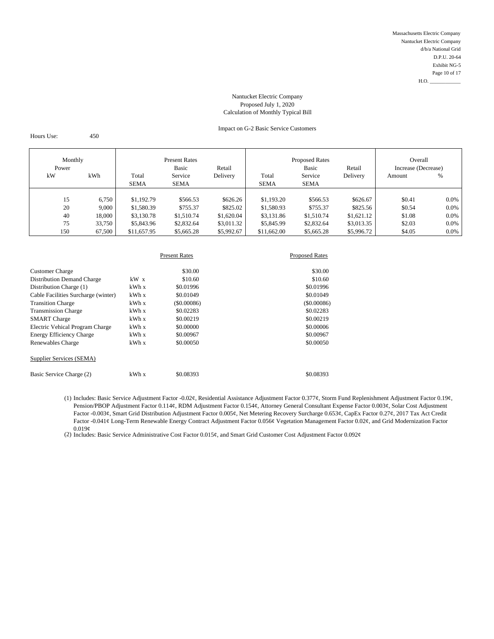# Impact on G-2 Basic Service Customers

Hours Use: 450

| Monthly<br>Power |     |        | <b>Present Rates</b><br>Basic | Retail      |            | <b>Proposed Rates</b><br>Basic | Retail      | Overall<br>Increase (Decrease) |        |         |
|------------------|-----|--------|-------------------------------|-------------|------------|--------------------------------|-------------|--------------------------------|--------|---------|
|                  | kW  | kWh    | Total                         | Service     | Delivery   | Total                          | Service     | Delivery                       | Amount | %       |
|                  |     |        | <b>SEMA</b>                   | <b>SEMA</b> |            | <b>SEMA</b>                    | <b>SEMA</b> |                                |        |         |
|                  |     |        |                               |             |            |                                |             |                                |        |         |
|                  | 15  | 6,750  | \$1,192.79                    | \$566.53    | \$626.26   | \$1,193.20                     | \$566.53    | \$626.67                       | \$0.41 | $0.0\%$ |
|                  | 20  | 9,000  | \$1,580.39                    | \$755.37    | \$825.02   | \$1,580.93                     | \$755.37    | \$825.56                       | \$0.54 | $0.0\%$ |
|                  | 40  | 18,000 | \$3,130.78                    | \$1,510.74  | \$1,620.04 | \$3,131.86                     | \$1,510.74  | \$1,621.12                     | \$1.08 | $0.0\%$ |
|                  | 75  | 33,750 | \$5,843.96                    | \$2,832.64  | \$3,011.32 | \$5,845.99                     | \$2,832.64  | \$3,013.35                     | \$2.03 | $0.0\%$ |
|                  | 150 | 67,500 | \$11,657.95                   | \$5,665.28  | \$5,992.67 | \$11,662.00                    | \$5,665.28  | \$5,996.72                     | \$4.05 | 0.0%    |

|                                     |        | <b>Present Rates</b> | <b>Proposed Rates</b> |
|-------------------------------------|--------|----------------------|-----------------------|
| <b>Customer Charge</b>              |        | \$30.00              | \$30.00               |
| <b>Distribution Demand Charge</b>   | $kW$ x | \$10.60              | \$10.60               |
| Distribution Charge (1)             | kWhx   | \$0.01996            | \$0.01996             |
| Cable Facilities Surcharge (winter) | kWh x  | \$0.01049            | \$0.01049             |
| <b>Transition Charge</b>            | kWh x  | $($ \$0.00086)       | $($ \$0.00086)        |
| <b>Transmission Charge</b>          | kWh x  | \$0.02283            | \$0.02283             |
| <b>SMART</b> Charge                 | kWh x  | \$0.00219            | \$0.00219             |
| Electric Vehical Program Charge     | kWhx   | \$0.00000            | \$0.00006             |
| <b>Energy Efficiency Charge</b>     | kWh x  | \$0,00967            | \$0,00967             |
| Renewables Charge                   | kWhx   | \$0.00050            | \$0.00050             |
| Supplier Services (SEMA)            |        |                      |                       |
| Basic Service Charge (2)            | kWh x  | \$0.08393            | \$0.08393             |

(1) Includes: Basic Service Adjustment Factor -0.02¢, Residential Assistance Adjustment Factor 0.377¢, Storm Fund Replenishment Adjustment Factor 0.19¢, Pension/PBOP Adjustment Factor 0.114¢, RDM Adjustment Factor 0.154¢, Attorney General Consultant Expense Factor 0.003¢, Solar Cost Adjustment Factor -0.003¢, Smart Grid Distribution Adjustment Factor 0.005¢, Net Metering Recovery Surcharge 0.653¢, CapEx Factor 0.27¢, 2017 Tax Act Credit Factor -0.041¢ Long-Term Renewable Energy Contract Adjustment Factor 0.056¢ Vegetation Management Factor 0.02¢, and Grid Modernization Factor 0.019¢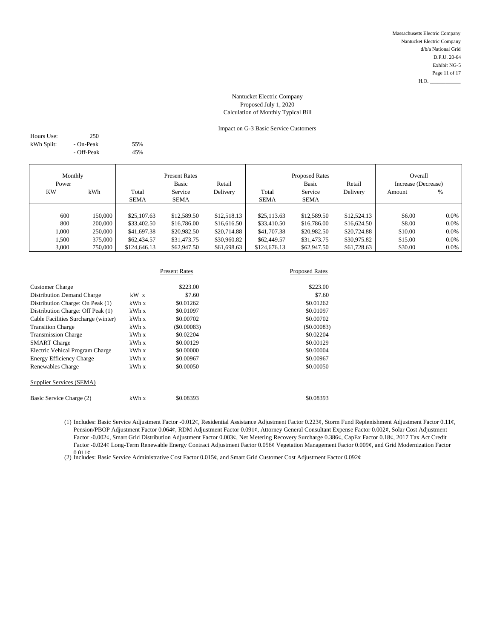# Impact on G-3 Basic Service Customers

| Hours Use: | 250        |     |
|------------|------------|-----|
| kWh Split: | - On-Peak  | 55% |
|            | - Off-Peak | 45% |

| Monthly<br>Power |         |                      | <b>Present Rates</b><br>Basic | Retail      |                      | <b>Proposed Rates</b><br><b>Basic</b> | Retail      | Overall<br>Increase (Decrease) |         |
|------------------|---------|----------------------|-------------------------------|-------------|----------------------|---------------------------------------|-------------|--------------------------------|---------|
| <b>KW</b>        | kWh     | Total<br><b>SEMA</b> | Service<br>SEMA               | Delivery    | Total<br><b>SEMA</b> | Service<br>SEMA                       | Delivery    | Amount                         | %       |
|                  |         |                      |                               |             |                      |                                       |             |                                |         |
|                  |         |                      |                               |             |                      |                                       |             |                                |         |
| 600              | 150,000 | \$25,107.63          | \$12,589.50                   | \$12,518.13 | \$25,113.63          | \$12,589.50                           | \$12,524.13 | \$6.00                         | $0.0\%$ |
| 800              | 200,000 | \$33,402.50          | \$16,786.00                   | \$16,616.50 | \$33,410.50          | \$16,786.00                           | \$16,624.50 | \$8.00                         | $0.0\%$ |
| 1,000            | 250,000 | \$41,697.38          | \$20,982.50                   | \$20,714.88 | \$41,707.38          | \$20,982.50                           | \$20,724.88 | \$10.00                        | $0.0\%$ |
| 1,500            | 375,000 | \$62,434.57          | \$31,473.75                   | \$30,960.82 | \$62,449.57          | \$31,473.75                           | \$30,975.82 | \$15.00                        | $0.0\%$ |
| 3,000            | 750,000 | \$124,646.13         | \$62,947.50                   | \$61,698.63 | \$124,676.13         | \$62,947.50                           | \$61,728.63 | \$30.00                        | $0.0\%$ |

|                                     |        | <b>Present Rates</b> | <b>Proposed Rates</b> |
|-------------------------------------|--------|----------------------|-----------------------|
| <b>Customer Charge</b>              |        | \$223.00             | \$223.00              |
| <b>Distribution Demand Charge</b>   | $kW$ x | \$7.60               | \$7.60                |
| Distribution Charge: On Peak (1)    | kWh x  | \$0.01262            | \$0.01262             |
| Distribution Charge: Off Peak (1)   | kWh x  | \$0.01097            | \$0.01097             |
| Cable Facilities Surcharge (winter) | kWh x  | \$0.00702            | \$0.00702             |
| <b>Transition Charge</b>            | kWh x  | $($ \$0,00083)       | (S0.00083)            |
| <b>Transmission Charge</b>          | kWh x  | \$0.02204            | \$0.02204             |
| <b>SMART</b> Charge                 | kWh x  | \$0.00129            | \$0.00129             |
| Electric Vehical Program Charge     | kWh x  | \$0,00000            | \$0,00004             |
| <b>Energy Efficiency Charge</b>     | kWh x  | \$0,00967            | \$0.00967             |
| Renewables Charge                   | kWh x  | \$0,00050            | \$0.00050             |
| Supplier Services (SEMA)            |        |                      |                       |
| Basic Service Charge (2)            | kWh x  | \$0.08393            | \$0.08393             |

(1) Includes: Basic Service Adjustment Factor -0.012¢, Residential Assistance Adjustment Factor 0.223¢, Storm Fund Replenishment Adjustment Factor 0.11¢, Pension/PBOP Adjustment Factor 0.064¢, RDM Adjustment Factor 0.091¢, Attorney General Consultant Expense Factor 0.002¢, Solar Cost Adjustment Factor -0.002¢, Smart Grid Distribution Adjustment Factor 0.003¢, Net Metering Recovery Surcharge 0.386¢, CapEx Factor 0.18¢, 2017 Tax Act Credit Factor -0.024¢ Long-Term Renewable Energy Contract Adjustment Factor 0.056¢ Vegetation Management Factor 0.009¢, and Grid Modernization Factor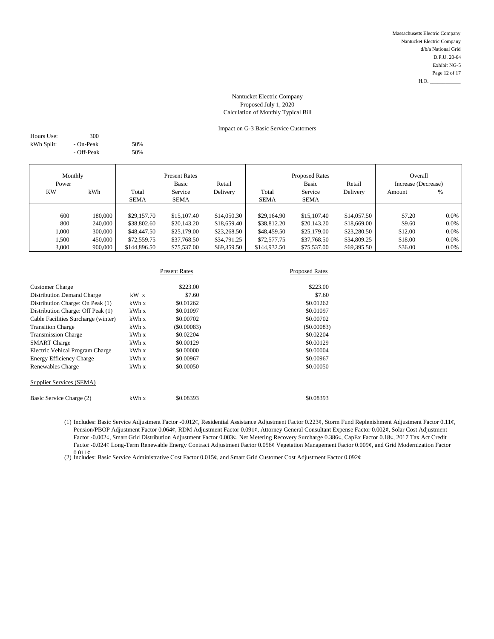# Impact on G-3 Basic Service Customers

| Hours Use: | 300        |     |
|------------|------------|-----|
| kWh Split: | - On-Peak  | 50% |
|            | - Off-Peak | 50% |

| Monthly<br>Power<br><b>KW</b><br>kWh |         | Total        | <b>Present Rates</b><br>Basic<br>Service | Retail<br>Delivery | Total        | <b>Proposed Rates</b><br><b>Basic</b><br>Service | Retail<br>Delivery | Overall<br>Increase (Decrease)<br>Amount | $\%$    |
|--------------------------------------|---------|--------------|------------------------------------------|--------------------|--------------|--------------------------------------------------|--------------------|------------------------------------------|---------|
|                                      |         | <b>SEMA</b>  | <b>SEMA</b>                              |                    | <b>SEMA</b>  | <b>SEMA</b>                                      |                    |                                          |         |
|                                      |         |              |                                          |                    |              |                                                  |                    |                                          |         |
| 600                                  | 180,000 | \$29,157.70  | \$15,107.40                              | \$14,050.30        | \$29,164.90  | \$15,107.40                                      | \$14,057.50        | \$7.20                                   | $0.0\%$ |
| 800                                  | 240,000 | \$38,802.60  | \$20,143.20                              | \$18,659.40        | \$38,812.20  | \$20,143.20                                      | \$18,669.00        | \$9.60                                   | $0.0\%$ |
| 1,000                                | 300,000 | \$48,447.50  | \$25,179.00                              | \$23,268.50        | \$48,459.50  | \$25,179.00                                      | \$23,280.50        | \$12.00                                  | $0.0\%$ |
| 1,500                                | 450,000 | \$72,559.75  | \$37,768.50                              | \$34,791.25        | \$72,577.75  | \$37,768.50                                      | \$34,809.25        | \$18.00                                  | $0.0\%$ |
| 3,000                                | 900,000 | \$144,896.50 | \$75,537.00                              | \$69,359.50        | \$144,932.50 | \$75,537.00                                      | \$69,395.50        | \$36.00                                  | $0.0\%$ |

|                                     |       | <b>Present Rates</b> | <b>Proposed Rates</b> |
|-------------------------------------|-------|----------------------|-----------------------|
| <b>Customer Charge</b>              |       | \$223.00             | \$223.00              |
| <b>Distribution Demand Charge</b>   | kW x  | \$7.60               | \$7.60                |
| Distribution Charge: On Peak (1)    | kWh x | \$0.01262            | \$0.01262             |
| Distribution Charge: Off Peak (1)   | kWh x | \$0.01097            | \$0.01097             |
| Cable Facilities Surcharge (winter) | kWh x | \$0.00702            | \$0.00702             |
| <b>Transition Charge</b>            | kWh x | $($ \$0.00083)       | (S0.00083)            |
| <b>Transmission Charge</b>          | kWh x | \$0.02204            | \$0.02204             |
| <b>SMART</b> Charge                 | kWh x | \$0.00129            | \$0.00129             |
| Electric Vehical Program Charge     | kWh x | \$0.00000            | \$0.00004             |
| <b>Energy Efficiency Charge</b>     | kWh x | \$0.00967            | \$0,00967             |
| Renewables Charge                   | kWh x | \$0,00050            | \$0,00050             |
| Supplier Services (SEMA)            |       |                      |                       |
| Basic Service Charge (2)            | kWh x | \$0.08393            | \$0.08393             |

(1) Includes: Basic Service Adjustment Factor -0.012¢, Residential Assistance Adjustment Factor 0.223¢, Storm Fund Replenishment Adjustment Factor 0.11¢, Pension/PBOP Adjustment Factor 0.064¢, RDM Adjustment Factor 0.091¢, Attorney General Consultant Expense Factor 0.002¢, Solar Cost Adjustment Factor -0.002¢, Smart Grid Distribution Adjustment Factor 0.003¢, Net Metering Recovery Surcharge 0.386¢, CapEx Factor 0.18¢, 2017 Tax Act Credit Factor -0.024¢ Long-Term Renewable Energy Contract Adjustment Factor 0.056¢ Vegetation Management Factor 0.009¢, and Grid Modernization Factor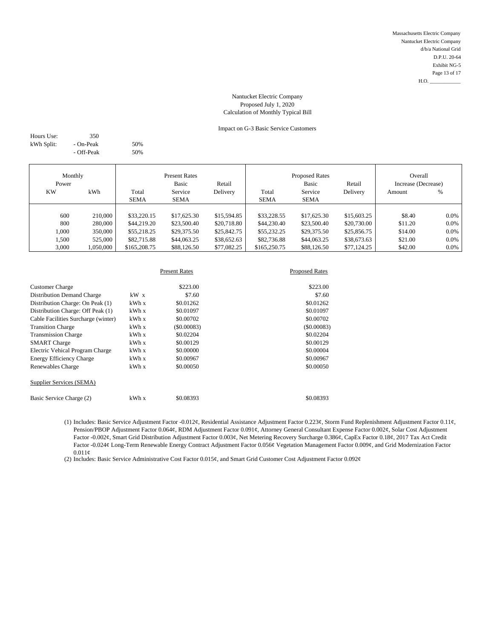# Impact on G-3 Basic Service Customers

| Hours Use: | 350        |     |
|------------|------------|-----|
| kWh Split: | - On-Peak  | 50% |
|            | - Off-Peak | 50% |

| Monthly   |           |                 | <b>Present Rates</b> |                        |              | <b>Proposed Rates</b> |                     | Overall |         |
|-----------|-----------|-----------------|----------------------|------------------------|--------------|-----------------------|---------------------|---------|---------|
| Power     |           | Basic<br>Retail |                      | <b>Basic</b><br>Retail |              |                       | Increase (Decrease) |         |         |
| <b>KW</b> | kWh       | Total           | Service              | Delivery               | Total        | Service               | Delivery            | Amount  | %       |
|           |           | <b>SEMA</b>     | <b>SEMA</b>          |                        | <b>SEMA</b>  | <b>SEMA</b>           |                     |         |         |
|           |           |                 |                      |                        |              |                       |                     |         |         |
| 600       | 210,000   | \$33,220.15     | \$17,625.30          | \$15,594.85            | \$33,228.55  | \$17,625.30           | \$15,603.25         | \$8.40  | $0.0\%$ |
| 800       | 280,000   | \$44,219.20     | \$23,500.40          | \$20,718.80            | \$44,230.40  | \$23,500.40           | \$20,730.00         | \$11.20 | 0.0%    |
| 1.000     | 350,000   | \$55,218.25     | \$29,375.50          | \$25,842.75            | \$55,232.25  | \$29,375.50           | \$25,856.75         | \$14.00 | $0.0\%$ |
| 1,500     | 525,000   | \$82,715.88     | \$44,063.25          | \$38,652.63            | \$82,736.88  | \$44,063.25           | \$38,673.63         | \$21.00 | 0.0%    |
| 3,000     | 1,050,000 | \$165,208.75    | \$88,126.50          | \$77,082.25            | \$165,250.75 | \$88,126.50           | \$77,124.25         | \$42.00 | 0.0%    |

|                                     |        | <b>Present Rates</b> | <b>Proposed Rates</b> |  |
|-------------------------------------|--------|----------------------|-----------------------|--|
| <b>Customer Charge</b>              |        | \$223.00             | \$223.00              |  |
| <b>Distribution Demand Charge</b>   | $kW$ x | \$7.60               | \$7.60                |  |
| Distribution Charge: On Peak (1)    | kWh x  | \$0.01262            | \$0.01262             |  |
| Distribution Charge: Off Peak (1)   | kWh x  | \$0.01097            | \$0.01097             |  |
| Cable Facilities Surcharge (winter) | kWh x  | \$0.00702            | \$0.00702             |  |
| <b>Transition Charge</b>            | kWh x  | $($ \$0,00083)       | (S0.00083)            |  |
| <b>Transmission Charge</b>          | kWh x  | \$0.02204            | \$0.02204             |  |
| <b>SMART</b> Charge                 | kWh x  | \$0.00129            | \$0.00129             |  |
| Electric Vehical Program Charge     | kWh x  | \$0.00000            | \$0.00004             |  |
| Energy Efficiency Charge            | kWh x  | \$0,00967            | \$0.00967             |  |
| Renewables Charge                   | kWh x  | \$0.00050            | \$0,00050             |  |
| Supplier Services (SEMA)            |        |                      |                       |  |
| Basic Service Charge (2)            | kWh x  | \$0.08393            | \$0.08393             |  |

(1) Includes: Basic Service Adjustment Factor -0.012¢, Residential Assistance Adjustment Factor 0.223¢, Storm Fund Replenishment Adjustment Factor 0.11¢, Pension/PBOP Adjustment Factor 0.064¢, RDM Adjustment Factor 0.091¢, Attorney General Consultant Expense Factor 0.002¢, Solar Cost Adjustment Factor -0.002¢, Smart Grid Distribution Adjustment Factor 0.003¢, Net Metering Recovery Surcharge 0.386¢, CapEx Factor 0.18¢, 2017 Tax Act Credit Factor -0.024¢ Long-Term Renewable Energy Contract Adjustment Factor 0.056¢ Vegetation Management Factor 0.009¢, and Grid Modernization Factor  $0.011\phi$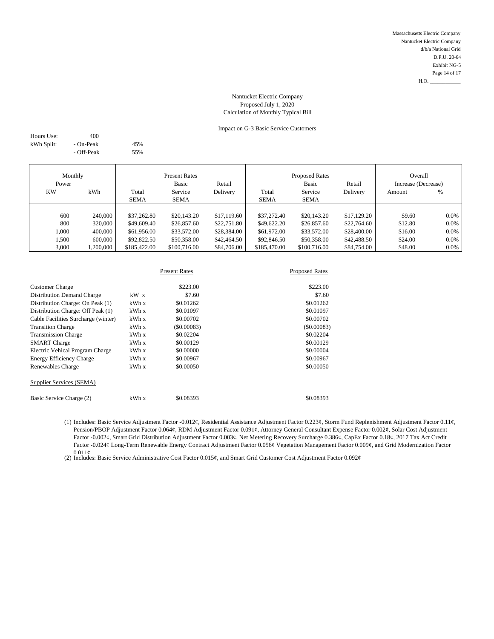# Impact on G-3 Basic Service Customers

| Hours Use: | 400        |     |
|------------|------------|-----|
| kWh Split: | - On-Peak  | 45% |
|            | - Off-Peak | 55% |

| Monthly<br>Power             |                                          | <b>Present Rates</b><br>Basic<br>Retail                  |                                                          |                                                          |                                                          | <b>Proposed Rates</b><br><b>Basic</b>                    | Retail                                                   | Overall<br>Increase (Decrease)          |                                    |
|------------------------------|------------------------------------------|----------------------------------------------------------|----------------------------------------------------------|----------------------------------------------------------|----------------------------------------------------------|----------------------------------------------------------|----------------------------------------------------------|-----------------------------------------|------------------------------------|
| <b>KW</b>                    | kWh                                      | Total<br><b>SEMA</b>                                     | Service<br><b>SEMA</b>                                   | Delivery                                                 | Total<br><b>SEMA</b>                                     | Service<br><b>SEMA</b>                                   | Delivery                                                 | Amount                                  | %                                  |
| 600<br>800<br>1.000<br>1,500 | 240,000<br>320,000<br>400,000<br>600,000 | \$37,262.80<br>\$49,609.40<br>\$61,956.00<br>\$92,822.50 | \$20,143.20<br>\$26,857.60<br>\$33,572.00<br>\$50,358.00 | \$17,119.60<br>\$22,751.80<br>\$28,384.00<br>\$42,464.50 | \$37,272.40<br>\$49,622.20<br>\$61,972.00<br>\$92,846.50 | \$20,143.20<br>\$26,857.60<br>\$33,572.00<br>\$50,358.00 | \$17,129.20<br>\$22,764.60<br>\$28,400.00<br>\$42,488.50 | \$9.60<br>\$12.80<br>\$16.00<br>\$24.00 | 0.0%<br>0.0%<br>$0.0\%$<br>$0.0\%$ |
| 3,000                        | ,200,000                                 | \$185,422.00                                             | \$100,716.00                                             | \$84,706.00                                              | \$185,470.00                                             | \$100,716.00                                             | \$84,754.00                                              | \$48.00                                 | 0.0%                               |

|                                     |        | <b>Present Rates</b> | <b>Proposed Rates</b> |
|-------------------------------------|--------|----------------------|-----------------------|
| <b>Customer Charge</b>              |        | \$223.00             | \$223.00              |
| <b>Distribution Demand Charge</b>   | $kW$ x | \$7.60               | \$7.60                |
| Distribution Charge: On Peak (1)    | kWh x  | \$0.01262            | \$0.01262             |
| Distribution Charge: Off Peak (1)   | kWh x  | \$0.01097            | \$0.01097             |
| Cable Facilities Surcharge (winter) | kWh x  | \$0.00702            | \$0.00702             |
| <b>Transition Charge</b>            | kWh x  | (S0.00083)           | (S0.00083)            |
| <b>Transmission Charge</b>          | kWh x  | \$0.02204            | \$0.02204             |
| <b>SMART</b> Charge                 | kWhx   | \$0.00129            | \$0.00129             |
| Electric Vehical Program Charge     | kWh x  | \$0.00000            | \$0.00004             |
| <b>Energy Efficiency Charge</b>     | kWh x  | \$0.00967            | \$0.00967             |
| Renewables Charge                   | kWh x  | \$0,00050            | \$0,00050             |
| Supplier Services (SEMA)            |        |                      |                       |
| Basic Service Charge (2)            | kWh x  | \$0.08393            | \$0.08393             |

(1) Includes: Basic Service Adjustment Factor -0.012¢, Residential Assistance Adjustment Factor 0.223¢, Storm Fund Replenishment Adjustment Factor 0.11¢, Pension/PBOP Adjustment Factor 0.064¢, RDM Adjustment Factor 0.091¢, Attorney General Consultant Expense Factor 0.002¢, Solar Cost Adjustment Factor -0.002¢, Smart Grid Distribution Adjustment Factor 0.003¢, Net Metering Recovery Surcharge 0.386¢, CapEx Factor 0.18¢, 2017 Tax Act Credit Factor -0.024¢ Long-Term Renewable Energy Contract Adjustment Factor 0.056¢ Vegetation Management Factor 0.009¢, and Grid Modernization Factor 0 011¢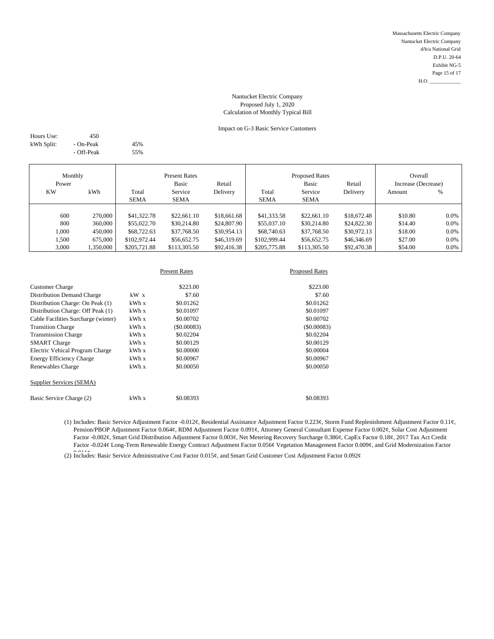# Impact on G-3 Basic Service Customers

| Hours Use: | 450        |     |
|------------|------------|-----|
| kWh Split: | - On-Peak  | 45% |
|            | - Off-Peak | 55% |

| Monthly   |          | <b>Present Rates</b> |              |             | <b>Proposed Rates</b> |              |             | Overall             |         |
|-----------|----------|----------------------|--------------|-------------|-----------------------|--------------|-------------|---------------------|---------|
| Power     |          |                      | Basic        | Retail      |                       | <b>Basic</b> | Retail      | Increase (Decrease) |         |
| <b>KW</b> | kWh      | Total                | Service      | Delivery    | Total                 | Service      | Delivery    | Amount              | %       |
|           |          | <b>SEMA</b>          | <b>SEMA</b>  |             | <b>SEMA</b>           | <b>SEMA</b>  |             |                     |         |
|           |          |                      |              |             |                       |              |             |                     |         |
| 600       | 270,000  | \$41,322.78          | \$22,661.10  | \$18,661.68 | \$41,333.58           | \$22,661.10  | \$18,672.48 | \$10.80             | $0.0\%$ |
| 800       | 360,000  | \$55,022.70          | \$30,214.80  | \$24,807.90 | \$55,037.10           | \$30,214.80  | \$24,822.30 | \$14.40             | 0.0%    |
| 1.000     | 450,000  | \$68,722.63          | \$37,768.50  | \$30,954.13 | \$68,740.63           | \$37,768.50  | \$30,972.13 | \$18.00             | $0.0\%$ |
| 1,500     | 675,000  | \$102,972.44         | \$56,652.75  | \$46,319.69 | \$102,999.44          | \$56,652.75  | \$46,346.69 | \$27.00             | 0.0%    |
| 3,000     | .350,000 | \$205,721.88         | \$113,305.50 | \$92,416.38 | \$205,775.88          | \$113,305.50 | \$92,470.38 | \$54.00             | 0.0%    |

|                                     |        | <b>Present Rates</b> | <b>Proposed Rates</b> |
|-------------------------------------|--------|----------------------|-----------------------|
| <b>Customer Charge</b>              |        | \$223.00             | \$223.00              |
| <b>Distribution Demand Charge</b>   | $kW$ x | \$7.60               | \$7.60                |
| Distribution Charge: On Peak (1)    | kWh x  | \$0.01262            | \$0.01262             |
| Distribution Charge: Off Peak (1)   | kWh x  | \$0.01097            | \$0.01097             |
| Cable Facilities Surcharge (winter) | kWh x  | \$0.00702            | \$0.00702             |
| <b>Transition Charge</b>            | kWh x  | $($ \$0.00083)       | (S0.00083)            |
| <b>Transmission Charge</b>          | kWh x  | \$0.02204            | \$0.02204             |
| <b>SMART</b> Charge                 | kWh x  | \$0.00129            | \$0.00129             |
| Electric Vehical Program Charge     | kWh x  | \$0,00000            | \$0.00004             |
| <b>Energy Efficiency Charge</b>     | kWh x  | \$0,00967            | \$0.00967             |
| Renewables Charge                   | kWh x  | \$0,00050            | \$0,00050             |
| Supplier Services (SEMA)            |        |                      |                       |
| Basic Service Charge (2)            | kWh x  | \$0.08393            | \$0.08393             |

(1) Includes: Basic Service Adjustment Factor -0.012¢, Residential Assistance Adjustment Factor 0.223¢, Storm Fund Replenishment Adjustment Factor 0.11¢, Pension/PBOP Adjustment Factor 0.064¢, RDM Adjustment Factor 0.091¢, Attorney General Consultant Expense Factor 0.002¢, Solar Cost Adjustment Factor -0.002¢, Smart Grid Distribution Adjustment Factor 0.003¢, Net Metering Recovery Surcharge 0.386¢, CapEx Factor 0.18¢, 2017 Tax Act Credit Factor -0.024¢ Long-Term Renewable Energy Contract Adjustment Factor 0.056¢ Vegetation Management Factor 0.009¢, and Grid Modernization Factor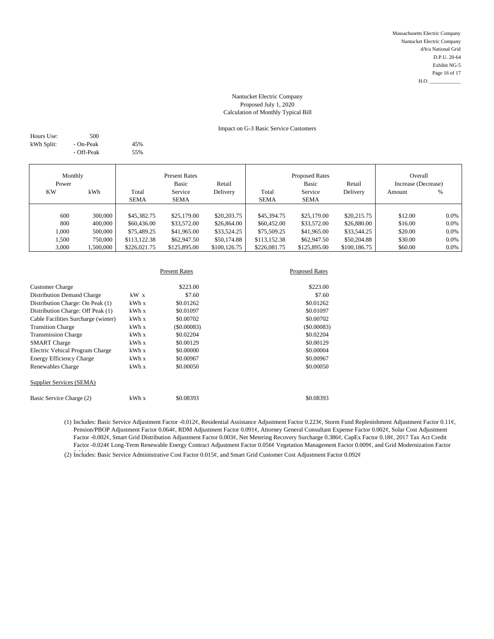# Impact on G-3 Basic Service Customers

| Hours Use: | 500        |     |
|------------|------------|-----|
| kWh Split: | - On-Peak  | 45% |
|            | - Off-Peak | 55% |

| Monthly   |          |              | <b>Present Rates</b> |              |              | <b>Proposed Rates</b> |              | Overall             |         |
|-----------|----------|--------------|----------------------|--------------|--------------|-----------------------|--------------|---------------------|---------|
| Power     |          |              | Basic                | Retail       |              | <b>Basic</b>          | Retail       | Increase (Decrease) |         |
| <b>KW</b> | kWh      | Total        | Service              | Delivery     | Total        | Service               | Delivery     | Amount              | %       |
|           |          | <b>SEMA</b>  | <b>SEMA</b>          |              | <b>SEMA</b>  | <b>SEMA</b>           |              |                     |         |
|           |          |              |                      |              |              |                       |              |                     |         |
| 600       | 300,000  | \$45,382.75  | \$25,179.00          | \$20,203.75  | \$45,394.75  | \$25,179.00           | \$20,215.75  | \$12.00             | $0.0\%$ |
| 800       | 400,000  | \$60,436.00  | \$33,572.00          | \$26,864.00  | \$60,452.00  | \$33,572.00           | \$26,880.00  | \$16.00             | 0.0%    |
| 1,000     | 500,000  | \$75,489.25  | \$41,965.00          | \$33,524.25  | \$75,509.25  | \$41,965.00           | \$33,544.25  | \$20.00             | $0.0\%$ |
| 1,500     | 750,000  | \$113,122.38 | \$62,947.50          | \$50,174.88  | \$113,152.38 | \$62,947.50           | \$50,204.88  | \$30.00             | 0.0%    |
| 3,000     | ,500,000 | \$226,021.75 | \$125,895.00         | \$100,126.75 | \$226,081.75 | \$125,895.00          | \$100,186.75 | \$60.00             | 0.0%    |

|                                     |       | <b>Present Rates</b> | <b>Proposed Rates</b> |
|-------------------------------------|-------|----------------------|-----------------------|
| <b>Customer Charge</b>              |       | \$223.00             | \$223.00              |
| <b>Distribution Demand Charge</b>   | kW x  | \$7.60               | \$7.60                |
| Distribution Charge: On Peak (1)    | kWhx  | \$0.01262            | \$0.01262             |
| Distribution Charge: Off Peak (1)   | kWh x | \$0.01097            | \$0.01097             |
| Cable Facilities Surcharge (winter) | kWh x | \$0.00702            | \$0.00702             |
| <b>Transition Charge</b>            | kWh x | (S0.00083)           | (S0.00083)            |
| <b>Transmission Charge</b>          | kWh x | \$0.02204            | \$0.02204             |
| <b>SMART</b> Charge                 | kWh x | \$0.00129            | \$0.00129             |
| Electric Vehical Program Charge     | kWh x | \$0,00000            | \$0.00004             |
| <b>Energy Efficiency Charge</b>     | kWh x | \$0.00967            | \$0.00967             |
| Renewables Charge                   | kWh x | \$0,00050            | \$0,00050             |
| Supplier Services (SEMA)            |       |                      |                       |
| Basic Service Charge (2)            | kWh x | \$0.08393            | \$0.08393             |

(1) Includes: Basic Service Adjustment Factor -0.012¢, Residential Assistance Adjustment Factor 0.223¢, Storm Fund Replenishment Adjustment Factor 0.11¢, Pension/PBOP Adjustment Factor 0.064¢, RDM Adjustment Factor 0.091¢, Attorney General Consultant Expense Factor 0.002¢, Solar Cost Adjustment Factor -0.002¢, Smart Grid Distribution Adjustment Factor 0.003¢, Net Metering Recovery Surcharge 0.386¢, CapEx Factor 0.18¢, 2017 Tax Act Credit Factor -0.024¢ Long-Term Renewable Energy Contract Adjustment Factor 0.056¢ Vegetation Management Factor 0.009¢, and Grid Modernization Factor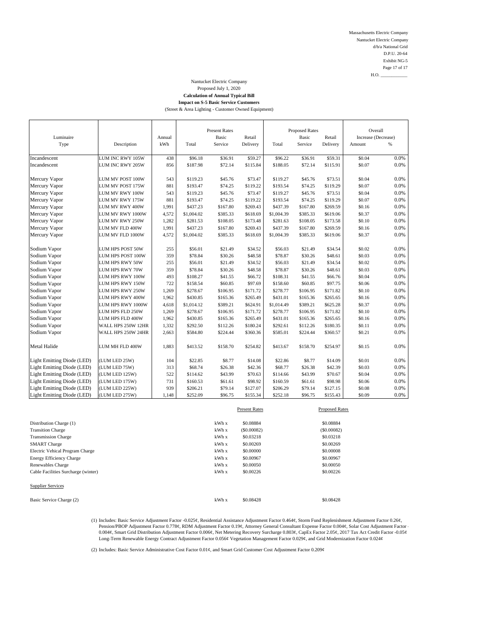**Impact on S-5 Basic Service Customers**

(Street & Area Lighting - Customer Owned Equipment)

|                            |                    |        |            | <b>Present Rates</b> |          |            | <b>Proposed Rates</b> |          | Overall             |      |
|----------------------------|--------------------|--------|------------|----------------------|----------|------------|-----------------------|----------|---------------------|------|
| Luminaire                  |                    | Annual |            | Basic                | Retail   |            | Basic                 | Retail   | Increase (Decrease) |      |
| Type                       | Description        | kWh    | Total      | Service              | Delivery | Total      | Service               | Delivery | Amount              | $\%$ |
| Incandescent               | LUM INC RWY 105W   | 438    | \$96.18    | \$36.91              | \$59.27  | \$96.22    | \$36.91               | \$59.31  | \$0.04              | 0.0% |
| Incandescent               | LUM INC RWY 205W   | 856    | \$187.98   | \$72.14              | \$115.84 | \$188.05   | \$72.14               | \$115.91 | \$0.07              | 0.0% |
|                            |                    |        |            |                      |          |            |                       |          |                     |      |
| Mercury Vapor              | LUM MV POST 100W   | 543    | \$119.23   | \$45.76              | \$73.47  | \$119.27   | \$45.76               | \$73.51  | \$0.04              | 0.0% |
| Mercury Vapor              | LUM MV POST 175W   | 881    | \$193.47   | \$74.25              | \$119.22 | \$193.54   | \$74.25               | \$119.29 | \$0.07              | 0.0% |
| Mercury Vapor              | LUM MV RWY 100W    | 543    | \$119.23   | \$45.76              | \$73.47  | \$119.27   | \$45.76               | \$73.51  | \$0.04              | 0.0% |
| Mercury Vapor              | LUM MV RWY 175W    | 881    | \$193.47   | \$74.25              | \$119.22 | \$193.54   | \$74.25               | \$119.29 | \$0.07              | 0.0% |
| Mercury Vapor              | LUM MV RWY 400W    | 1,991  | \$437.23   | \$167.80             | \$269.43 | \$437.39   | \$167.80              | \$269.59 | \$0.16              | 0.0% |
| Mercury Vapor              | LUM MV RWY 1000W   | 4,572  | \$1,004.02 | \$385.33             | \$618.69 | \$1,004.39 | \$385.33              | \$619.06 | \$0.37              | 0.0% |
| Mercury Vapor              | LUM MV RWY 250W    | 1,282  | \$281.53   | \$108.05             | \$173.48 | \$281.63   | \$108.05              | \$173.58 | \$0.10              | 0.0% |
| Mercury Vapor              | LUM MV FLD 400W    | 1,991  | \$437.23   | \$167.80             | \$269.43 | \$437.39   | \$167.80              | \$269.59 | \$0.16              | 0.0% |
| Mercury Vapor              | LUM MV FLD 1000W   | 4,572  | \$1,004.02 | \$385.33             | \$618.69 | \$1,004.39 | \$385.33              | \$619.06 | \$0.37              | 0.0% |
| Sodium Vapor               | LUM HPS POST 50W   | 255    | \$56.01    | \$21.49              | \$34.52  | \$56.03    | \$21.49               | \$34.54  | \$0.02              | 0.0% |
| Sodium Vapor               | LUM HPS POST 100W  | 359    | \$78.84    | \$30.26              | \$48.58  | \$78.87    | \$30.26               | \$48.61  | \$0.03              | 0.0% |
| Sodium Vapor               | LUM HPS RWY 50W    | 255    | \$56.01    | \$21.49              | \$34.52  | \$56.03    | \$21.49               | \$34.54  | \$0.02              | 0.0% |
| Sodium Vapor               | LUM HPS RWY 70W    | 359    | \$78.84    | \$30.26              | \$48.58  | \$78.87    | \$30.26               | \$48.61  | \$0.03              | 0.0% |
| Sodium Vapor               | LUM HPS RWY 100W   | 493    | \$108.27   | \$41.55              | \$66.72  | \$108.31   | \$41.55               | \$66.76  | \$0.04              | 0.0% |
| Sodium Vapor               | LUM HPS RWY 150W   | 722    | \$158.54   | \$60.85              | \$97.69  | \$158.60   | \$60.85               | \$97.75  | \$0.06              | 0.0% |
| Sodium Vapor               | LUM HPS RWY 250W   | 1,269  | \$278.67   | \$106.95             | \$171.72 | \$278.77   | \$106.95              | \$171.82 | \$0.10              | 0.0% |
| Sodium Vapor               | LUM HPS RWY 400W   | 1,962  | \$430.85   | \$165.36             | \$265.49 | \$431.01   | \$165.36              | \$265.65 | \$0.16              | 0.0% |
| Sodium Vapor               | LUM HPS RWY 1000W  | 4,618  | \$1,014.12 | \$389.21             | \$624.91 | \$1,014.49 | \$389.21              | \$625.28 | \$0.37              | 0.0% |
| Sodium Vapor               | LUM HPS FLD 250W   | 1,269  | \$278.67   | \$106.95             | \$171.72 | \$278.77   | \$106.95              | \$171.82 | \$0.10              | 0.0% |
| Sodium Vapor               | LUM HPS FLD 400W   | 1,962  | \$430.85   | \$165.36             | \$265.49 | \$431.01   | \$165.36              | \$265.65 | \$0.16              | 0.0% |
| Sodium Vapor               | WALL HPS 250W 12HR | 1,332  | \$292.50   | \$112.26             | \$180.24 | \$292.61   | \$112.26              | \$180.35 | \$0.11              | 0.0% |
| Sodium Vapor               | WALL HPS 250W 24HR | 2,663  | \$584.80   | \$224.44             | \$360.36 | \$585.01   | \$224.44              | \$360.57 | \$0.21              | 0.0% |
|                            |                    |        |            |                      |          |            |                       |          |                     |      |
| Metal Halide               | LUM MH FLD 400W    | 1,883  | \$413.52   | \$158.70             | \$254.82 | \$413.67   | \$158.70              | \$254.97 | \$0.15              | 0.0% |
| Light Emitting Diode (LED) | (LUM LED 25W)      | 104    | \$22.85    | \$8.77               | \$14.08  | \$22.86    | \$8.77                | \$14.09  | \$0.01              | 0.0% |
| Light Emitting Diode (LED) | (LUM LED 75W)      | 313    | \$68.74    | \$26.38              | \$42.36  | \$68.77    | \$26.38               | \$42.39  | \$0.03              | 0.0% |
| Light Emitting Diode (LED) | (LUM LED 125W)     | 522    | \$114.62   | \$43.99              | \$70.63  | \$114.66   | \$43.99               | \$70.67  | \$0.04              | 0.0% |
| Light Emitting Diode (LED) | (LUM LED 175W)     | 731    | \$160.53   | \$61.61              | \$98.92  | \$160.59   | \$61.61               | \$98.98  | \$0.06              | 0.0% |
| Light Emitting Diode (LED) | (LUM LED 225W)     | 939    | \$206.21   | \$79.14              | \$127.07 | \$206.29   | \$79.14               | \$127.15 | \$0.08              | 0.0% |
| Light Emitting Diode (LED) | (LUM LED 275W)     | 1,148  | \$252.09   | \$96.75              | \$155.34 | \$252.18   | \$96.75               | \$155.43 | \$0.09              | 0.0% |

|                                     |      | <b>Present Rates</b> | <b>Proposed Rates</b> |
|-------------------------------------|------|----------------------|-----------------------|
| Distribution Charge (1)             | kWhx | \$0.08884            | \$0.08884             |
| <b>Transition Charge</b>            | kWhx | (\$0.00082)          | (S0.00082)            |
| <b>Transmission Charge</b>          | kWhx | \$0.03218            | \$0.03218             |
| <b>SMART</b> Charge                 | kWhx | \$0.00269            | \$0,00269             |
| Electric Vehical Program Charge     | kWhx | \$0,00000            | \$0,00008             |
| <b>Energy Efficiency Charge</b>     | kWhx | \$0,00967            | \$0,00967             |
| Renewables Charge                   | kWhx | \$0,00050            | \$0,00050             |
| Cable Facilities Surcharge (winter) | kWhx | \$0,00226            | \$0,00226             |
| <b>Supplier Services</b>            |      |                      |                       |
| Basic Service Charge (2)            | kWhx | \$0.08428            | \$0.08428             |

(1) Includes: Basic Service Adjustment Factor -0.025¢, Residential Assistance Adjustment Factor 0.464¢, Storm Fund Replenishment Adjustment Factor 0.26¢,<br>Pension/PBOP Adjustment Factor 0.778¢, RDM Adjustment Factor 0.19¢, 0.004¢, Smart Grid Distribution Adjustment Factor 0.006¢, Net Metering Recovery Surcharge 0.803¢, CapEx Factor 2.05¢, 2017 Tax Act Credit Factor -0.05¢ Long-Term Renewable Energy Contract Adjustment Factor 0.056¢ Vegetation Management Factor 0.029¢, and Grid Modernization Factor 0.024¢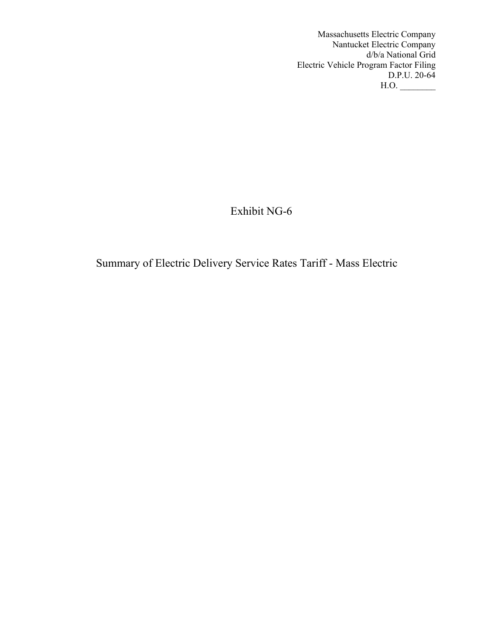Massachusetts Electric Company Nantucket Electric Company d/b/a National Grid Electric Vehicle Program Factor Filing D.P.U. 20-64  $H.O.$ 

Exhibit NG-6

Summary of Electric Delivery Service Rates Tariff - Mass Electric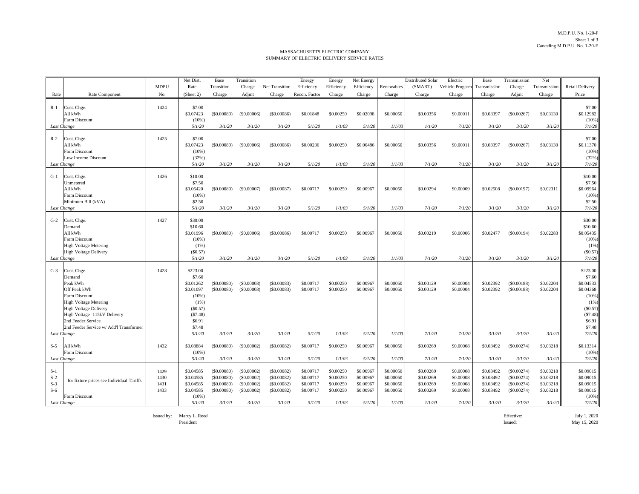M.D.P.U. No. 1-20-F Sheet 1 of 3Canceling M.D.P.U. No. 1-20-E

#### MASSACHUSETTS ELECTRIC COMPANY SUMMARY OF ELECTRIC DELIVERY SERVICE RATES

|                                                 |                                                                                                                                                                                                                                     |                              | Net Dist.                                                                                                       | Base                                                                  | Transition                                                         |                                                                 | Energy                                                     | Energy                                                     | Net Energy                                                 |                                                            | <b>Distributed Solar</b>                                   | Electric                                                   | Base                                                       | Transmission                                                       | Net                                                        |                                                                                                                     |
|-------------------------------------------------|-------------------------------------------------------------------------------------------------------------------------------------------------------------------------------------------------------------------------------------|------------------------------|-----------------------------------------------------------------------------------------------------------------|-----------------------------------------------------------------------|--------------------------------------------------------------------|-----------------------------------------------------------------|------------------------------------------------------------|------------------------------------------------------------|------------------------------------------------------------|------------------------------------------------------------|------------------------------------------------------------|------------------------------------------------------------|------------------------------------------------------------|--------------------------------------------------------------------|------------------------------------------------------------|---------------------------------------------------------------------------------------------------------------------|
|                                                 |                                                                                                                                                                                                                                     | <b>MDPU</b>                  | Rate                                                                                                            | Transition                                                            | Charge                                                             | Net Transition                                                  | Efficiency                                                 | Efficiency                                                 | Efficiency                                                 | Renewables                                                 | (SMART)                                                    | Vehicle Progarm Transmission                               |                                                            | Charge                                                             | Transmission                                               | Retail Delivery                                                                                                     |
| Rate                                            | Rate Component                                                                                                                                                                                                                      | No.                          | (Sheet 2)                                                                                                       | Charge                                                                | Adjmt                                                              | Charge                                                          | Recon. Factor                                              | Charge                                                     | Charge                                                     | Charge                                                     | Charge                                                     | Charge                                                     | Charge                                                     | Adjmt                                                              | Charge                                                     | Price                                                                                                               |
| $R-1$                                           | Cust. Chge.<br>All kWh<br>Farm Discount                                                                                                                                                                                             | 1424                         | \$7.00<br>\$0.07423<br>(10%                                                                                     | (\$0.00080)                                                           | (\$0.00006)                                                        | (\$0.00086)                                                     | \$0.01848                                                  | \$0.00250                                                  | \$0.02098                                                  | \$0.00050                                                  | \$0.00356                                                  | \$0.00011                                                  | \$0.03397                                                  | (\$0.00267)                                                        | \$0.03130                                                  | \$7.00<br>\$0.12982<br>$(10\%)$                                                                                     |
| Last Change                                     |                                                                                                                                                                                                                                     |                              | 5/1/20                                                                                                          | 3/1/20                                                                | 3/1/20                                                             | 3/1/20                                                          | 5/1/20                                                     | 1/1/03                                                     | 5/1/20                                                     | 1/1/03                                                     | 1/1/20                                                     | 7/1/20                                                     | 3/1/20                                                     | 3/1/20                                                             | 3/1/20                                                     | 7/1/20                                                                                                              |
| $R-2$<br>Last Change                            | Cust. Chge.<br>All kWh<br>Farm Discount<br>Low Income Discount                                                                                                                                                                      | 1425                         | \$7.00<br>\$0.07423<br>(10%<br>(32%<br>5/1/20                                                                   | (S0.00080)<br>3/1/20                                                  | (\$0.00006)<br>3/1/20                                              | (\$0.00086)<br>3/1/20                                           | \$0.00236<br>5/1/20                                        | \$0.00250<br>1/1/03                                        | \$0.00486<br>5/1/20                                        | \$0.00050<br>1/1/03                                        | \$0.00356<br>7/1/20                                        | \$0.00011<br>7/1/20                                        | \$0.03397<br>3/1/20                                        | $(\$0.00267)$<br>3/1/20                                            | \$0.03130<br>3/1/20                                        | \$7.00<br>\$0.11370<br>(10%)<br>(32%)<br>7/1/20                                                                     |
|                                                 |                                                                                                                                                                                                                                     |                              |                                                                                                                 |                                                                       |                                                                    |                                                                 |                                                            |                                                            |                                                            |                                                            |                                                            |                                                            |                                                            |                                                                    |                                                            |                                                                                                                     |
| $G-1$<br>Last Change                            | Cust. Chge.<br>Unmetered<br>All kWh<br>Farm Discount<br>Minimum Bill (kVA)                                                                                                                                                          | 1426                         | \$10.00<br>\$7.50<br>\$0.06420<br>(10%<br>\$2.50<br>5/1/20                                                      | $($ \$0.00080)<br>3/1/20                                              | $(\$0.00007)$<br>3/1/20                                            | (\$0.00087)<br>3/1/20                                           | \$0.00717<br>5/1/20                                        | \$0.00250<br>1/1/03                                        | \$0.00967<br>5/1/20                                        | \$0.00050<br>1/1/03                                        | \$0.00294<br>7/1/20                                        | \$0.00009<br>7/1/20                                        | \$0.02508<br>3/1/20                                        | $(\$0.00197)$<br>3/1/20                                            | \$0.02311<br>3/1/20                                        | \$10.00<br>\$7.50<br>\$0.09964<br>(10%)<br>\$2.50<br>7/1/20                                                         |
|                                                 |                                                                                                                                                                                                                                     |                              |                                                                                                                 |                                                                       |                                                                    |                                                                 |                                                            |                                                            |                                                            |                                                            |                                                            |                                                            |                                                            |                                                                    |                                                            |                                                                                                                     |
| $G-2$<br>Last Change                            | Cust. Chge.<br>Demand<br>All kWh<br>Farm Discount<br><b>High Voltage Metering</b><br>High Voltage Delivery                                                                                                                          | 1427                         | \$30.00<br>\$10.60<br>\$0.01996<br>(10%<br>(1%<br>(S0.57)<br>5/1/20                                             | (S0.00080)<br>3/1/20                                                  | (\$0.00006)<br>3/1/20                                              | $($ \$0.00086)<br>3/1/20                                        | \$0.00717<br>5/1/20                                        | \$0,00250<br>1/1/03                                        | \$0.00967<br>5/1/20                                        | \$0.00050<br>1/1/03                                        | \$0.00219<br>7/1/20                                        | \$0.00006<br>7/1/20                                        | \$0.02477<br>3/1/20                                        | (\$0.00194)<br>3/1/20                                              | \$0.02283<br>3/1/20                                        | \$30.00<br>\$10.60<br>\$0.05435<br>(10%)<br>(1%)<br>(\$0.57)<br>7/1/20                                              |
| $G-3$<br>Last Change                            | Cust. Chge.<br>Demand<br>Peak kWh<br>Off Peak kWh<br>Farm Discount<br><b>High Voltage Metering</b><br><b>High Voltage Delivery</b><br>High Voltage -115kV Delivery<br>2nd Feeder Service<br>2nd Feeder Service w/ Add'l Transformer | 1428                         | \$223.00<br>\$7.60<br>\$0.01262<br>\$0.01097<br>(10%<br>(1%<br>(S0.57)<br>(S7.48)<br>\$6.91<br>\$7.48<br>5/1/20 | (\$0.00080)<br>(\$0.00080)<br>3/1/20                                  | (\$0.00003)<br>(\$0.00003)<br>3/1/20                               | (\$0.00083)<br>(S0.00083)<br>3/1/20                             | \$0.00717<br>\$0.00717<br>5/1/20                           | \$0.00250<br>\$0.00250<br>1/1/03                           | \$0.00967<br>\$0.00967<br>5/1/20                           | \$0.00050<br>\$0.00050<br>1/1/03                           | \$0.00129<br>\$0.00129<br>7/1/20                           | \$0.00004<br>\$0.00004<br>7/1/20                           | \$0.02392<br>\$0.02392<br>3/1/20                           | (\$0.00188)<br>(S0.00188)<br>3/1/20                                | \$0.02204<br>\$0.02204<br>3/1/20                           | \$223.00<br>\$7.60<br>\$0.04533<br>\$0.04368<br>(10%<br>(1% )<br>(\$0.57)<br>(\$7.48)<br>\$6.91<br>\$7.48<br>7/1/20 |
| $S-5$                                           | All kWh<br>Farm Discount                                                                                                                                                                                                            | 1432                         | \$0.08884<br>(10%                                                                                               | (\$0.00080)                                                           | (\$0.00002)                                                        | (\$0.00082)                                                     | \$0.00717                                                  | \$0.00250                                                  | \$0.00967                                                  | \$0.00050                                                  | \$0.00269                                                  | \$0.00008                                                  | \$0.03492                                                  | (\$0.00274)                                                        | \$0.03218                                                  | \$0.13314<br>(10%)                                                                                                  |
| Last Change                                     |                                                                                                                                                                                                                                     |                              | 5/1/20                                                                                                          | 3/1/20                                                                | 3/1/20                                                             | 3/1/20                                                          | 5/1/20                                                     | 1/1/03                                                     | 5/1/20                                                     | 1/1/03                                                     | 7/1/20                                                     | 7/1/20                                                     | 3/1/20                                                     | 3/1/20                                                             | 3/1/20                                                     | 7/1/20                                                                                                              |
| $S-1$<br>$S-2$<br>$S-3$<br>$S-6$<br>Last Change | for fixture prices see Individual Tariffs<br>Farm Discount                                                                                                                                                                          | 1429<br>1430<br>1431<br>1433 | \$0.04585<br>\$0.04585<br>\$0.04585<br>\$0.04585<br>(10%<br>5/1/20                                              | (\$0.00080)<br>(\$0.00080)<br>(\$0.00080)<br>$($ \$0.00080)<br>3/1/20 | (\$0.00002)<br>(\$0.00002)<br>(\$0.00002)<br>(\$0.00002)<br>3/1/20 | (S0.00082)<br>(S0.00082)<br>(S0.00082)<br>(\$0.00082)<br>3/1/20 | \$0.00717<br>\$0.00717<br>\$0.00717<br>\$0.00717<br>5/1/20 | \$0.00250<br>\$0.00250<br>\$0.00250<br>\$0.00250<br>1/1/03 | \$0.00967<br>\$0.00967<br>\$0.00967<br>\$0.00967<br>5/1/20 | \$0.00050<br>\$0.00050<br>\$0.00050<br>\$0.00050<br>1/1/03 | \$0.00269<br>\$0.00269<br>\$0.00269<br>\$0.00269<br>1/1/20 | \$0.00008<br>\$0.00008<br>\$0.00008<br>\$0.00008<br>7/1/20 | \$0.03492<br>\$0.03492<br>\$0.03492<br>\$0.03492<br>3/1/20 | (\$0.00274)<br>(\$0.00274)<br>(\$0.00274)<br>(\$0.00274)<br>3/1/20 | \$0.03218<br>\$0.03218<br>\$0.03218<br>\$0.03218<br>3/1/20 | \$0.09015<br>\$0.09015<br>\$0.09015<br>\$0.09015<br>(10%)<br>7/1/20                                                 |

Issued by: Marcy L. Reed Effective: July 1, 2020

President

Issued: May 15, 2020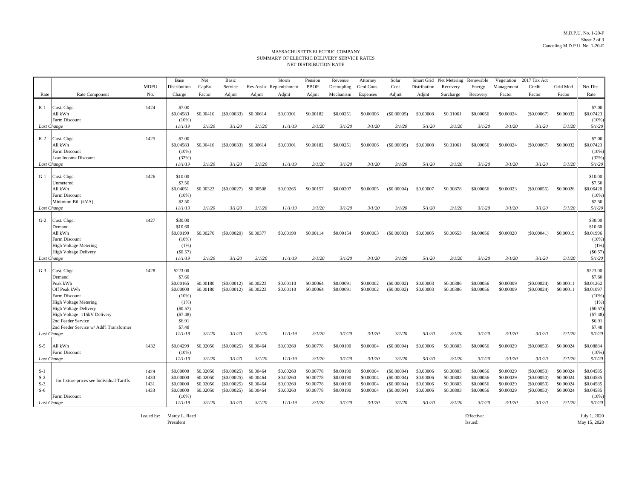#### M.D.P.U. No. 1-20-F Sheet 2 of 3Canceling M.D.P.U. No. 1-20-E

#### NET DISTRIBUTION RATEMASSACHUSETTS ELECTRIC COMPANY SUMMARY OF ELECTRIC DELIVERY SERVICE RATES

|                                                 |                                                                                                                                                                                                                                            | <b>MDPU</b>                  | Base<br>Distribution                                                                                                     | Net<br>CapEx                                               | Basic<br>Service                                                |                                                            | Storm<br>Res Assist Replenishment                           | Pension<br>PBOP                                            | Revenue<br>Decoupling                                      | Attorney<br>Genl Cons.                                     | Solar<br>Cost                                                    | Distribution                                               | Smart Grid Net Metering Renewable<br>Recovery              | Energy                                                     | Vegetation<br>Management                                   | 2017 Tax Act<br>Credit                                         | Grid Mod                                                   | Net Dist.                                                                                                         |
|-------------------------------------------------|--------------------------------------------------------------------------------------------------------------------------------------------------------------------------------------------------------------------------------------------|------------------------------|--------------------------------------------------------------------------------------------------------------------------|------------------------------------------------------------|-----------------------------------------------------------------|------------------------------------------------------------|-------------------------------------------------------------|------------------------------------------------------------|------------------------------------------------------------|------------------------------------------------------------|------------------------------------------------------------------|------------------------------------------------------------|------------------------------------------------------------|------------------------------------------------------------|------------------------------------------------------------|----------------------------------------------------------------|------------------------------------------------------------|-------------------------------------------------------------------------------------------------------------------|
| Rate                                            | Rate Component                                                                                                                                                                                                                             | No.                          | Charge                                                                                                                   | Factor                                                     | Adjmt                                                           | Adjmt                                                      | Adjmt                                                       | Adjmt                                                      | Mechanism                                                  | Expenses                                                   | Adjmt                                                            | Adjmt                                                      | Surcharge                                                  | Recovery                                                   | Factor                                                     | Factor                                                         | Factor                                                     | Rate                                                                                                              |
| $R-1$<br>Last Change                            | Cust. Chge.<br>All kWh<br>Farm Discount                                                                                                                                                                                                    | 1424                         | \$7.00<br>\$0.04583<br>$(10\%)$<br>11/1/19                                                                               | \$0,00410<br>3/1/20                                        | (S0.00033)<br>3/1/20                                            | \$0.00614<br>3/1/20                                        | \$0.00301<br>11/1/19                                        | \$0.00182<br>3/1/20                                        | \$0,00251<br>3/1/20                                        | \$0.00006<br>3/1/20                                        | (S0,00005)<br>3/1/20                                             | \$0,00008<br>5/1/20                                        | \$0.01061<br>3/1/20                                        | \$0,00056<br>3/1/20                                        | \$0,00024<br>3/1/20                                        | (S0.00067)<br>3/1/20                                           | \$0.00032<br>5/1/20                                        | \$7.00<br>\$0.07423<br>(10%<br>5/1/20                                                                             |
| $R-2$<br>Last Change                            | Cust. Chge.<br>All kWh<br><b>Farm Discount</b><br>Low Income Discount                                                                                                                                                                      | 1425                         | \$7.00<br>\$0.04583<br>$(10\%)$<br>(32%)<br>11/1/19                                                                      | \$0,00410<br>3/1/20                                        | (S0.00033)<br>3/1/20                                            | \$0,00614<br>3/1/20                                        | \$0.00301<br>11/1/19                                        | \$0.00182<br>3/1/20                                        | \$0.00251<br>3/1/20                                        | \$0,00006<br>3/1/20                                        | (S0,00005)<br>3/1/20                                             | \$0,00008<br>5/1/20                                        | \$0,01061<br>3/1/20                                        | \$0,00056<br>3/1/20                                        | \$0,00024<br>3/1/20                                        | (S0.00067)<br>3/1/20                                           | \$0.00032<br>5/1/20                                        | \$7.00<br>\$0.07423<br>(10%<br>(32%)<br>5/1/20                                                                    |
| $G-1$<br>Last Change                            | Cust. Chge.<br>Unmetered<br>All kWh<br>Farm Discount<br>Minimum Bill (kVA)                                                                                                                                                                 | 1426                         | \$10.00<br>\$7.50<br>\$0.04051<br>(10%<br>\$2.50<br>11/1/19                                                              | \$0.00323<br>3/1/20                                        | (S0.00027)<br>3/1/20                                            | \$0.00508<br>3/1/20                                        | \$0.00265<br>11/1/19                                        | \$0.00157<br>3/1/20                                        | \$0.00207<br>3/1/20                                        | \$0.00005<br>3/1/20                                        | (\$0.00004)<br>3/1/20                                            | \$0.00007<br>5/1/20                                        | \$0.00878<br>3/1/20                                        | \$0.00056<br>3/1/20                                        | \$0.00023<br>3/1/20                                        | (S0.00055)<br>3/1/20                                           | \$0.00026<br>5/1/20                                        | \$10.00<br>\$7.50<br>\$0.06420<br>(10%<br>\$2.50<br>5/1/20                                                        |
| $G-2$<br>Last Change                            | Cust. Chge.<br>Demand<br>All kWh<br><b>Farm Discount</b><br><b>High Voltage Metering</b><br><b>High Voltage Delivery</b>                                                                                                                   | 1427                         | \$30.00<br>\$10.60<br>\$0,00199<br>$(10\%)$<br>(1%)<br>(\$0.57)<br>11/1/19                                               | \$0,00270<br>3/1/20                                        | (S0.00020)<br>3/1/20                                            | \$0.00377<br>3/1/20                                        | \$0,00190<br>11/1/19                                        | \$0.00114<br>3/1/20                                        | \$0,00154<br>3/1/20                                        | \$0,00003<br>3/1/20                                        | (S0,00003)<br>3/1/20                                             | \$0,00005<br>5/1/20                                        | \$0,00653<br>3/1/20                                        | \$0,00056<br>3/1/20                                        | \$0,00020<br>3/1/20                                        | (S0.00041)<br>3/1/20                                           | \$0,00019<br>5/1/20                                        | \$30.00<br>\$10.60<br>\$0.01996<br>(10%<br>(1%)<br>(\$0.57)<br>5/1/20                                             |
| $G-3$<br>Last Change                            | Cust. Chge.<br>Demand<br>Peak kWh<br>Off Peak kWh<br><b>Farm Discount</b><br><b>High Voltage Metering</b><br><b>High Voltage Delivery</b><br>High Voltage -115kV Delivery<br>2nd Feeder Service<br>2nd Feeder Service w/ Add'l Transformer | 1428                         | \$223.00<br>\$7.60<br>\$0.00165<br>\$0,00000<br>$(10\%)$<br>(1%)<br>$(\$0.57)$<br>(S7.48)<br>\$6.91<br>\$7.48<br>11/1/19 | \$0,00180<br>\$0.00180<br>3/1/20                           | (S0.00012)<br>(S0.00012)<br>3/1/20                              | \$0.00223<br>\$0.00223<br>3/1/20                           | \$0.00110<br>\$0.00110<br>11/1/19                           | \$0,00064<br>\$0.00064<br>3/1/20                           | \$0.00091<br>\$0.00091<br>3/1/20                           | \$0,00002<br>\$0.00002<br>3/1/20                           | (S0.00002)<br>(S0.00002)<br>3/1/20                               | \$0,00003<br>\$0.00003<br>5/1/20                           | \$0.00386<br>\$0.00386<br>3/1/20                           | \$0.00056<br>\$0.00056<br>3/1/20                           | \$0.00009<br>\$0.00009<br>3/1/20                           | (S0.00024)<br>(S0.00024)<br>3/1/20                             | \$0.00011<br>\$0.00011<br>5/1/20                           | \$223.00<br>\$7.60<br>\$0.01262<br>\$0.01097<br>(10%)<br>(1%)<br>(S0.57)<br>(S7.48)<br>\$6.91<br>\$7.48<br>5/1/20 |
| $S-5$<br>Last Change                            | All kWh<br>Farm Discount                                                                                                                                                                                                                   | 1432                         | \$0.04299<br>$(10\%)$<br>11/1/19                                                                                         | \$0.02050<br>3/1/20                                        | (S0.00025)<br>3/1/20                                            | \$0.00464<br>3/1/20                                        | \$0.00260<br>11/1/19                                        | \$0,00778<br>3/1/20                                        | \$0.00190<br>3/1/20                                        | \$0,00004<br>3/1/20                                        | (S0,00004)<br>3/1/20                                             | \$0,00006<br>5/1/20                                        | \$0,00803<br>3/1/20                                        | \$0,00056<br>3/1/20                                        | \$0,00029<br>3/1/20                                        | (S0.00050)<br>3/1/20                                           | \$0.00024<br>5/1/20                                        | \$0.08884<br>$(10\%)$<br>5/1/20                                                                                   |
| $S-1$<br>$S-2$<br>$S-3$<br>$S-6$<br>Last Change | for fixture prices see Individual Tariffs<br>Farm Discount                                                                                                                                                                                 | 1429<br>1430<br>1431<br>1433 | \$0.00000<br>\$0,00000<br>\$0.00000<br>\$0,00000<br>$(10\%)$<br>11/1/19                                                  | \$0.02050<br>\$0.02050<br>\$0.02050<br>\$0.02050<br>3/1/20 | (\$0.00025)<br>(S0.00025)<br>(S0.00025)<br>(S0.00025)<br>3/1/20 | \$0.00464<br>\$0.00464<br>\$0.00464<br>\$0,00464<br>3/1/20 | \$0.00260<br>\$0.00260<br>\$0.00260<br>\$0.00260<br>11/1/19 | \$0.00778<br>\$0.00778<br>\$0.00778<br>\$0,00778<br>3/1/20 | \$0.00190<br>\$0.00190<br>\$0.00190<br>\$0.00190<br>3/1/20 | \$0.00004<br>\$0.00004<br>\$0.00004<br>\$0,00004<br>3/1/20 | (S0.00004)<br>(\$0.00004)<br>(\$0.00004)<br>(S0,00004)<br>3/1/20 | \$0.00006<br>\$0.00006<br>\$0.00006<br>\$0,00006<br>5/1/20 | \$0.00803<br>\$0.00803<br>\$0.00803<br>\$0,00803<br>3/1/20 | \$0.00056<br>\$0.00056<br>\$0.00056<br>\$0,00056<br>3/1/20 | \$0.00029<br>\$0.00029<br>\$0.00029<br>\$0,00029<br>3/1/20 | (S0.00050)<br>(S0.00050)<br>(S0.00050)<br>(S0.00050)<br>3/1/20 | \$0.00024<br>\$0.00024<br>\$0.00024<br>\$0,00024<br>5/1/20 | \$0.04585<br>\$0.04585<br>\$0.04585<br>\$0.04585<br>(10%)<br>5/1/20                                               |

Issued by: Marcy L. Reed Marcy L. Reed Section 2020 and the effective: Effective: The effective: July 1, 2020 President

Issued: May 15, 2020